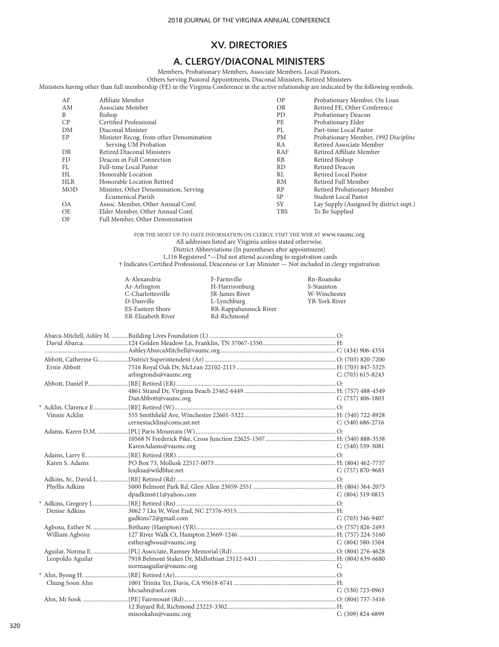# **A. CLERGY/DIACONAL MINISTERS**

Members, Probationary Members, Associate Members, Local Pastors,

Others Serving Pastoral Appointments, Diaconal Ministers, Retired Ministers Ministers having other than full membership (FE) in the Virginia Conference in the active relationship are indicated by the following symbols.

| AF              | Affiliate Member                                                                          | O <sub>P</sub> |                                         |
|-----------------|-------------------------------------------------------------------------------------------|----------------|-----------------------------------------|
|                 |                                                                                           |                | Probationary Member, On Loan            |
| AM              | Associate Member                                                                          | <b>OR</b>      | Retired FE, Other Conference            |
| B               | Bishop                                                                                    | PD             | Probationary Deacon                     |
| CP              | Certified Professional                                                                    | PE             | Probationary Elder                      |
| DM              | Diaconal Minister                                                                         | PL             | Part-time Local Pastor                  |
| EP              | Minister Recog. from other Denomination                                                   | <b>PM</b>      | Probationary Member, 1992 Discipline    |
|                 | Serving UM Probation                                                                      | RA             | Retired Associate Member                |
| DR              | Retired Diaconal Ministers                                                                | RAF            | Retired Affiliate Member                |
| FD              | Deacon in Full Connection                                                                 | <b>RB</b>      | Retired Bishop                          |
| FL              | Full-time Local Pastor                                                                    | <b>RD</b>      | Retired Deacon                          |
| HL              | Honorable Location                                                                        | RL             | Retired Local Pastor                    |
| <b>HLR</b>      | Honorable Location Retired                                                                | RM             | Retired Full Member                     |
| <b>MOD</b>      | Minister, Other Denomination, Serving                                                     | RP             | Retired Probationary Member             |
|                 | <b>Ecumenical Parish</b>                                                                  | <b>SP</b>      | Student Local Pastor                    |
| <b>OA</b>       | Assoc. Member, Other Annual Conf.                                                         | SY             | Lay Supply (Assigned by district supt.) |
| <b>OE</b>       | Elder Member, Other Annual Conf.                                                          | <b>TBS</b>     | To Be Supplied                          |
| $\cap$ $\Gamma$ | $F_{\alpha}H M_{\alpha}$ is a $Q_{\alpha}H_{\alpha}$ in $D_{\alpha}$ is a set of $\alpha$ |                |                                         |

OF Full Member, Other Denomination

FOR THE MOST UP-TO-DATE INFORMATION ON CLERGY, VISIT THE WEB AT www.vaumc.org All addresses listed are Virginia unless stated otherwise. District Abbreviations (In parentheses after appointment) 1,116 Registered \*—Did not attend according to registration cards

† Indicates Certified Professional, Deaconess or Lay Minister — Not included in clergy registration

| A-Alexandria<br>Ar-Arlington | F-Farmville<br>H-Harrisonburg | Rn-Roanoke<br>S-Staunton |
|------------------------------|-------------------------------|--------------------------|
| C-Charlottesville            | JR-James River                | W-Winchester             |
| D-Danville                   | L-Lynchburg                   | YR-York River            |
| ES-Eastern Shore             | RR-Rappahannock River         |                          |
| ER-Elizabeth River           | Rd-Richmond                   |                          |

| Ernie Abbott     |                           |                       |
|------------------|---------------------------|-----------------------|
|                  | arlingtonds@vaumc.org     | $C: (703)$ 615-8243   |
|                  |                           |                       |
|                  |                           |                       |
|                  | DanAbbott@vaumc.org       | $C: (757)$ 406-1803   |
|                  |                           |                       |
| Vinnie Acklin    |                           |                       |
|                  | cernestacklin@comcast.net | $C: (540) 686 - 2716$ |
|                  |                           |                       |
|                  |                           |                       |
|                  | KarenAdams@vaumc.org      | $C: (540)$ 539-3081   |
|                  |                           |                       |
| Karen S. Adams   |                           |                       |
|                  | leajksa@wildblue.net      | C: (757) 870-9683     |
|                  |                           |                       |
| Phyllis Adkins   |                           |                       |
|                  | dpadkins611@yahoo.com     | $C: (804) 519-0815$   |
|                  |                           |                       |
| Denise Adkins    |                           |                       |
|                  | gadkins72@gmail.com       | $C: (703)$ 346-9407   |
|                  |                           |                       |
| William Agbosu   |                           |                       |
|                  | estheragbosu@vaumc.org    | $C: (804) 580-1504$   |
|                  |                           |                       |
| Leopoldo Aguilar |                           |                       |
|                  | normaaguilar@vaumc.org    | €.                    |
|                  |                           |                       |
| Chung Soon Ahn   |                           |                       |
|                  | bhcsahn@aol.com           | $C: (530)$ 723-0963   |
|                  |                           |                       |
|                  |                           |                       |
|                  | misookahn@vaumc.org       | C: (309) 824-6899     |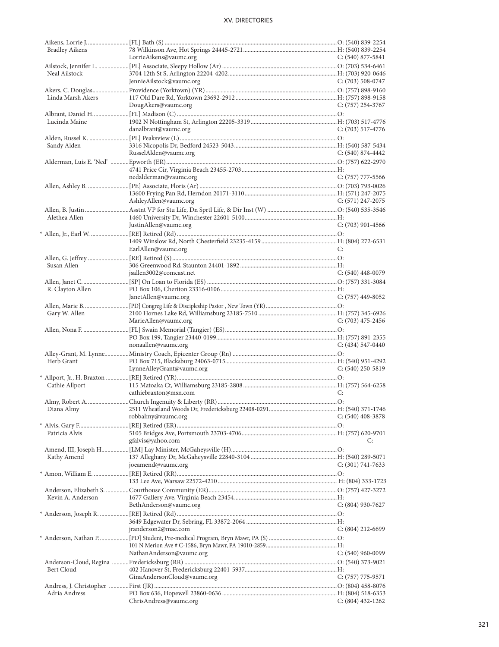| <b>Bradley Aikens</b> |                                                                                        |                     |
|-----------------------|----------------------------------------------------------------------------------------|---------------------|
|                       | LorrieAikens@vaumc.org                                                                 | C: $(540)$ 877-5841 |
|                       |                                                                                        |                     |
| Neal Ailstock         |                                                                                        |                     |
|                       | JennieAilstock@vaumc.org                                                               | C: $(703)$ 508-0747 |
|                       |                                                                                        |                     |
| Linda Marsh Akers     |                                                                                        |                     |
|                       | DougAkers@vaumc.org                                                                    | $C: (757)$ 254-3767 |
|                       |                                                                                        |                     |
| Lucinda Maine         |                                                                                        |                     |
|                       | danalbrant@vaumc.org                                                                   | $C: (703)$ 517-4776 |
|                       |                                                                                        |                     |
|                       |                                                                                        |                     |
| Sandy Alden           |                                                                                        |                     |
|                       | RusselAlden@vaumc.org                                                                  | $C: (540) 874-4442$ |
|                       |                                                                                        |                     |
|                       |                                                                                        |                     |
|                       | nedalderman@vaumc.org                                                                  | C: (757) 777-5566   |
|                       |                                                                                        |                     |
|                       |                                                                                        |                     |
|                       | AshleyAllen@vaumc.org                                                                  | $C: (571)$ 247-2075 |
|                       |                                                                                        |                     |
| Alethea Allen         |                                                                                        |                     |
|                       | JustinAllen@vaumc.org                                                                  | $C: (703)$ 901-4566 |
|                       |                                                                                        |                     |
|                       |                                                                                        |                     |
|                       | EarlAllen@vaumc.org                                                                    | C:                  |
|                       |                                                                                        |                     |
|                       |                                                                                        |                     |
| Susan Allen           |                                                                                        |                     |
|                       | jsallen3002@comcast.net                                                                | $C: (540)$ 448-0079 |
|                       |                                                                                        |                     |
| R. Clayton Allen      |                                                                                        |                     |
|                       | JanetAllen@vaumc.org                                                                   | $C: (757)$ 449-8052 |
|                       |                                                                                        |                     |
| Gary W. Allen         |                                                                                        |                     |
|                       | MarieAllen@vaumc.org                                                                   | $C: (703)$ 475-2456 |
|                       |                                                                                        |                     |
|                       |                                                                                        |                     |
|                       | nonaallen@vaumc.org                                                                    | $C: (434) 547-0440$ |
|                       |                                                                                        |                     |
| Herb Grant            |                                                                                        |                     |
|                       | LynneAlleyGrant@vaumc.org                                                              | $C: (540)$ 250-5819 |
|                       |                                                                                        |                     |
| Cathie Allport        | * Allport, Jr., H. Braxton ……………[RE] Retired (YR)……………………………………………………………………………………………O: |                     |
|                       |                                                                                        |                     |
|                       | cathiebraxton@msn.com                                                                  | C:                  |
|                       |                                                                                        |                     |
|                       |                                                                                        |                     |
|                       | robbalmy@vaumc.org                                                                     | $C: (540)$ 408-3878 |
|                       |                                                                                        |                     |
| Patricia Alvis        |                                                                                        |                     |
|                       | gfalvis@yahoo.com                                                                      | C:                  |
|                       |                                                                                        |                     |
| Kathy Amend           |                                                                                        |                     |
|                       | joeamend@vaumc.org                                                                     | $C: (301) 741-7633$ |
|                       |                                                                                        |                     |
|                       |                                                                                        |                     |
|                       |                                                                                        |                     |
| Kevin A. Anderson     |                                                                                        |                     |
|                       | BethAnderson@vaumc.org                                                                 | $C: (804)$ 930-7627 |
|                       |                                                                                        |                     |
|                       |                                                                                        |                     |
|                       |                                                                                        |                     |
|                       | jranderson2@mac.com                                                                    | C: (804) 212-6699   |
|                       |                                                                                        |                     |
|                       |                                                                                        |                     |
|                       | NathanAnderson@vaumc.org                                                               | $C: (540)$ 960-0099 |
|                       |                                                                                        |                     |
| Bert Cloud            |                                                                                        |                     |
|                       | GinaAndersonCloud@vaumc.org                                                            | $C: (757) 775-9571$ |
|                       |                                                                                        |                     |
| Adria Andress         |                                                                                        |                     |
|                       | ChrisAndress@vaumc.org                                                                 | $C: (804)$ 432-1262 |
|                       |                                                                                        |                     |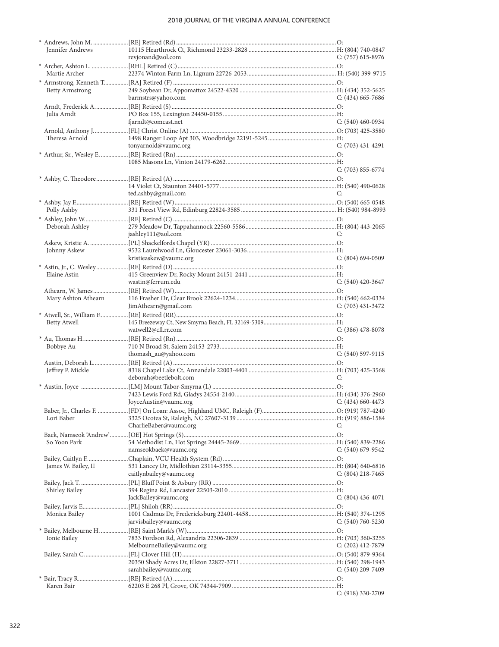| Jennifer Andrews       |                                                                                     |                       |
|------------------------|-------------------------------------------------------------------------------------|-----------------------|
|                        | revjonand@aol.com                                                                   | $C: (757)$ 615-8976   |
|                        |                                                                                     |                       |
| Martie Archer          |                                                                                     |                       |
|                        |                                                                                     |                       |
| <b>Betty Armstrong</b> |                                                                                     |                       |
|                        | barmstrs@yahoo.com                                                                  | $C: (434)$ 665-7686   |
|                        |                                                                                     |                       |
|                        |                                                                                     |                       |
| Julia Arndt            |                                                                                     |                       |
|                        | fjarndt@comcast.net                                                                 | $C: (540)$ 460-0934   |
|                        |                                                                                     |                       |
| Theresa Arnold         |                                                                                     |                       |
|                        | tonyarnold@vaumc.org                                                                | $C: (703)$ 431-4291   |
|                        | * Arthur, Sr., Wesley E………………[RE] Retired (Rn) …………………………………………………………………………………………O: |                       |
|                        |                                                                                     |                       |
|                        |                                                                                     | $C: (703) 855-6774$   |
|                        |                                                                                     |                       |
|                        |                                                                                     |                       |
|                        |                                                                                     |                       |
|                        | ted.ashby@gmail.com                                                                 | C:                    |
|                        |                                                                                     |                       |
| Polly Ashby            |                                                                                     |                       |
|                        |                                                                                     |                       |
| Deborah Ashley         |                                                                                     |                       |
|                        | jashley111@aol.com                                                                  | C:                    |
|                        |                                                                                     |                       |
|                        |                                                                                     |                       |
| Johnny Askew           |                                                                                     |                       |
|                        | kristieaskew@vaumc.org                                                              | $C: (804) 694-0509$   |
|                        |                                                                                     |                       |
| Elaine Astin           |                                                                                     |                       |
|                        | wastin@ferrum.edu                                                                   | $C: (540)$ 420-3647   |
|                        |                                                                                     |                       |
| Mary Ashton Athearn    |                                                                                     |                       |
|                        | JimAthearn@gmail.com                                                                |                       |
|                        |                                                                                     | $C: (703)$ 431-3472   |
|                        |                                                                                     |                       |
|                        |                                                                                     |                       |
| <b>Betty Atwell</b>    |                                                                                     |                       |
|                        | watwell2@cfl.rr.com                                                                 | C: $(386)$ 478-8078   |
|                        |                                                                                     |                       |
|                        |                                                                                     |                       |
| Bobbye Au              |                                                                                     |                       |
|                        | thomash_au@yahoo.com                                                                | $C: (540) 597-9115$   |
|                        |                                                                                     |                       |
| Jeffrey P. Mickle      |                                                                                     |                       |
|                        | deborah@beetlebolt.com                                                              | C:                    |
|                        |                                                                                     |                       |
|                        |                                                                                     |                       |
|                        | JoyceAustin@vaumc.org                                                               | $C: (434)$ 660-4473   |
|                        |                                                                                     |                       |
|                        |                                                                                     |                       |
| Lori Baber             |                                                                                     |                       |
|                        | CharlieBaber@vaumc.org                                                              | C:                    |
|                        |                                                                                     |                       |
| So Yoon Park           |                                                                                     |                       |
|                        | namseokbaek@vaumc.org                                                               | $C: (540)$ 679-9542   |
|                        |                                                                                     |                       |
| James W. Bailey, II    |                                                                                     |                       |
|                        | caitlynbailey@vaumc.org                                                             | $C: (804)$ 218-7465   |
|                        |                                                                                     |                       |
|                        |                                                                                     |                       |
| <b>Shirley Bailey</b>  |                                                                                     |                       |
|                        | JackBailey@vaumc.org                                                                | $C: (804)$ 436-4071   |
|                        |                                                                                     |                       |
| Monica Bailey          |                                                                                     |                       |
|                        | jarvisbailey@vaumc.org                                                              | $C: (540) 760 - 5230$ |
|                        |                                                                                     |                       |
| Ionie Bailey           |                                                                                     |                       |
|                        | MelbourneBailey@vaumc.org                                                           | C: $(202)$ 412-7879   |
|                        |                                                                                     |                       |
|                        |                                                                                     |                       |
|                        |                                                                                     |                       |
|                        | sarahbailey@vaumc.org                                                               | C: $(540)$ 209-7409   |
| Karen Bair             |                                                                                     |                       |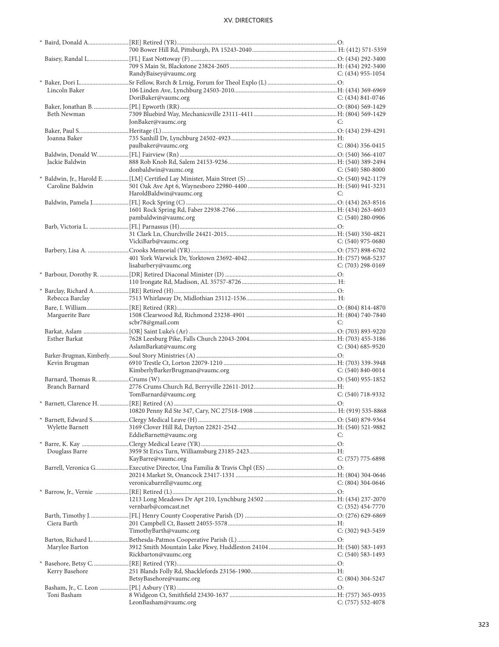|                  | RandyBaisey@vaumc.org           | C: $(434)$ 955-1054   |
|------------------|---------------------------------|-----------------------|
| Lincoln Baker    |                                 |                       |
|                  | DoriBaker@vaumc.org             | C: (434) 841-0746     |
|                  |                                 |                       |
| Beth Newman      |                                 |                       |
|                  | JonBaker@vaumc.org              | C:                    |
|                  |                                 |                       |
| Joanna Baker     |                                 |                       |
|                  | paulbaker@vaumc.org             | $C: (804)$ 356-0415   |
|                  |                                 |                       |
| Jackie Baldwin   |                                 |                       |
|                  | donbaldwin@vaumc.org            | C: $(540)$ 580-8000   |
|                  |                                 |                       |
| Caroline Baldwin |                                 |                       |
|                  | HaroldBaldwin@vaumc.org         | C:                    |
|                  |                                 |                       |
|                  |                                 |                       |
|                  | pambaldwin@vaumc.org            | $C: (540)$ 280-0906   |
|                  |                                 |                       |
|                  |                                 |                       |
|                  | VickiBarb@vaumc.org             | C: $(540)$ 975-0680   |
|                  |                                 |                       |
|                  |                                 |                       |
|                  | lisabarbery@vaumc.org           | $C: (703)$ 298-0169   |
|                  |                                 |                       |
|                  |                                 |                       |
|                  |                                 |                       |
| Rebecca Barclay  |                                 |                       |
|                  |                                 |                       |
| Marguerite Bare  | scbr78@gmail.com                | C:                    |
|                  |                                 |                       |
| Esther Barkat    |                                 |                       |
|                  | AslamBarkat@vaumc.org           | C: $(304)$ 685-9520   |
|                  |                                 |                       |
| Kevin Brugman    |                                 |                       |
|                  | KimberlyBarkerBrugman@vaumc.org | C: $(540)$ 840-0014   |
|                  |                                 |                       |
| Branch Barnard   |                                 |                       |
|                  | TomBarnard@vaumc.org            | $C: (540)$ 718-9332   |
|                  |                                 |                       |
|                  |                                 |                       |
|                  |                                 |                       |
| Wylette Barnett  |                                 |                       |
|                  | EddieBarnett@vaumc.org          | C:                    |
|                  |                                 |                       |
| Douglass Barre   |                                 |                       |
|                  | KayBarre@vaumc.org              | $C: (757)$ 775-6898   |
|                  |                                 |                       |
|                  | veronicabarrell@vaumc.org       | $C: (804)$ 304-0646   |
|                  |                                 |                       |
|                  |                                 |                       |
|                  | vernbarb@comcast.net            | $C: (352)$ 454-7770   |
|                  |                                 |                       |
| Ciera Barth      |                                 |                       |
|                  | TimothyBarth@vaumc.org          | $C: (302)$ 943-5459   |
|                  |                                 |                       |
| Marylee Barton   |                                 |                       |
|                  | Rickbarton@vaumc.org            | $C: (540) 583 - 1493$ |
|                  |                                 |                       |
| Kerry Basehore   |                                 |                       |
|                  | BetsyBasehore@vaumc.org         | C: (804) 304-5247     |
|                  |                                 |                       |
| Toni Basham      |                                 |                       |
|                  | LeonBasham@vaumc.org            | $C: (757) 532-4078$   |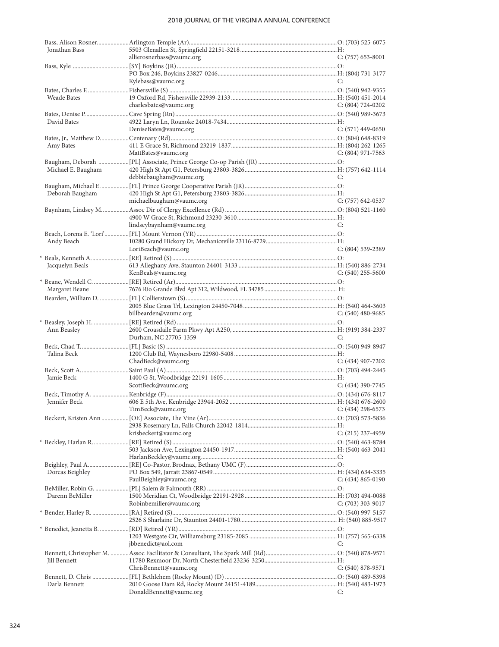| Jonathan Bass      |                                          |                     |
|--------------------|------------------------------------------|---------------------|
|                    | allierosnerbass@vaumc.org                | $C: (757)$ 653-8001 |
|                    |                                          |                     |
|                    | Kylebass@vaumc.org                       | C:                  |
|                    |                                          |                     |
| <b>Weade Bates</b> |                                          |                     |
|                    | charlesbates@vaumc.org                   | $C: (804) 724-0202$ |
|                    |                                          |                     |
| David Bates        |                                          |                     |
|                    | DeniseBates@vaumc.org                    | C: (571) 449-0650   |
|                    |                                          |                     |
| Amy Bates          |                                          |                     |
|                    | MattBates@vaumc.org                      | $C: (804)$ 971-7563 |
|                    |                                          |                     |
| Michael E. Baugham |                                          |                     |
|                    | debbiebaugham@vaumc.org                  | C:                  |
|                    |                                          |                     |
| Deborah Baugham    |                                          |                     |
|                    | michaelbaugham@vaumc.org                 | $C: (757)$ 642-0537 |
|                    |                                          |                     |
|                    |                                          |                     |
|                    | lindseybaynham@vaumc.org                 | C:                  |
|                    |                                          |                     |
| Andy Beach         |                                          |                     |
|                    | LoriBeach@vaumc.org                      | $C: (804)$ 539-2389 |
|                    |                                          |                     |
| Jacquelyn Beals    |                                          |                     |
|                    | KenBeals@vaumc.org                       | $C: (540)$ 255-5600 |
| Margaret Beane     |                                          |                     |
|                    |                                          |                     |
|                    |                                          |                     |
|                    | billbearden@vaumc.org                    | $C: (540)$ 480-9685 |
|                    |                                          |                     |
|                    |                                          |                     |
|                    |                                          |                     |
| Ann Beasley        |                                          | C:                  |
|                    | Durham, NC 27705-1359                    |                     |
| Talina Beck        |                                          |                     |
|                    | ChadBeck@vaumc.org                       | $C: (434)$ 907-7202 |
|                    |                                          |                     |
| Jamie Beck         |                                          |                     |
|                    | ScottBeck@vaumc.org                      | $C: (434)$ 390-7745 |
|                    |                                          |                     |
| Jennifer Beck      |                                          |                     |
|                    | $C: (434)$ 298-6573<br>TimBeck@vaumc.org |                     |
|                    |                                          |                     |
|                    |                                          |                     |
|                    | krisbeckert@vaumc.org                    | $C: (215)$ 237-4959 |
|                    |                                          |                     |
|                    |                                          |                     |
|                    |                                          |                     |
|                    |                                          |                     |
| Dorcas Beighley    | PaulBeighley@vaumc.org                   | $C: (434) 865-0190$ |
|                    |                                          |                     |
| Darenn BeMiller    |                                          |                     |
|                    | Robinbemiller@vaumc.org                  | C: (703) 303-9017   |
|                    |                                          |                     |
|                    |                                          |                     |
|                    |                                          |                     |
|                    |                                          |                     |
|                    | jbbenedict@aol.com                       | C:                  |
|                    |                                          |                     |
| Jill Bennett       |                                          |                     |
|                    | ChrisBennett@vaumc.org                   | C: (540) 878-9571   |
|                    |                                          |                     |
| Darla Bennett      | DonaldBennett@vaumc.org                  | C:                  |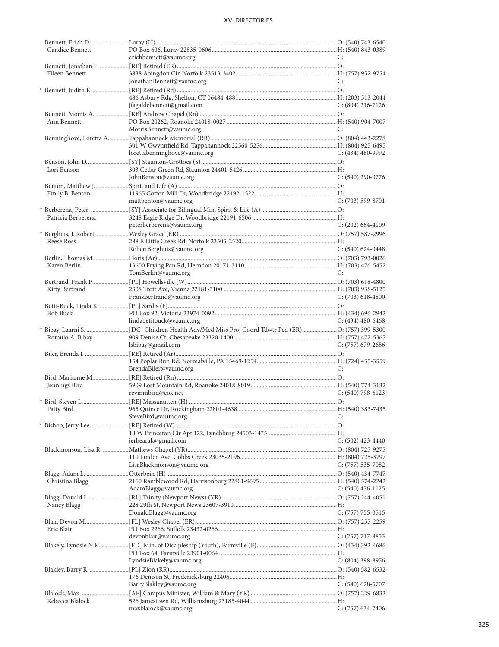| Candice Bennett    |                              |                     |
|--------------------|------------------------------|---------------------|
|                    | erichbennett@vaumc.org       | C:                  |
|                    |                              |                     |
| Eileen Bennett     |                              |                     |
|                    |                              |                     |
|                    | JonathanBennett@vaumc.org    | C:                  |
|                    |                              |                     |
|                    |                              |                     |
|                    | jfagaldebennett@gmail.com    | C: (804) 216-7126   |
|                    |                              |                     |
| Ann Bennett        |                              |                     |
|                    |                              |                     |
|                    | MorrisBennett@vaumc.org      | C:                  |
|                    |                              |                     |
|                    |                              |                     |
|                    | lorettabenninghove@vaumc.org | C: (434) 480-9992   |
|                    |                              |                     |
| Lori Benson        |                              |                     |
|                    |                              | $C: (540)$ 290-0776 |
|                    | JohnBenson@vaumc.org         |                     |
|                    |                              |                     |
| Emily B. Benton    |                              |                     |
|                    | mattbenton@vaumc.org         | $C: (703)$ 599-8701 |
|                    |                              |                     |
| Patricia Berberena |                              |                     |
|                    |                              |                     |
|                    | peterberberena@vaumc.org     | $C: (202)$ 664-4109 |
|                    |                              |                     |
| Reese Ross         |                              |                     |
|                    | RobertBerghuis@vaumc.org     | $C: (540) 624-0448$ |
|                    |                              |                     |
| Karen Berlin       |                              |                     |
|                    |                              |                     |
|                    | TomBerlin@vaumc.org          | C:                  |
|                    |                              |                     |
| Kitty Bertrand     |                              |                     |
|                    | Frankbertrand@vaumc.org      | C: $(703)$ 618-4800 |
|                    |                              |                     |
| <b>Bob Buck</b>    |                              |                     |
|                    |                              |                     |
|                    | lindabetitbuck@vaumc.org     | $C: (434)$ 480-6468 |
|                    |                              |                     |
|                    |                              |                     |
| Romulo A. Bibay    |                              |                     |
|                    | lsbibay@gmail.com            | $C: (757)$ 679-2686 |
|                    |                              |                     |
|                    |                              |                     |
|                    |                              |                     |
|                    | BrendaBiler@vaumc.org        | C:                  |
|                    |                              |                     |
| Jennings Bird      |                              |                     |
|                    | revmmbird@cox.net            | $C: (540) 798-6123$ |
|                    |                              |                     |
|                    |                              |                     |
|                    |                              |                     |
|                    | SteveBird@vaumc.org          | C:                  |
|                    |                              |                     |
|                    |                              |                     |
|                    | jerbearak@gmail.com          | $C: (502)$ 423-4440 |
|                    |                              |                     |
|                    |                              |                     |
|                    |                              |                     |
|                    | LisaBlackmonson@vaumc.org    | $C: (757) 535-7082$ |
|                    |                              |                     |
| Christina Blagg    |                              |                     |
|                    | AdamBlagg@vaumc.org          | $C: (540)$ 476-1125 |
|                    |                              |                     |
|                    |                              |                     |
| Nancy Blagg        |                              |                     |
|                    | DonaldBlagg@vaumc.org        | $C: (757) 755-0515$ |
|                    |                              |                     |
| Eric Blair         |                              |                     |
|                    | devonblair@vaumc.org         | $C: (757)$ 717-8853 |
|                    |                              |                     |
|                    |                              |                     |
|                    |                              |                     |
|                    | LyndsieBlakely@vaumc.org     | $C: (804)$ 398-8956 |
|                    |                              |                     |
|                    |                              |                     |
|                    | BarryBlakley@vaumc.org       | C: (540) 628-5707   |
|                    |                              |                     |
|                    |                              |                     |
| Rebecca Blalock    | maxblalock@vaumc.org         | $C: (757)$ 634-7406 |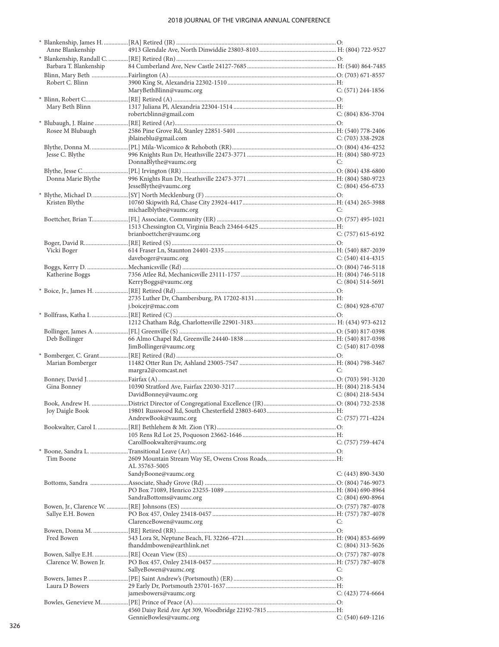| Anne Blankenship       |                            |                       |
|------------------------|----------------------------|-----------------------|
|                        |                            |                       |
| Barbara T. Blankenship |                            |                       |
|                        |                            |                       |
| Robert C. Blinn        |                            |                       |
|                        | MaryBethBlinn@vaumc.org    | $C: (571)$ 244-1856   |
|                        |                            |                       |
| Mary Beth Blinn        |                            |                       |
|                        | robertcblinn@gmail.com     | $C: (804) 836 - 3704$ |
|                        |                            |                       |
| Rosee M Blubaugh       |                            |                       |
|                        |                            |                       |
|                        | jblaineblu@gmail.com       | $C: (703)$ 338-2928   |
|                        |                            |                       |
| Jesse C. Blythe        |                            |                       |
|                        | DonnaBlythe@vaumc.org      | C:                    |
|                        |                            |                       |
| Donna Marie Blythe     |                            |                       |
|                        | JesseBlythe@vaumc.org      | $C: (804)$ 456-6733   |
|                        |                            |                       |
| Kristen Blythe         |                            |                       |
|                        | michaelblythe@vaumc.org    | C:                    |
|                        |                            |                       |
|                        |                            |                       |
|                        | brianboettcher@vaumc.org   | $C: (757)$ 615-6192   |
|                        |                            |                       |
|                        |                            |                       |
| Vicki Boger            |                            |                       |
|                        | daveboger@vaumc.org        | C: $(540)$ 414-4315   |
|                        |                            |                       |
| Katherine Boggs        |                            |                       |
|                        | KerryBoggs@vaumc.org       | $C: (804) 514-5691$   |
|                        |                            |                       |
|                        |                            |                       |
|                        | j.boicejr@mac.com          | $C: (804)$ 928-6707   |
|                        |                            |                       |
|                        |                            |                       |
|                        |                            |                       |
| Deb Bollinger          |                            |                       |
|                        |                            |                       |
|                        |                            |                       |
|                        | JimBollinger@vaumc.org     | $C: (540) 817-0398$   |
|                        |                            |                       |
| Marian Bomberger       |                            |                       |
|                        | margra2@comcast.net        | C:                    |
|                        |                            |                       |
| Gina Bonney            |                            |                       |
|                        | DavidBonney@vaumc.org      | C: $(804)$ 218-5434   |
|                        |                            |                       |
|                        |                            |                       |
|                        |                            |                       |
|                        | AndrewBook@vaumc.org       | C: $(757) 771 - 4224$ |
|                        |                            |                       |
|                        |                            |                       |
|                        | CarolBookwalter@vaumc.org  | $C: (757) 759-4474$   |
|                        |                            |                       |
| Tim Boone              |                            |                       |
|                        | AL 35763-5005              |                       |
|                        | SandyBoone@vaumc.org       | $C: (443) 890 - 3430$ |
|                        |                            |                       |
|                        |                            |                       |
|                        | SandraBottoms@vaumc.org    | C: $(804)$ 690-8964   |
|                        |                            |                       |
| Sallye E.H. Bowen      |                            |                       |
|                        | ClarenceBowen@vaumc.org    | C:                    |
|                        |                            |                       |
| Fred Bowen             |                            |                       |
|                        |                            |                       |
|                        | fhanddmbowen@earthlink.net | $C: (804)$ 313-5626   |
|                        |                            |                       |
| Clarence W. Bowen Jr.  |                            |                       |
|                        | SallyeBowen@vaumc.org      | C:                    |
|                        |                            |                       |
| Laura D Bowers         |                            |                       |
|                        | jamesbowers@vaumc.org      | $C: (423) 774-6664$   |
|                        |                            |                       |
|                        |                            |                       |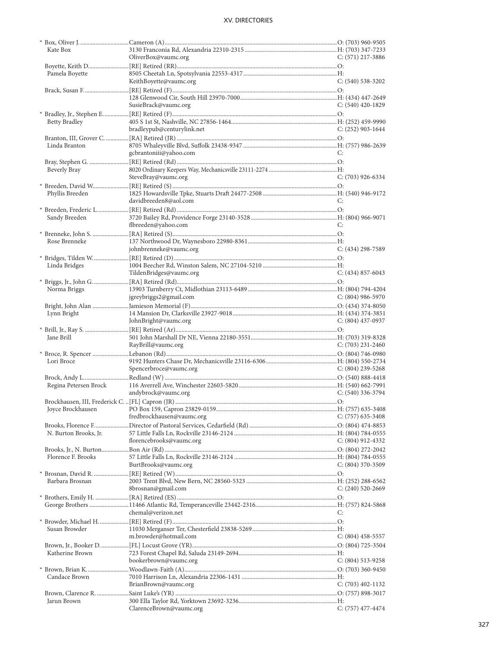| Kate Box              |                            |                       |
|-----------------------|----------------------------|-----------------------|
|                       | OliverBox@vaumc.org        | $C: (571)$ 217-3886   |
|                       |                            |                       |
|                       |                            |                       |
| Pamela Boyette        |                            |                       |
|                       | KeithBoyette@vaumc.org     | $C: (540)$ 538-3202   |
|                       |                            |                       |
|                       |                            |                       |
|                       | SusieBrack@vaumc.org       | $C: (540)$ 420-1829   |
|                       |                            |                       |
|                       |                            |                       |
| <b>Betty Bradley</b>  |                            |                       |
|                       | bradleypub@centurylink.net | $C: (252)$ 903-1644   |
|                       |                            |                       |
| Linda Branton         |                            |                       |
|                       | gcbrantoniii@yahoo.com     | C:                    |
|                       |                            |                       |
|                       |                            |                       |
| Beverly Bray          |                            |                       |
|                       | SteveBray@vaumc.org        | $C: (703)$ 926-6334   |
|                       |                            |                       |
| Phyllis Breeden       |                            |                       |
|                       | davidbreeden8@aol.com      | C:                    |
|                       |                            |                       |
|                       |                            |                       |
| Sandy Breeden         |                            |                       |
|                       | flbreeden@yahoo.com        | C:                    |
|                       |                            |                       |
| Rose Brenneke         |                            |                       |
|                       | johnbrenneke@vaumc.org     | $C: (434)$ 298-7589   |
|                       |                            |                       |
|                       |                            |                       |
| Linda Bridges         |                            |                       |
|                       | TildenBridges@vaumc.org    | $C: (434) 857-6043$   |
|                       |                            |                       |
| Norma Briggs          |                            |                       |
|                       | jgreybriggs2@gmail.com     | C: (804) 986-5970     |
|                       |                            |                       |
|                       |                            |                       |
|                       |                            |                       |
| Lynn Bright           |                            |                       |
|                       | JohnBright@vaumc.org       | C: $(804)$ 437-0937   |
|                       |                            |                       |
|                       |                            |                       |
| Jane Brill            |                            |                       |
|                       | RayBrill@vaumc.org         | C: $(703)$ 231-2460   |
|                       |                            |                       |
| Lori Broce            |                            |                       |
|                       | Spencerbroce@vaumc.org     | C: $(804)$ 239-5268   |
|                       |                            |                       |
|                       |                            |                       |
| Regina Petersen Brock |                            |                       |
|                       | andybrock@vaumc.org        | $C: (540)$ 336-3794   |
|                       |                            |                       |
|                       |                            |                       |
|                       | fredbrockhausen@vaumc.org  | $C: (757)$ 635-3408   |
|                       |                            |                       |
|                       |                            |                       |
| N. Burton Brooks, Jr. |                            |                       |
|                       | florencebrooks@vaumc.org   | $C: (804)$ 912-4332   |
|                       |                            |                       |
| Florence F. Brooks    |                            |                       |
|                       | BurtBrooks@vaumc.org       |                       |
|                       |                            | $C: (804)$ 370-3509   |
|                       |                            |                       |
| Barbara Brosnan       |                            |                       |
|                       | 8brosnan@gmail.com         | $C: (240)$ 520-2669   |
|                       |                            |                       |
|                       |                            |                       |
|                       | chemal@verizon.net         | C:                    |
|                       |                            |                       |
|                       |                            |                       |
| Susan Browder         |                            |                       |
|                       | m.browder@hotmail.com      | $C: (804)$ 458-5557   |
|                       |                            |                       |
|                       |                            |                       |
| Katherine Brown       |                            |                       |
|                       | bookerbrown@vaumc.org      | $C: (804) 513 - 9258$ |
|                       |                            |                       |
| Candace Brown         |                            |                       |
|                       | BrianBrown@vaumc.org       | $C: (703)$ 402-1132   |
|                       |                            |                       |
|                       |                            |                       |
| Jarun Brown           | ClarenceBrown@vaumc.org    | $C: (757)$ 477-4474   |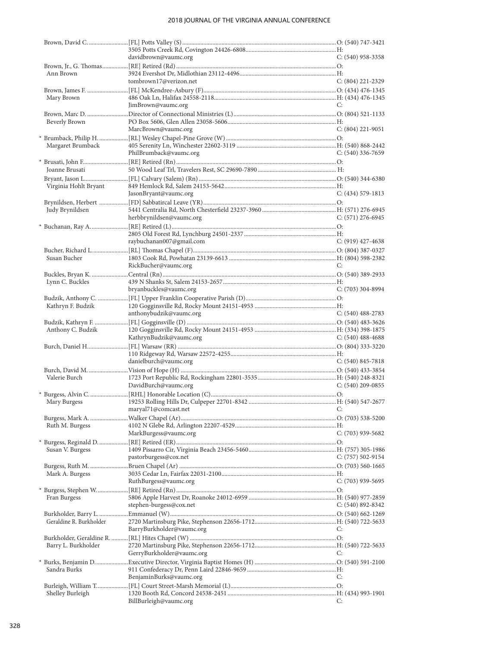|                         | davidbrown@vaumc.org                 | $C: (540)$ 958-3358   |
|-------------------------|--------------------------------------|-----------------------|
| Ann Brown               |                                      |                       |
|                         | tombrown17@verizon.net               | $C: (804)$ 221-2329   |
|                         |                                      |                       |
| Mary Brown              |                                      |                       |
|                         | JimBrown@vaumc.org                   | C:                    |
|                         |                                      |                       |
| Beverly Brown           |                                      |                       |
|                         | MarcBrown@vaumc.org                  | $C: (804)$ 221-9051   |
|                         |                                      |                       |
| Margaret Brumback       |                                      |                       |
|                         | PhilBrumback@vaumc.org               | $C: (540)$ 336-7659   |
|                         |                                      |                       |
| Joanne Brusati          |                                      |                       |
|                         |                                      |                       |
| Virginia Hohlt Bryant   |                                      |                       |
|                         | JasonBryant@vaumc.org                | $C: (434) 579-1813$   |
|                         |                                      |                       |
| Judy Brynildsen         | herbbrynildsen@vaumc.org             | $C: (571)$ 276-6945   |
|                         |                                      |                       |
|                         |                                      |                       |
|                         | raybuchanan007@gmail.com             | $C: (919)$ 427-4638   |
|                         |                                      |                       |
| Susan Bucher            |                                      |                       |
|                         | RickBucher@vaumc.org                 | C:                    |
|                         |                                      |                       |
| Lynn C. Buckles         |                                      |                       |
|                         | bryanbuckles@vaumc.org               | $C: (703)$ 304-8994   |
|                         |                                      |                       |
| Kathryn F. Budzik       |                                      |                       |
|                         | anthonybudzik@vaumc.org              | $C: (540)$ 488-2783   |
|                         |                                      |                       |
|                         |                                      |                       |
| Anthony C. Budzik       |                                      |                       |
|                         | KathrynBudzik@vaumc.org              | C: $(540)$ 488-4688   |
|                         |                                      |                       |
|                         | danielburch@vaumc.org                | $C: (540) 845 - 7818$ |
|                         |                                      |                       |
| Valerie Burch           |                                      |                       |
|                         | DavidBurch@vaumc.org                 | C: $(540)$ 209-0855   |
|                         |                                      |                       |
| Mary Burgess            |                                      |                       |
|                         | maryal71@comcast.net<br>$\mathbf{C}$ |                       |
|                         |                                      |                       |
| Ruth M. Burgess         |                                      |                       |
|                         | MarkBurgess@vaumc.org                | $C: (703)$ 939-5682   |
|                         |                                      |                       |
| Susan V. Burgess        | pastorburgess@cox.net                | $C: (757) 502-9154$   |
|                         |                                      |                       |
| Mark A. Burgess         |                                      |                       |
|                         | RuthBurgess@vaumc.org                | $C: (703)$ 939-5695   |
|                         |                                      |                       |
| Fran Burgess            |                                      |                       |
|                         | stephen-burgess@cox.net              | C: $(540)$ 892-8342   |
|                         |                                      |                       |
| Geraldine R. Burkholder |                                      |                       |
|                         | BarryBurkholder@vaumc.org            | C:                    |
|                         |                                      |                       |
| Barry L. Burkholder     |                                      | C:                    |
|                         | GerryBurkholder@vaumc.org            |                       |
| Sandra Burks            |                                      |                       |
|                         | BenjaminBurks@vaumc.org              | C:                    |
|                         |                                      |                       |
| Shelley Burleigh        | BillBurleigh@vaumc.org               | C:                    |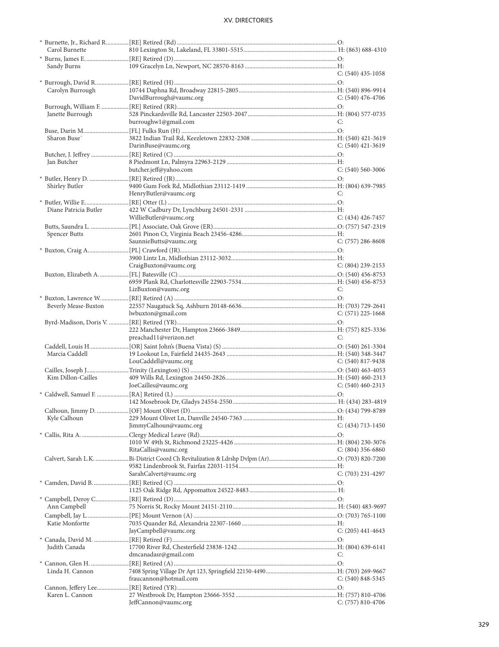| Carol Burnette        |                         |                       |
|-----------------------|-------------------------|-----------------------|
|                       |                         |                       |
| Sandy Burns           |                         |                       |
|                       |                         | $C: (540)$ 435-1058   |
|                       |                         |                       |
| Carolyn Burrough      |                         |                       |
|                       | DavidBurrough@vaumc.org | $C: (540)$ 476-4706   |
|                       |                         |                       |
| Janette Burrough      |                         |                       |
|                       | burroughw1@gmail.com    | C:                    |
|                       |                         |                       |
| Sharon Buse           |                         |                       |
|                       | DarinBuse@vaumc.org     | $C: (540)$ 421-3619   |
|                       |                         |                       |
| Jan Butcher           |                         |                       |
|                       | butcher.jeff@yahoo.com  | $C: (540) 560-3006$   |
|                       |                         |                       |
| Shirley Butler        |                         |                       |
|                       | HenryButler@vaumc.org   | C:                    |
|                       |                         |                       |
| Diane Patricia Butler |                         |                       |
|                       | WillieButler@vaumc.org  | $C: (434)$ 426-7457   |
|                       |                         |                       |
| Spencer Butts         |                         |                       |
|                       | SaunnieButts@vaumc.org  | $C: (757)$ 286-8608   |
|                       |                         |                       |
|                       |                         |                       |
|                       | CraigBuxton@vaumc.org   | $C: (804)$ 239-2153   |
|                       |                         |                       |
|                       |                         |                       |
|                       | LizBuxton@vaumc.org     | C:                    |
|                       |                         |                       |
| Beverly Mease-Buxton  |                         |                       |
|                       | lwbuxton@gmail.com      | $C: (571)$ 225-1668   |
|                       |                         |                       |
|                       |                         |                       |
|                       | preachad11@verizon.net  | C:                    |
|                       |                         |                       |
| Marcia Caddell        |                         |                       |
|                       | LouCaddell@vaumc.org    | $C: (540) 817 - 9438$ |
|                       |                         |                       |
| Kim Dillon-Cailles    |                         |                       |
|                       | JoeCailles@vaumc.org    | $C: (540)$ 460-2313   |
|                       |                         |                       |
|                       |                         |                       |
|                       |                         |                       |
| Kyle Calhoun          |                         |                       |
|                       | JimmyCalhoun@vaumc.org  | $C: (434)$ 713-1450   |
|                       |                         |                       |
|                       |                         |                       |
|                       | RitaCallis@vaumc.org    | $C: (804)$ 356-6860   |
|                       |                         |                       |
|                       |                         |                       |
|                       | SarahCalvert@vaumc.org  | $C: (703)$ 231-4297   |
|                       |                         |                       |
|                       |                         |                       |
|                       |                         |                       |
| Ann Campbell          |                         |                       |
|                       |                         |                       |
| Katie Monfortte       |                         |                       |
|                       | JayCampbell@vaumc.org   | $C: (205)$ 441-4643   |
|                       |                         |                       |
| Judith Canada         |                         |                       |
|                       | dmcanadasr@gmail.com    | C:                    |
|                       |                         |                       |
| Linda H. Cannon       |                         |                       |
|                       | fraucannon@hotmail.com  | $C: (540) 848 - 5345$ |
|                       |                         |                       |
| Karen L. Cannon       |                         |                       |
|                       | JeffCannon@vaumc.org    | $C: (757) 810-4706$   |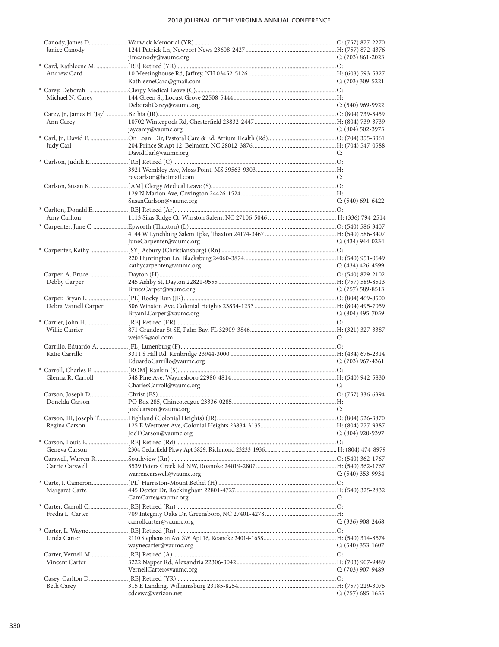| Janice Canody        |                           |                     |
|----------------------|---------------------------|---------------------|
|                      | jimcanody@vaumc.org       | C: $(703)$ 861-2023 |
|                      |                           |                     |
| Andrew Card          |                           |                     |
|                      | KathleeneCard@gmail.com   | $C: (703)$ 309-5221 |
|                      |                           |                     |
| Michael N. Carey     |                           |                     |
|                      | DeborahCarey@vaumc.org    | C: (540) 969-9922   |
|                      |                           |                     |
| Ann Carey            |                           |                     |
|                      | jaycarey@vaumc.org        | C: $(804)$ 502-3975 |
|                      |                           |                     |
| Judy Carl            |                           |                     |
|                      | DavidCarl@vaumc.org       | C:                  |
|                      |                           |                     |
|                      |                           |                     |
|                      | revcarlson@hotmail.com    | C:                  |
|                      |                           |                     |
|                      |                           |                     |
|                      | SusanCarlson@vaumc.org    | $C: (540) 691-6422$ |
|                      |                           |                     |
| Amy Carlton          |                           |                     |
|                      |                           |                     |
|                      |                           |                     |
|                      | JuneCarpenter@vaumc.org   | C: (434) 944-0234   |
|                      |                           |                     |
|                      |                           |                     |
|                      | kathycarpenter@vaumc.org  | C: $(434)$ 426-4599 |
|                      |                           |                     |
| Debby Carper         |                           |                     |
|                      | BruceCarper@vaumc.org     | C: $(757)$ 589-8513 |
|                      |                           |                     |
| Debra Varnell Carper |                           |                     |
|                      | BryanLCarper@vaumc.org    | C: (804) 495-7059   |
|                      |                           |                     |
| Willie Carrier       |                           |                     |
|                      | wejo55@aol.com            | C:                  |
|                      |                           |                     |
| Katie Carrillo       |                           |                     |
|                      |                           |                     |
|                      | EduardoCarrillo@vaumc.org | $C: (703)$ 967-4361 |
|                      |                           |                     |
| Glenna R. Carroll    |                           |                     |
|                      | CharlesCarroll@vaumc.org  | C:                  |
|                      |                           |                     |
| Donelda Carson       |                           |                     |
|                      | joedcarson@vaumc.org C:   |                     |
|                      |                           |                     |
| Regina Carson        |                           |                     |
|                      | JoeTCarson@vaumc.org      | $C: (804)$ 920-9397 |
|                      |                           |                     |
| Geneva Carson        |                           |                     |
|                      |                           |                     |
| Carrie Carswell      |                           |                     |
|                      | warrencarswell@vaumc.org  | C: $(540)$ 353-9934 |
|                      |                           |                     |
|                      |                           |                     |
| Margaret Carte       | CamCarte@vaumc.org        | C:                  |
|                      |                           |                     |
| Fredia L. Carter     |                           |                     |
|                      | carrollcarter@vaumc.org   | $C: (336)$ 908-2468 |
|                      |                           |                     |
| Linda Carter         |                           |                     |
|                      | waynecarter@vaumc.org     | $C: (540)$ 353-1607 |
|                      |                           |                     |
| Vincent Carter       |                           |                     |
|                      | VernellCarter@vaumc.org   | $C: (703)$ 907-9489 |
|                      |                           |                     |
| Beth Casey           |                           |                     |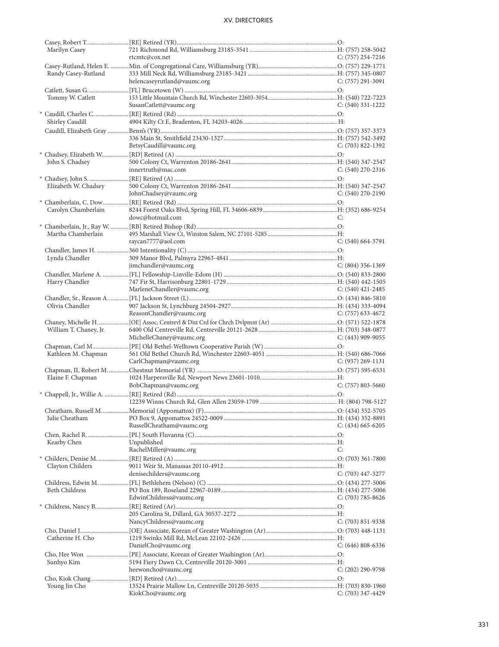| Marilyn Casey          |                             |                       |
|------------------------|-----------------------------|-----------------------|
|                        | rtcmtc@cox.net              | $C: (757)$ 254-7216   |
|                        |                             |                       |
| Randy Casey-Rutland    |                             |                       |
|                        | helencaseyrutland@vaumc.org | C: (757) 291-3091     |
|                        |                             |                       |
|                        |                             |                       |
| Tommy W. Catlett       |                             |                       |
|                        | SusanCatlett@vaumc.org      | $C: (540)$ 331-1222   |
|                        |                             |                       |
| Shirley Caudill        |                             |                       |
|                        |                             |                       |
|                        |                             |                       |
|                        |                             |                       |
|                        | BetsyCaudill@vaumc.org      | $C: (703)$ 822-1392   |
|                        |                             |                       |
| John S. Chadsey        |                             |                       |
|                        | innertruth@mac.com          | C: (540) 270-2316     |
|                        |                             |                       |
| Elizabeth W. Chadsey   |                             |                       |
|                        | JohnChadsey@vaumc.org       | $C: (540)$ 270-2190   |
|                        |                             |                       |
|                        |                             |                       |
| Carolyn Chamberlain    |                             |                       |
|                        | dowc@hotmail.com            | C:                    |
|                        |                             |                       |
| Martha Chamberlain     |                             |                       |
|                        | raycan7777@aol.com          | $C: (540) 664-3791$   |
|                        |                             |                       |
| Lynda Chandler         |                             |                       |
|                        | jimchandler@vaumc.org       | $C: (804)$ 356-1369   |
|                        |                             |                       |
|                        |                             |                       |
| Harry Chandler         |                             |                       |
|                        | MarleneChandler@vaumc.org   | C: $(540)$ 421-2485   |
|                        |                             |                       |
| Olivia Chandler        |                             |                       |
|                        | ReasonChandler@vaumc.org    | $C: (757)$ 633-4672   |
|                        |                             |                       |
| William T. Chaney, Jr. |                             |                       |
|                        | MichelleChaney@vaumc.org    | $C: (443)$ 909-9055   |
|                        |                             |                       |
| Kathleen M. Chapman    |                             |                       |
|                        | CarlChapman@vaumc.org       | $C: (937) 269 - 1131$ |
|                        |                             |                       |
| Elaine F. Chapman      |                             |                       |
|                        | BobChapman@vaumc.org        | C: (757) 803-5660     |
|                        |                             |                       |
|                        |                             |                       |
|                        |                             |                       |
|                        |                             |                       |
| Julie Cheatham         |                             |                       |
|                        | RussellCheatham@vaumc.org   | C: $(434)$ 665-6205   |
|                        |                             |                       |
| Kearby Chen            | Unpublished                 |                       |
|                        | RachelMiller@vaumc.org      | C:                    |
|                        |                             |                       |
| Clayton Childers       |                             |                       |
|                        | denisechilders@vaumc.org    | C: (703) 447-3277     |
|                        |                             |                       |
| <b>Beth Childress</b>  |                             |                       |
|                        |                             |                       |
|                        | EdwinChildress@vaumc.org    | $C: (703) 785 - 8626$ |
|                        |                             |                       |
|                        |                             |                       |
|                        | NancyChildress@vaumc.org    | $C: (703) 851 - 9338$ |
|                        |                             |                       |
| Catherine H. Cho       |                             |                       |
|                        | DanielCho@vaumc.org         | $C: (646) 808-6336$   |
|                        |                             |                       |
| Sunhyo Kim             |                             |                       |
|                        | heewoncho@vaumc.org         | C: (202) 290-9798     |
|                        |                             |                       |
| Young Jin Cho          |                             |                       |
|                        | KiokCho@vaumc.org           | $C: (703)$ 347-4429   |
|                        |                             |                       |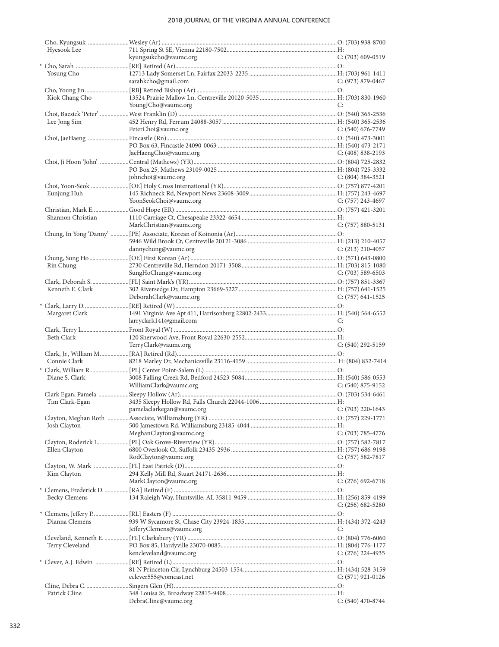| Hyesook Lee          |                                             |                       |
|----------------------|---------------------------------------------|-----------------------|
|                      | kyungsukcho@vaumc.org                       | $C: (703)$ 609-0519   |
| Yosung Cho           |                                             |                       |
|                      | sarahkcho@gmail.com                         | C: (973) 879-0467     |
|                      |                                             |                       |
| Kiok Chang Cho       |                                             |                       |
|                      | YoungJCho@vaumc.org                         | C:                    |
|                      |                                             |                       |
| Lee Jong Sim         |                                             |                       |
|                      | PeterChoi@vaumc.org                         | $C: (540) 676-7749$   |
|                      |                                             |                       |
|                      | JaeHaengChoi@vaumc.org                      | $C: (408) 838-2193$   |
|                      |                                             |                       |
|                      |                                             |                       |
|                      | johnchoi@vaumc.org                          | $C: (804)$ 384-3521   |
|                      |                                             |                       |
| Eunjung Huh          |                                             |                       |
|                      | YoonSeokChoi@vaumc.org                      | C: $(757)$ 243-4697   |
|                      |                                             |                       |
| Shannon Christian    |                                             |                       |
|                      | MarkChristian@vaumc.org                     | $C: (757) 880 - 5131$ |
|                      |                                             |                       |
|                      | dannychung@vaumc.org                        | $C: (213)$ 210-4057   |
|                      |                                             |                       |
| Rin Chung            |                                             |                       |
|                      | SungHoChung@vaumc.org                       | $C: (703)$ 589-6503   |
|                      |                                             |                       |
| Kenneth E. Clark     |                                             |                       |
|                      | DeborahClark@vaumc.org                      | $C: (757)$ 641-1525   |
|                      |                                             |                       |
| Margaret Clark       |                                             |                       |
|                      |                                             |                       |
|                      | larryclark141@gmail.com                     | C:                    |
|                      |                                             |                       |
| Beth Clark           |                                             |                       |
|                      | TerryClark@vaumc.org                        | $C: (540)$ 292-5159   |
|                      |                                             |                       |
| Connie Clark         |                                             |                       |
|                      |                                             |                       |
| Diane S. Clark       | WilliamClark@vaumc.org                      | $C: (540) 875-9152$   |
|                      |                                             |                       |
| Tim Clark-Egan       |                                             |                       |
|                      | pamelaclarkegan@vaumc.org C: (703) 220-1643 |                       |
|                      |                                             |                       |
| Josh Clayton         |                                             |                       |
|                      | MeghanClayton@vaumc.org                     | $C: (703) 785 - 4776$ |
|                      |                                             |                       |
| Ellen Clayton        |                                             |                       |
|                      | RodClayton@vaumc.org                        | $C: (757) 582-7817$   |
|                      |                                             |                       |
| Kim Clayton          |                                             | $C: (276)$ 692-6718   |
|                      | MarkClayton@vaumc.org                       |                       |
| <b>Becky Clemens</b> |                                             |                       |
|                      |                                             | $C: (256) 682 - 5280$ |
|                      |                                             |                       |
| Dianna Clemens       |                                             |                       |
|                      | JefferyClemens@vaumc.org                    | C:                    |
|                      |                                             |                       |
| Terry Cleveland      |                                             |                       |
|                      | kencleveland@vaumc.org                      | $C: (276)$ 224-4935   |
|                      |                                             |                       |
|                      | eclever555@comcast.net                      | $C: (571)$ 921-0126   |
|                      |                                             |                       |
| Patrick Cline        |                                             |                       |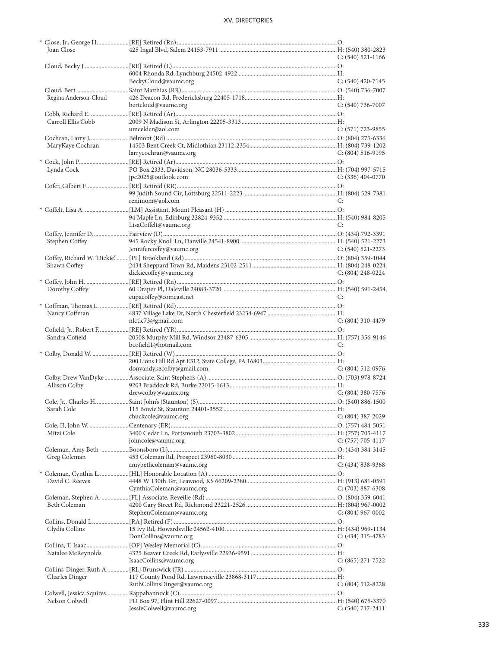| Joan Close            |                             | $C: (540) 521 - 1166$ |
|-----------------------|-----------------------------|-----------------------|
|                       |                             |                       |
|                       |                             |                       |
|                       | BeckyCloud@vaumc.org        | $C: (540)$ 420-7145   |
|                       |                             |                       |
|                       |                             |                       |
| Regina Anderson-Cloud |                             |                       |
|                       | bertcloud@vaumc.org         | $C: (540)$ 736-7007   |
|                       |                             |                       |
| Carroll Ellis Cobb    |                             |                       |
|                       | umcelder@aol.com            | $C: (571) 723 - 9855$ |
|                       |                             |                       |
| MaryKaye Cochran      |                             |                       |
|                       | larrycochran@vaumc.org      | $C: (804) 516-9195$   |
|                       |                             |                       |
| Lynda Cock            |                             |                       |
|                       |                             |                       |
|                       | jpc2025@outlook.com         | $C: (336)$ 404-0770   |
|                       |                             |                       |
|                       |                             |                       |
|                       | renimom@aol.com             | C:                    |
|                       |                             |                       |
|                       |                             |                       |
|                       | LisaCoffelt@vaumc.org       | C:                    |
|                       |                             |                       |
| Stephen Coffey        |                             |                       |
|                       |                             |                       |
|                       | Jennifercoffey@vaumc.org    | C: $(540)$ 521-2273   |
|                       |                             |                       |
| Shawn Coffey          |                             |                       |
|                       | dickiecoffey@vaumc.org      | C: $(804)$ 248-0224   |
|                       |                             |                       |
| Dorothy Coffey        |                             |                       |
|                       | cupacoffey@comcast.net      | C:                    |
|                       |                             |                       |
| Nancy Coffman         |                             |                       |
|                       | nlctlc73@gmail.com          | $C: (804)$ 310-4479   |
|                       |                             |                       |
|                       |                             |                       |
|                       |                             |                       |
| Sandra Cofield        |                             |                       |
|                       | bcofield1@hotmail.com       | C:                    |
|                       |                             |                       |
|                       |                             |                       |
|                       | donvandykecolby@gmail.com   | $C: (804) 512-0976$   |
|                       |                             |                       |
| Allison Colby         |                             |                       |
|                       | drewcolby@vaumc.org         | $C: (804)$ 380-7576   |
|                       |                             |                       |
|                       |                             |                       |
|                       |                             |                       |
|                       | chuckcole@vaumc.org         | $C: (804)$ 387-2029   |
|                       |                             |                       |
| Mitzi Cole            |                             |                       |
|                       | johncole@vaumc.org          | $C: (757) 705-4117$   |
|                       |                             |                       |
| Greg Coleman          |                             |                       |
|                       | amybethcoleman@vaumc.org    | $C: (434) 838-9368$   |
|                       |                             |                       |
|                       |                             |                       |
| David C. Reeves       |                             |                       |
|                       | CynthiaColeman@vaumc.org    | $C: (703) 887-6308$   |
|                       |                             |                       |
| Beth Coleman          |                             |                       |
|                       | StephenColeman@vaumc.org    | $C: (804)$ 967-0002   |
|                       |                             |                       |
| Clydia Collins        |                             |                       |
|                       | DonCollins@vaumc.org        | $C: (434)$ 315-4783   |
|                       |                             |                       |
| Natalee McReynolds    |                             |                       |
|                       | IsaacCollins@vaumc.org      | $C: (865) 271-7522$   |
|                       |                             |                       |
|                       |                             |                       |
| <b>Charles Dinger</b> |                             |                       |
|                       | RuthCollinsDinger@vaumc.org | $C: (804) 512 - 8228$ |
|                       |                             |                       |
| Nelson Colwell        | JessieColwell@vaumc.org     | $C: (540)$ 717-2411   |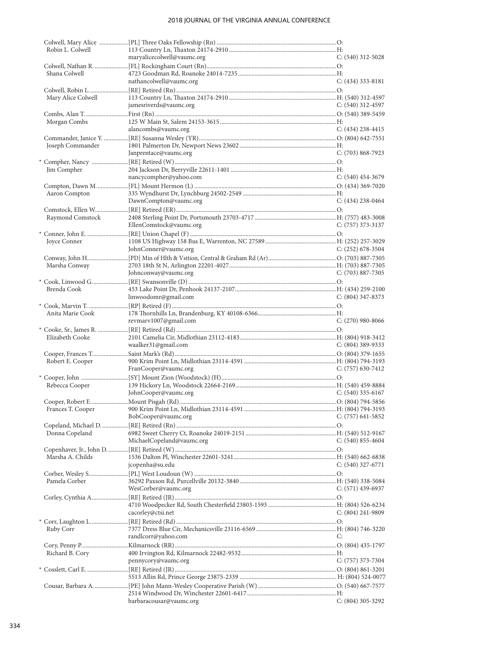| Robin L. Colwell   |                            |                       |
|--------------------|----------------------------|-----------------------|
|                    | maryalicecolwell@vaumc.org | C: (540) 312-5028     |
| Shana Colwell      |                            |                       |
|                    | nathancolwell@vaumc.org    | $C: (434)$ 333-8181   |
|                    |                            |                       |
| Mary Alice Colwell |                            |                       |
|                    | jamesriverds@vaumc.org     | $C: (540)$ 312-4597   |
|                    |                            |                       |
| Morgan Combs       |                            |                       |
|                    | alancombs@vaumc.org        | $C: (434)$ 238-4415   |
|                    |                            |                       |
| Joseph Commander   |                            |                       |
|                    | Janprentace@vaumc.org      | $C: (703) 868 - 7923$ |
|                    |                            |                       |
| Jim Compher        |                            |                       |
|                    | nancycompher@yahoo.com     | $C: (540)$ 454-3679   |
| Aaron Compton      |                            |                       |
|                    | DawnCompton@vaumc.org      | $C: (434)$ 238-0464   |
|                    |                            |                       |
| Raymond Comstock   |                            |                       |
|                    | EllenComstock@vaumc.org    | $C: (757)$ 373-3137   |
|                    |                            |                       |
| Joyce Conner       |                            |                       |
|                    | JohnConner@vaumc.org       | C: $(252)$ 678-3504   |
|                    |                            |                       |
| Marsha Conway      |                            |                       |
|                    | Johnconway@vaumc.org       | $C: (703) 887 - 7305$ |
|                    |                            |                       |
| Brenda Cook        | linwoodomr@gmail.com       | $C: (804)$ 347-8373   |
|                    |                            |                       |
| Anita Marie Cook   |                            |                       |
|                    | revmarv1007@gmail.com      | $C: (270)$ 980-8066   |
|                    |                            |                       |
| Elizabeth Cooke    |                            |                       |
|                    | waalker31@gmail.com        | C: $(804)$ 389-9333   |
|                    |                            |                       |
| Robert E. Cooper   |                            |                       |
|                    | FranCooper@vaumc.org       | $C: (757)$ 630-7412   |
|                    |                            |                       |
| Rebecca Cooper     |                            |                       |
|                    | JohnCooper@vaumc.org       | $C: (540)$ 335-6167   |
|                    |                            |                       |
|                    | BobCooper@vaumc.org        | $C: (757) 641 - 5852$ |
|                    |                            |                       |
| Donna Copeland     |                            |                       |
|                    | MichaelCopeland@vaumc.org  | $C: (540) 855-4604$   |
|                    |                            |                       |
| Marsha A. Childs   |                            |                       |
|                    | jcopenha@su.edu            | $C: (540)$ 327-6771   |
|                    |                            |                       |
| Pamela Corber      |                            |                       |
|                    | WesCorber@vaumc.org        | $C: (571)$ 439-6937   |
|                    |                            |                       |
|                    | cacorley@ctsi.net          | $C: (804)$ 241-9809   |
|                    |                            |                       |
| Ruby Corr          |                            |                       |
|                    | randlcorr@yahoo.com        | C:                    |
|                    |                            |                       |
| Richard B. Cory    |                            |                       |
|                    | pennycory@vaumc.org        | C: $(757)$ 373-7304   |
|                    |                            |                       |
|                    |                            |                       |
|                    |                            |                       |
|                    |                            |                       |
|                    | barbaracousar@vaumc.org    | $C: (804)$ 305-3292   |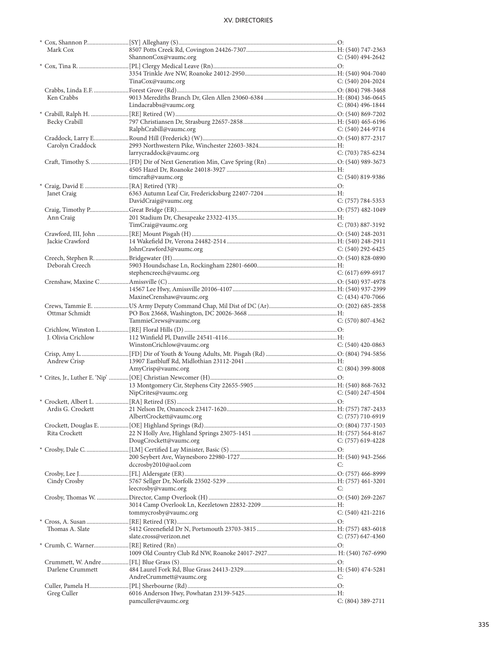| Mark Cox           |                           |                       |
|--------------------|---------------------------|-----------------------|
|                    | ShannonCox@vaumc.org      | C: (540) 494-2642     |
|                    |                           |                       |
|                    |                           |                       |
|                    | TinaCox@vaumc.org         | $C: (540)$ 204-2024   |
|                    |                           |                       |
| Ken Crabbs         |                           |                       |
|                    | Lindacrabbs@vaumc.org     | C: $(804)$ 496-1844   |
|                    |                           |                       |
| Becky Crabill      |                           |                       |
|                    | RalphCrabill@vaumc.org    | C: (540) 244-9714     |
|                    |                           |                       |
| Carolyn Craddock   |                           |                       |
|                    | larrycraddock@vaumc.org   | $C: (703) 785 - 6234$ |
|                    |                           |                       |
|                    |                           |                       |
|                    | timcraft@vaumc.org        | C: (540) 819-9386     |
|                    |                           |                       |
|                    |                           |                       |
| Janet Craig        |                           | $C: (757) 784-5353$   |
|                    | DavidCraig@vaumc.org      |                       |
|                    |                           |                       |
| Ann Craig          |                           |                       |
|                    | TimCraig@vaumc.org        | $C: (703) 887 - 3192$ |
|                    |                           |                       |
| Jackie Crawford    |                           |                       |
|                    | JohnCrawford3@vaumc.org   | C: $(540)$ 292-6425   |
|                    |                           |                       |
| Deborah Creech     |                           |                       |
|                    | stephencreech@vaumc.org   | $C: (617) 699-6917$   |
|                    |                           |                       |
|                    |                           |                       |
|                    | MaxineCrenshaw@vaumc.org  | $C: (434)$ 470-7066   |
|                    |                           |                       |
| Ottmar Schmidt     |                           |                       |
|                    | TammieCrews@vaumc.org     | $C: (570) 807-4362$   |
|                    |                           |                       |
| J. Olivia Crichlow |                           |                       |
|                    |                           |                       |
|                    | WinstonCrichlow@vaumc.org | $C: (540)$ 420-0863   |
|                    |                           |                       |
|                    |                           |                       |
| Andrew Crisp       |                           |                       |
|                    | AmyCrisp@vaumc.org        | $C: (804)$ 399-8008   |
|                    |                           |                       |
|                    |                           |                       |
|                    | NipCrites@vaumc.org       | $C: (540)$ 247-4504   |
|                    |                           |                       |
|                    |                           |                       |
|                    | AlbertCrockett@vaumc.org  | $C: (757) 710-6919$   |
|                    |                           |                       |
| Rita Crockett      |                           |                       |
|                    | DougCrockett@vaumc.org    | C: $(757)$ 619-4228   |
|                    |                           |                       |
|                    |                           |                       |
|                    | dccrosby2010@aol.com      | C:                    |
|                    |                           |                       |
| Cindy Crosby       |                           |                       |
|                    | leecrosby@vaumc.org       | C:                    |
|                    |                           |                       |
|                    |                           |                       |
|                    | tommycrosby@vaumc.org     | $C: (540)$ 421-2216   |
|                    |                           |                       |
| Thomas A. Slate    |                           |                       |
|                    | slate.cross@verizon.net   | $C: (757)$ 647-4360   |
|                    |                           |                       |
|                    |                           |                       |
|                    |                           |                       |
| Darlene Crummett   |                           |                       |
|                    | AndreCrummett@vaumc.org   | C:                    |
|                    |                           |                       |
|                    |                           |                       |
| Greg Culler        | pamculler@vaumc.org       | $C: (804)$ 389-2711   |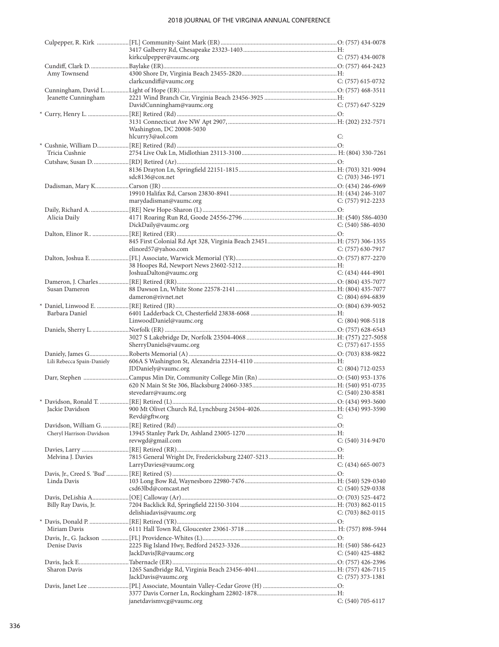|                            | kirkculpepper@vaumc.org   | C: $(757)$ 434-0078   |
|----------------------------|---------------------------|-----------------------|
|                            |                           |                       |
| Amy Townsend               |                           |                       |
|                            | clarkcundiff@vaumc.org    | $C: (757)$ 615-0732   |
|                            |                           |                       |
| Jeanette Cunningham        |                           |                       |
|                            | DavidCunningham@vaumc.org | C: (757) 647-5229     |
|                            |                           |                       |
|                            | Washington, DC 20008-5030 |                       |
|                            | hlcurry3@aol.com          | C:                    |
|                            |                           |                       |
| Tricia Cushnie             |                           |                       |
|                            |                           |                       |
|                            | sdc8136@cox.net           | C: $(703)$ 346-1971   |
|                            |                           |                       |
|                            |                           |                       |
|                            | marydadisman@vaumc.org    | C: $(757)$ 912-2233   |
|                            |                           |                       |
| Alicia Daily               |                           |                       |
|                            | DickDaily@vaumc.org       | $C: (540) 586-4030$   |
|                            |                           |                       |
|                            | elinord57@yahoo.com       | C: $(757)$ 630-7917   |
|                            |                           |                       |
|                            |                           |                       |
|                            | JoshuaDalton@vaumc.org    | $C: (434) 444-4901$   |
|                            |                           |                       |
| Susan Dameron              | dameron@rivnet.net        | C: $(804)$ 694-6839   |
|                            |                           |                       |
| Barbara Daniel             |                           |                       |
|                            | LinwoodDaniel@vaumc.org   | $C: (804)$ 908-5118   |
|                            |                           |                       |
|                            |                           |                       |
|                            | SherryDaniels@vaumc.org   | C: (757) 617-1555     |
| Lili Rebecca Spain-Daniely |                           |                       |
|                            | JDDaniely@vaumc.org       | $C: (804) 712 - 0253$ |
|                            |                           |                       |
|                            |                           |                       |
|                            | stevedarr@vaumc.org       | $C: (540)$ 230-8581   |
|                            |                           |                       |
|                            | Revd@gftw.org             | C:                    |
|                            |                           |                       |
| Cheryl Harrison-Davidson   |                           |                       |
|                            | revwgd@gmail.com          | $C: (540)$ 314-9470   |
| Melvina J. Davies          |                           |                       |
|                            | LarryDavies@vaumc.org     | $C: (434)$ 665-0073   |
|                            |                           |                       |
| Linda Davis                |                           |                       |
|                            | csd63lbd@comcast.net      | $C: (540) 529-0338$   |
|                            |                           |                       |
| Billy Ray Davis, Jr.       | delishiadavis@vaumc.org   | $C: (703) 862 - 0115$ |
|                            |                           |                       |
| Miriam Davis               |                           |                       |
|                            |                           |                       |
| Denise Davis               |                           |                       |
|                            | JackDavisJR@vaumc.org     | C: $(540)$ 425-4882   |
|                            |                           |                       |
| Sharon Davis               | JackDavis@vaumc.org       | $C: (757)$ 373-1381   |
|                            |                           |                       |
|                            |                           |                       |
|                            | janetdavismvcg@vaumc.org  | $C: (540) 705-6117$   |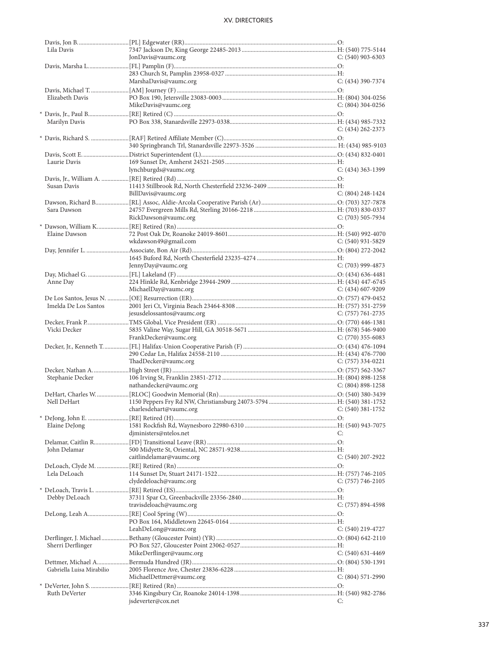| Lila Davis                |                                           |                       |
|---------------------------|-------------------------------------------|-----------------------|
|                           | JonDavis@vaumc.org                        | C: (540) 903-6303     |
|                           |                                           |                       |
|                           |                                           |                       |
|                           | MarshaDavis@vaumc.org                     | $C: (434)$ 390-7374   |
|                           |                                           |                       |
| Elizabeth Davis           |                                           |                       |
|                           | MikeDavis@vaumc.org                       | $C: (804)$ 304-0256   |
|                           |                                           |                       |
| Marilyn Davis             |                                           |                       |
|                           |                                           | $C: (434)$ 262-2373   |
|                           |                                           |                       |
|                           |                                           |                       |
|                           |                                           |                       |
| Laurie Davis              |                                           |                       |
|                           | lynchburgds@vaumc.org                     | $C: (434)$ 363-1399   |
|                           |                                           |                       |
|                           |                                           |                       |
| Susan Davis               |                                           |                       |
|                           | BillDavis@vaumc.org                       | $C: (804)$ 248-1424   |
|                           |                                           |                       |
| Sara Dawson               |                                           |                       |
|                           | RickDawson@vaumc.org                      | $C: (703)$ 505-7934   |
|                           |                                           |                       |
| Elaine Dawson             |                                           |                       |
|                           | wkdawson49@gmail.com                      | $C: (540)$ 931-5829   |
|                           |                                           |                       |
|                           |                                           |                       |
|                           | JennyDay@vaumc.org                        | $C: (703)$ 999-4873   |
|                           |                                           |                       |
| Anne Day                  |                                           |                       |
|                           | MichaelDay@vaumc.org                      | C: (434) 607-9209     |
|                           |                                           |                       |
| Imelda De Los Santos      |                                           |                       |
|                           | jesusdelossantos@vaumc.org                | C: $(757)$ 761-2735   |
|                           |                                           |                       |
| Vicki Decker              |                                           |                       |
|                           | FrankDecker@vaumc.org                     | $C: (770)$ 355-6083   |
|                           |                                           |                       |
|                           |                                           |                       |
|                           | ThadDecker@vaumc.org                      | $C: (757)$ 334-0221   |
|                           |                                           |                       |
| Stephanie Decker          |                                           |                       |
|                           | nathandecker@vaumc.org                    | $C: (804) 898 - 1258$ |
|                           |                                           |                       |
| Nell DeHart               |                                           |                       |
|                           | charlesdehart@vaumc.org C: (540) 381-1752 |                       |
|                           |                                           |                       |
|                           |                                           |                       |
| Elaine DeJong             |                                           |                       |
|                           | diministers@ntelos.net                    | C:                    |
|                           |                                           |                       |
| John Delamar              |                                           |                       |
|                           | caitlindelamar@vaumc.org                  | C: (540) 207-2922     |
|                           |                                           |                       |
| Lela DeLoach              |                                           |                       |
|                           | clydedeloach@vaumc.org                    | $C: (757) 746-2105$   |
|                           |                                           |                       |
| Debby DeLoach             |                                           |                       |
|                           | travisdeloach@vaumc.org                   | $C: (757) 894-4598$   |
|                           |                                           |                       |
|                           |                                           |                       |
|                           | LeahDeLong@vaumc.org                      | C: (540) 219-4727     |
|                           |                                           |                       |
| Sherri Derflinger         |                                           |                       |
|                           | MikeDerflinger@vaumc.org                  | $C: (540)$ 631-4469   |
|                           |                                           |                       |
| Gabriella Luisa Mirabilio |                                           |                       |
|                           | MichaelDettmer@vaumc.org                  | $C: (804) 571-2990$   |
|                           |                                           |                       |
| Ruth DeVerter             |                                           |                       |
|                           | jsdeverter@cox.net                        | C:                    |
|                           |                                           |                       |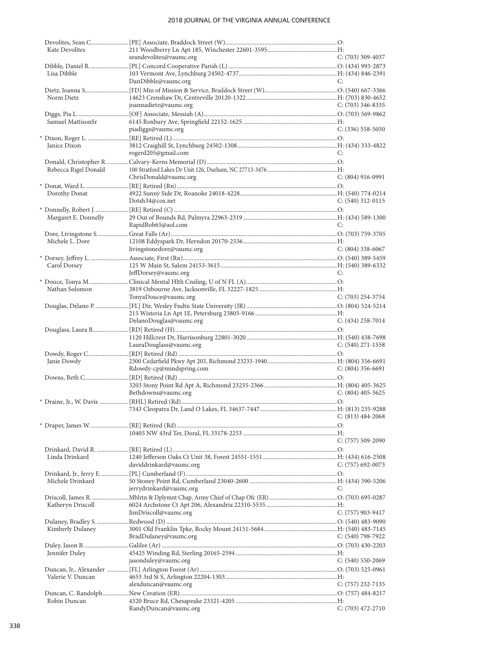| Kate Devolites       |                           |                     |
|----------------------|---------------------------|---------------------|
|                      | seandevolites@vaumc.org   | $C: (703)$ 309-4037 |
|                      |                           |                     |
| Lisa Dibble          |                           |                     |
|                      | DanDibble@vaumc.org       | C:                  |
|                      |                           |                     |
| Norm Dietz           |                           |                     |
|                      | joannadietz@vaumc.org     | $C: (703)$ 346-8335 |
|                      |                           |                     |
| Samuel MattisonSr    |                           |                     |
|                      | piadiggs@vaumc.org        | $C: (336)$ 558-5050 |
|                      |                           |                     |
| Janice Dixon         |                           |                     |
|                      | rogerd205@gmail.com       | C:                  |
|                      |                           |                     |
| Rebecca Rigel Donald |                           |                     |
|                      | ChrisDonald@vaumc.org     | $C: (804)$ 916-0991 |
|                      |                           |                     |
| Dorothy Donat        |                           |                     |
|                      | Dotsh34@cox.net           | $C: (540)$ 312-0115 |
|                      |                           |                     |
| Margaret E. Donnelly |                           |                     |
|                      | RapidBob65@aol.com        | C:                  |
|                      |                           |                     |
| Michele L. Dore      |                           |                     |
|                      | livingstonedore@vaumc.org | $C: (804)$ 338-6067 |
|                      |                           |                     |
|                      |                           |                     |
| Carol Dorsey         |                           |                     |
|                      | JeffDorsey@vaumc.org      | C:                  |
|                      |                           |                     |
| Nathan Solomon       |                           |                     |
|                      | TonyaDouce@vaumc.org      | $C: (703)$ 254-3754 |
|                      |                           |                     |
|                      |                           |                     |
|                      | DelanoDouglas@vaumc.org   | $C: (434)$ 258-7014 |
|                      |                           |                     |
|                      |                           |                     |
|                      | LauraDouglass@vaumc.org   | $C: (540)$ 271-1558 |
|                      |                           |                     |
| Janie Dowdy          |                           |                     |
|                      | Rdowdy-cp@mindspring.com  | $C: (804)$ 356-6691 |
|                      |                           |                     |
|                      |                           |                     |
|                      | Bethdowns@vaumc.org       | $C: (804)$ 405-3625 |
|                      |                           |                     |
|                      |                           |                     |
|                      |                           | $C: (813) 484-2068$ |
|                      |                           |                     |
|                      |                           |                     |
|                      |                           | C: (757) 509-2090   |
|                      |                           |                     |
| Linda Drinkard       |                           |                     |
|                      | daviddrinkard@vaumc.org   | $C: (757)$ 692-0073 |
|                      |                           |                     |
| Michele Drinkard     |                           |                     |
|                      | jerrydrinkard@vaumc.org   | C:                  |
|                      |                           |                     |
| Katheryn Driscoll    |                           |                     |
|                      | JimDriscoll@vaumc.org     | C: (757) 903-9417   |
|                      |                           |                     |
| Kimberly Dulaney     |                           |                     |
|                      | BradDulaney@vaumc.org     | C: $(540)$ 798-7922 |
|                      |                           |                     |
| Jennifer Duley       |                           |                     |
|                      | jasonduley@vaumc.org      | $C: (540) 550-2069$ |
|                      |                           |                     |
| Valerie V. Duncan    |                           |                     |
|                      | alexduncan@vaumc.org      | C: (757) 232-7135   |
|                      |                           |                     |
| Robin Duncan         |                           |                     |
|                      |                           |                     |
|                      | RandyDuncan@vaumc.org     | $C: (703)$ 472-2710 |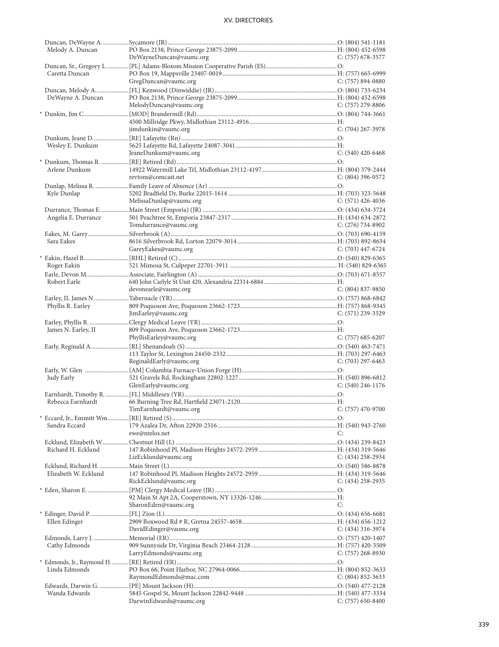| Melody A. Duncan     |                                          |                       |
|----------------------|------------------------------------------|-----------------------|
|                      | DeWayneDuncan@vaumc.org                  | $C: (757)$ 678-3577   |
|                      |                                          |                       |
| Caretta Duncan       |                                          |                       |
|                      | GregDuncan@vaumc.org                     | $C: (757) 894-0880$   |
|                      |                                          |                       |
| DeWayne A. Duncan    |                                          |                       |
|                      | MelodyDuncan@vaumc.org                   | $C: (757)$ 279-8806   |
|                      |                                          |                       |
|                      |                                          |                       |
|                      | jimdunkin@vaumc.org                      | $C: (704)$ 267-3978   |
|                      |                                          |                       |
| Wesley E. Dunkum     |                                          |                       |
|                      | JeaneDunkum@vaumc.org                    | $C: (540)$ 420-6468   |
| Arlene Dunkum        |                                          |                       |
|                      | revtom@comcast.net                       | $C: (804)$ 396-0572   |
|                      |                                          |                       |
|                      |                                          |                       |
| Kyle Dunlap          | MelissaDunlap@vaumc.org                  | $C: (571)$ 426-4036   |
|                      |                                          |                       |
| Angelia E. Durrance  |                                          |                       |
|                      | Tomdurrance@vaumc.org                    | $C: (276) 734-8902$   |
|                      |                                          |                       |
| Sara Eakes           |                                          |                       |
|                      | GareyEakes@vaumc.org                     | $C: (703)$ 447-6724   |
|                      |                                          |                       |
| Roger Eakin          |                                          |                       |
|                      |                                          |                       |
| Robert Earle         |                                          |                       |
|                      | devonearle@vaumc.org                     | $C: (804) 837-9850$   |
|                      |                                          |                       |
| Phyllis R. Earley    |                                          |                       |
|                      | JimEarley@vaumc.org                      | $C: (571)$ 239-3529   |
|                      |                                          |                       |
|                      |                                          |                       |
| James N. Earley, II  |                                          |                       |
|                      | PhyllisEarley@vaumc.org                  | $C: (757) 685 - 6207$ |
|                      |                                          |                       |
|                      |                                          |                       |
|                      | ReginaldEarly@vaumc.org                  | $C: (703)$ 297-6463   |
|                      |                                          |                       |
| Judy Early           |                                          |                       |
|                      | GlenEarly@vaumc.org                      | $C: (540)$ 246-1176   |
|                      |                                          |                       |
| Rebecca Earnhardt    |                                          |                       |
|                      | TimEarnhardt@vaumc.org C: (757) 470-9700 |                       |
|                      |                                          |                       |
| Sandra Eccard        |                                          |                       |
|                      | ewe@ntelos.net                           | C:                    |
|                      |                                          |                       |
| Richard H. Ecklund   |                                          |                       |
|                      | LizEcklund@vaumc.org                     | $C: (434)$ 258-2934   |
|                      |                                          |                       |
| Elizabeth W. Ecklund |                                          |                       |
|                      | RickEcklund@vaumc.org                    | C: $(434)$ 258-2935   |
|                      |                                          |                       |
|                      | SharonEden@vaumc.org                     | C:                    |
|                      |                                          |                       |
| Ellen Edinger        |                                          |                       |
|                      | DavidEdinger@vaumc.org                   | C: (434) 316-3974     |
|                      |                                          |                       |
| Cathy Edmonds        |                                          |                       |
|                      | LarryEdmonds@vaumc.org                   | $C: (757)$ 268-8930   |
|                      |                                          |                       |
| Linda Edmonds        |                                          |                       |
|                      | RaymondEdmonds@mac.com                   | $C: (804) 852 - 3633$ |
|                      |                                          |                       |
| Wanda Edwards        | DarwinEdwards@vaumc.org                  | $C: (757) 650-8400$   |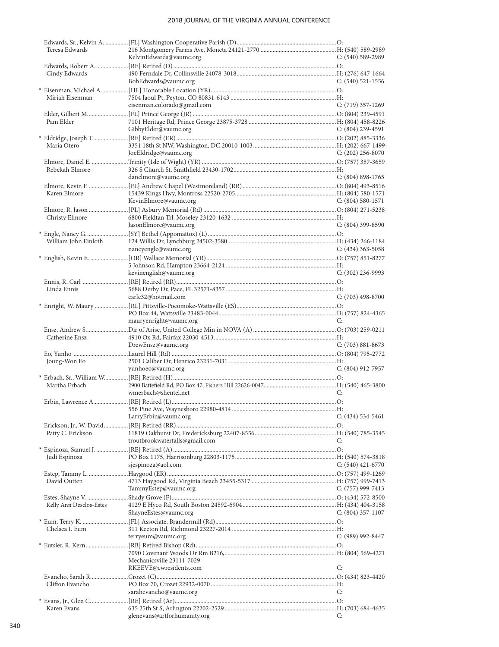| Teresa Edwards          |                                |                       |
|-------------------------|--------------------------------|-----------------------|
|                         | KelvinEdwards@vaumc.org        | $C: (540)$ 589-2989   |
|                         |                                |                       |
| Cindy Edwards           |                                |                       |
|                         | BobEdwards@vaumc.org           | $C: (540)$ 521-1556   |
|                         |                                |                       |
| Miriah Eisenman         |                                |                       |
|                         | eisenman.colorado@gmail.com    | C: (719) 357-1269     |
|                         |                                |                       |
|                         |                                |                       |
| Pam Elder               |                                |                       |
|                         | GibbyElder@vaumc.org           | C: (804) 239-4591     |
|                         |                                |                       |
| Maria Otero             |                                |                       |
|                         | JoeEldridge@vaumc.org          | C: $(202)$ 256-8070   |
|                         |                                |                       |
| Rebekah Elmore          |                                |                       |
|                         | danelmore@vaumc.org            | $C: (804) 898-1765$   |
|                         |                                |                       |
| Karen Elmore            |                                |                       |
|                         | KevinElmore@vaumc.org          | $C: (804) 580-1571$   |
|                         |                                |                       |
|                         |                                |                       |
| Christy Elmore          |                                |                       |
|                         | JasonElmore@vaumc.org          | C: (804) 399-8590     |
|                         |                                |                       |
| William John Einloth    |                                |                       |
|                         | nancyengle@vaumc.org           | C: $(434)$ 363-5058   |
|                         |                                |                       |
|                         |                                |                       |
|                         | kevinenglish@vaumc.org         | $C: (302)$ 236-9993   |
|                         |                                |                       |
|                         |                                |                       |
| Linda Ennis             |                                |                       |
|                         | carle32@hotmail.com            | $C: (703)$ 498-8700   |
|                         |                                |                       |
|                         |                                |                       |
|                         | mauryenright@vaumc.org         | C:                    |
|                         |                                |                       |
| Catherine Ensz          |                                |                       |
|                         | DrewEnsz@vaumc.org             | $C: (703) 881 - 8673$ |
|                         |                                |                       |
| Joung-Won Eo            |                                |                       |
|                         | yunhoeo@vaumc.org              | $C: (804)$ 912-7957   |
|                         |                                |                       |
|                         |                                |                       |
| Martha Erbach           |                                |                       |
|                         | wmerbach@shentel.net           | C:                    |
|                         |                                |                       |
|                         |                                |                       |
|                         | LarryErbin@vaumc.org           | $C: (434) 534-5461$   |
|                         |                                |                       |
| Patty C. Erickson       |                                |                       |
|                         | troutbrookwaterfalls@gmail.com | C:                    |
|                         |                                |                       |
|                         |                                |                       |
| Judi Espinoza           | sjespinoza@aol.com             | C: $(540)$ 421-6770   |
|                         |                                |                       |
|                         |                                |                       |
| David Outten            |                                |                       |
|                         | TammyEstep@vaumc.org           | C: (757) 999-7413     |
|                         |                                |                       |
| Kelly Ann Desclos-Estes |                                |                       |
|                         | ShayneEstes@vaumc.org          | $C: (804)$ 357-1107   |
|                         |                                |                       |
| Chelsea I. Eum          |                                |                       |
|                         | terryeum@vaumc.org             | $C: (989) 992 - 8447$ |
|                         |                                |                       |
|                         |                                |                       |
|                         |                                |                       |
|                         | Mechanicsville 23111-7029      |                       |
|                         | RKEEVE@cwresidents.com         | C:                    |
|                         |                                |                       |
| Clifton Evancho         |                                |                       |
|                         | sarahevancho@vaumc.org         | C:                    |
|                         |                                |                       |
| Karen Evans             |                                |                       |
|                         | glenevans@artforhumanity.org   | C:                    |
|                         |                                |                       |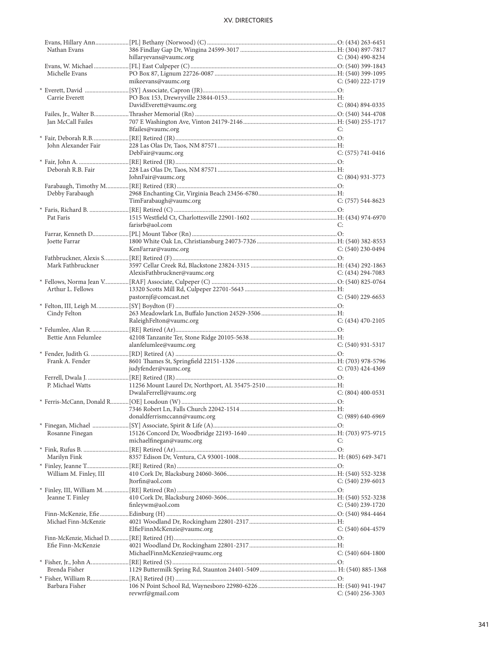| Nathan Evans           |                               |                     |
|------------------------|-------------------------------|---------------------|
|                        | hillaryevans@vaumc.org        | C: (304) 490-8234   |
|                        |                               |                     |
|                        |                               |                     |
| Michelle Evans         |                               |                     |
|                        | mikeevans@vaumc.org           | C: (540) 222-1719   |
|                        |                               |                     |
| Carrie Everett         |                               |                     |
|                        | DavidEverett@vaumc.org        | $C: (804) 894-0335$ |
|                        |                               |                     |
|                        |                               |                     |
| Jan McCall Failes      |                               |                     |
|                        | Bfailes@vaumc.org             | C:                  |
|                        |                               |                     |
|                        |                               |                     |
| John Alexander Fair    |                               |                     |
|                        | DebFair@vaumc.org             | $C: (575) 741-0416$ |
|                        |                               |                     |
|                        |                               |                     |
| Deborah R.B. Fair      |                               |                     |
|                        | JohnFair@vaumc.org            | $C: (804)$ 931-3773 |
|                        |                               |                     |
|                        |                               |                     |
| Debby Farabaugh        |                               |                     |
|                        | TimFarabaugh@vaumc.org        | $C: (757) 544-8623$ |
|                        |                               |                     |
| Pat Faris              |                               |                     |
|                        |                               |                     |
|                        | farisrb@aol.com               | C:                  |
|                        |                               |                     |
| <b>Joette Farrar</b>   |                               |                     |
|                        |                               |                     |
|                        | KenFarrar@vaumc.org           | $C: (540)$ 230-0494 |
|                        |                               |                     |
| Mark Fathbruckner      |                               |                     |
|                        | AlexisFathbruckner@vaumc.org  | C: $(434)$ 294-7083 |
|                        |                               |                     |
|                        |                               |                     |
| Arthur L. Fellows      |                               |                     |
|                        | pastornjf@comcast.net         | $C: (540)$ 229-6653 |
|                        |                               |                     |
|                        |                               |                     |
| Cindy Felton           |                               |                     |
|                        | RaleighFelton@vaumc.org       | $C: (434)$ 470-2105 |
|                        |                               |                     |
|                        |                               |                     |
| Bettie Ann Felumlee    |                               |                     |
|                        | alanfelumlee@vaumc.org        | $C: (540)$ 931-5317 |
|                        |                               |                     |
|                        |                               |                     |
| Frank A. Fender        |                               |                     |
|                        | judyfender@vaumc.org          | $C: (703)$ 424-4369 |
|                        |                               |                     |
| P. Michael Watts       |                               |                     |
|                        |                               |                     |
|                        | DwalaFerrell@vaumc.org        | $C: (804)$ 400-0531 |
|                        |                               |                     |
|                        |                               |                     |
|                        | donaldferrismccann@vaumc.org  | C: (989) 640-6969   |
|                        |                               |                     |
|                        |                               |                     |
| Rosanne Finegan        |                               |                     |
|                        | michaelfinegan@vaumc.org      | C:                  |
|                        |                               |                     |
|                        |                               |                     |
| Marilyn Fink           |                               |                     |
|                        |                               |                     |
|                        |                               |                     |
| William M. Finley, III |                               |                     |
|                        |                               |                     |
|                        | Itorfin@aol.com               | $C: (540)$ 239-6013 |
|                        |                               |                     |
|                        |                               |                     |
| Jeanne T. Finley       |                               |                     |
|                        | finleywm@aol.com              | $C: (540)$ 239-1720 |
|                        |                               |                     |
|                        |                               |                     |
| Michael Finn-McKenzie  |                               |                     |
|                        | ElfieFinnMcKenzie@vaumc.org   | $C: (540) 604-4579$ |
|                        |                               |                     |
| Efie Finn-McKenzie     |                               |                     |
|                        |                               |                     |
|                        | MichaelFinnMcKenzie@vaumc.org | $C: (540) 604-1800$ |
|                        |                               |                     |
| Brenda Fisher          |                               |                     |
|                        |                               |                     |
|                        |                               |                     |
| Barbara Fisher         | revwrf@gmail.com              | $C: (540)$ 256-3303 |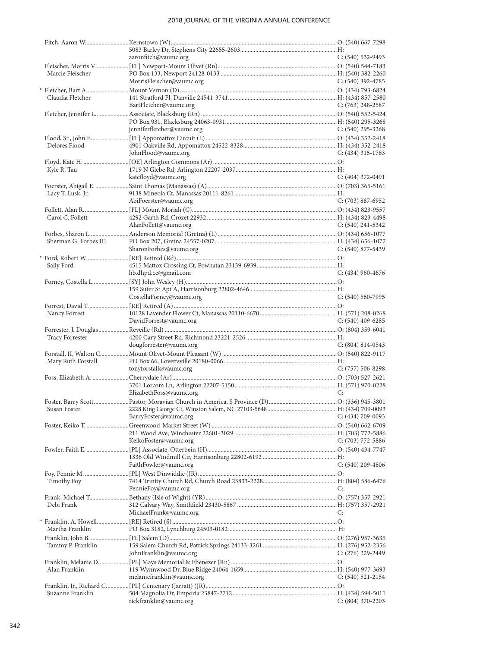|                       | aaronfitch@vaumc.org       | $C: (540)$ 532-9493   |
|-----------------------|----------------------------|-----------------------|
|                       |                            |                       |
| Marcie Fleischer      |                            | C: $(540)$ 392-4785   |
|                       | MorrisFleischer@vaumc.org  |                       |
| Claudia Fletcher      |                            |                       |
|                       | BartFletcher@vaumc.org     | C: $(763)$ 248-2587   |
|                       |                            |                       |
|                       |                            |                       |
|                       | jenniferfletcher@vaumc.org | $C: (540)$ 295-3268   |
|                       |                            |                       |
| Delores Flood         |                            |                       |
|                       | JohnFlood@vaumc.org        | C: $(434)$ 315-1783   |
|                       |                            |                       |
| Kyle R. Tau           |                            |                       |
|                       | katefloyd@vaumc.org        | $C: (404)$ 372-0491   |
|                       |                            |                       |
| Lacy T. Lusk, Jr.     |                            |                       |
|                       | AbiFoerster@vaumc.org      | $C: (703) 887-6952$   |
|                       |                            |                       |
| Carol C. Follett      | AlanFollett@vaumc.org      | C: $(540)$ 241-5342   |
|                       |                            |                       |
| Sherman G. Forbes III |                            |                       |
|                       | SharonForbes@vaumc.org     | $C: (540)$ 877-5439   |
|                       |                            |                       |
| Sally Ford            |                            |                       |
|                       | hb.dhpd.ce@gmail.com       | $C: (434)$ 960-4676   |
|                       |                            |                       |
|                       |                            |                       |
|                       | CostellaForney@vaumc.org   | $C: (540) 560-7995$   |
|                       |                            |                       |
| Nancy Forrest         |                            |                       |
|                       | DavidForrest@vaumc.org     | C: $(540)$ 409-6285   |
|                       |                            |                       |
| Tracy Forrester       |                            |                       |
|                       | dougforrester@vaumc.org    | $C: (804) 814-0543$   |
|                       |                            |                       |
| Mary Ruth Forstall    | tonyforstall@vaumc.org     | $C: (757) 506 - 8298$ |
|                       |                            |                       |
|                       |                            |                       |
|                       | ElizabethFoss@vaumc.org    | C:                    |
|                       |                            |                       |
|                       |                            |                       |
|                       | BarryFoster@vaumc.org      | $C: (434) 709-0093$   |
|                       |                            |                       |
|                       |                            |                       |
|                       | KeikoFoster@vaumc.org      | $C: (703) 772 - 5886$ |
|                       |                            |                       |
|                       |                            |                       |
|                       | FaithFowler@vaumc.org      | $C: (540)$ 209-4806   |
|                       |                            |                       |
| Timothy Foy           |                            |                       |
|                       | PennieFoy@vaumc.org        | C:                    |
|                       |                            |                       |
| Debi Frank            | MichaelFrank@vaumc.org     | C:                    |
|                       |                            |                       |
| Martha Franklin       |                            |                       |
|                       |                            |                       |
| Tammy P. Franklin     |                            |                       |
|                       | JohnFranklin@vaumc.org     | C: (276) 229-2449     |
|                       |                            |                       |
| Alan Franklin         |                            |                       |
|                       | melaniefranklin@vaumc.org  | $C: (540)$ 521-2154   |
|                       |                            |                       |
| Suzanne Franklin      |                            |                       |
|                       | rickfranklin@vaumc.org     | $C: (804)$ 370-2203   |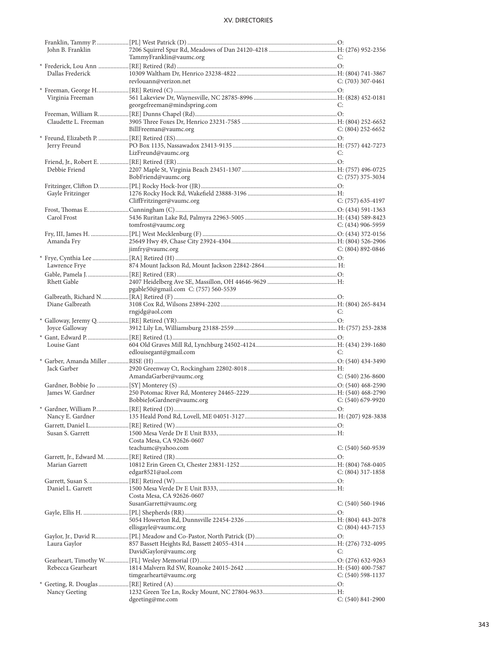| John B. Franklin     |                                      |                       |
|----------------------|--------------------------------------|-----------------------|
|                      | TammyFranklin@vaumc.org              | C:                    |
|                      |                                      |                       |
| Dallas Frederick     |                                      |                       |
|                      | revlouann@verizon.net                | $C: (703)$ 307-0461   |
|                      |                                      |                       |
| Virginia Freeman     |                                      |                       |
|                      |                                      |                       |
|                      | georgefreeman@mindspring.com         | C:                    |
|                      |                                      |                       |
| Claudette L. Freeman |                                      |                       |
|                      | BillFreeman@vaumc.org                | $C: (804)$ 252-6652   |
|                      |                                      |                       |
| Jerry Freund         |                                      |                       |
|                      | LizFreund@vaumc.org                  | C:                    |
|                      |                                      |                       |
|                      |                                      |                       |
| Debbie Friend        |                                      |                       |
|                      | BobFriend@vaumc.org                  | $C: (757)$ 375-3034   |
|                      |                                      |                       |
| Gayle Fritzinger     |                                      |                       |
|                      | CliffFritzinger@vaumc.org            | $C: (757)$ 635-4197   |
|                      |                                      |                       |
| Carol Frost          |                                      |                       |
|                      |                                      | $C: (434)$ 906-5959   |
|                      | tomfrost@vaumc.org                   |                       |
|                      |                                      |                       |
| Amanda Fry           |                                      |                       |
|                      | jimfry@vaumc.org                     | C: $(804)$ 892-0846   |
|                      |                                      |                       |
| Lawrence Frye        |                                      |                       |
|                      |                                      |                       |
|                      |                                      |                       |
| Rhett Gable          |                                      |                       |
|                      | pgable50@gmail.com C: (757) 560-5539 |                       |
|                      |                                      |                       |
| Diane Galbreath      |                                      |                       |
|                      | rngjdg@aol.com                       | C:                    |
|                      |                                      |                       |
| Joyce Galloway       |                                      |                       |
|                      |                                      |                       |
| Louise Gant          |                                      |                       |
|                      |                                      |                       |
|                      | edlouisegant@gmail.com               | C:                    |
|                      |                                      |                       |
|                      |                                      |                       |
| Jack Garber          |                                      |                       |
|                      | AmandaGarber@vaumc.org               | C: $(540)$ 236-8600   |
|                      |                                      |                       |
|                      |                                      |                       |
| James W. Gardner     |                                      |                       |
|                      | BobbieJoGardner@vaumc.org            | $C: (540)$ 679-9920   |
|                      |                                      |                       |
| Nancy E. Gardner     |                                      |                       |
|                      |                                      |                       |
| Susan S. Garrett     |                                      |                       |
|                      | Costa Mesa, CA 92626-0607            |                       |
|                      | teachumc@yahoo.com                   | $C: (540) 560 - 9539$ |
|                      |                                      |                       |
|                      |                                      |                       |
| Marian Garrett       |                                      |                       |
|                      | edgar8521@aol.com                    | $C: (804)$ 317-1858   |
|                      |                                      |                       |
| Daniel L. Garrett    |                                      |                       |
|                      | Costa Mesa, CA 92626-0607            |                       |
|                      | SusanGarrett@vaumc.org               | $C: (540) 560-1946$   |
|                      |                                      |                       |
|                      |                                      |                       |
|                      | ellisgayle@vaumc.org                 | $C: (804)$ 443-7153   |
|                      |                                      |                       |
|                      |                                      |                       |
| Laura Gaylor         |                                      |                       |
|                      | DavidGaylor@vaumc.org                | C:                    |
|                      |                                      |                       |
| Rebecca Gearheart    |                                      |                       |
|                      | timgearheart@vaumc.org               | $C: (540)$ 598-1137   |
|                      |                                      |                       |
| Nancy Geeting        |                                      |                       |
|                      | dgeeting@me.com                      | C: (540) 841-2900     |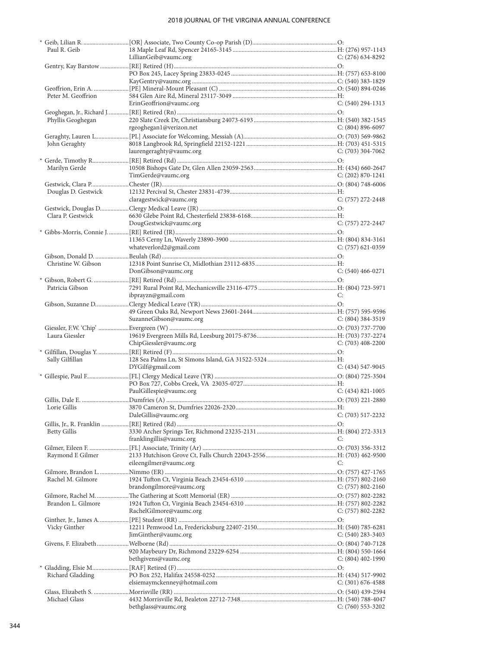| Paul R. Geib        |                              |                       |
|---------------------|------------------------------|-----------------------|
|                     | LillianGeib@vaumc.org        | C: (276) 634-8292     |
|                     |                              |                       |
|                     |                              |                       |
|                     |                              |                       |
|                     |                              |                       |
| Peter M. Geoffrion  |                              |                       |
|                     | ErinGeoffrion@vaumc.org      | $C: (540)$ 294-1313   |
|                     |                              |                       |
| Phyllis Geoghegan   |                              |                       |
|                     | rgeoghegan1@verizon.net      | $C: (804) 896-6097$   |
|                     |                              |                       |
| John Geraghty       |                              |                       |
|                     | laurengeraghty@vaumc.org     | C: $(703)$ 304-7062   |
|                     |                              |                       |
| Marilyn Gerde       |                              |                       |
|                     | TimGerde@vaumc.org           | $C: (202) 870 - 1241$ |
|                     |                              |                       |
| Douglas D. Gestwick |                              |                       |
|                     | claragestwick@vaumc.org      | $C: (757)$ 272-2448   |
|                     |                              |                       |
|                     |                              |                       |
| Clara P. Gestwick   |                              |                       |
|                     | DougGestwick@vaumc.org       | C: (757) 272-2447     |
|                     |                              |                       |
|                     |                              |                       |
|                     | whateverlord2@gmail.com      | $C: (757)$ 621-0359   |
|                     |                              |                       |
| Christine W. Gibson |                              |                       |
|                     | DonGibson@vaumc.org          | $C: (540) 466 - 0271$ |
|                     |                              |                       |
| Patricia Gibson     |                              |                       |
|                     | ibprayzn@gmail.com           | C:                    |
|                     |                              |                       |
|                     |                              |                       |
|                     | SuzanneGibson@vaumc.org      | $C: (804)$ 384-3519   |
|                     |                              |                       |
| Laura Giessler      |                              |                       |
|                     | ChipGiessler@vaumc.org       | $C: (703)$ 408-2200   |
|                     |                              |                       |
| Sally Gilfillan     |                              |                       |
|                     |                              |                       |
|                     |                              |                       |
|                     | DYGilf@gmail.com             | $C: (434) 547-9045$   |
|                     |                              |                       |
|                     |                              |                       |
|                     | PaulGillespie@vaumc.org      | $C: (434) 821 - 1005$ |
|                     |                              |                       |
| Lorie Gillis        |                              |                       |
|                     | DaleGillis@vaumc.org         | $C: (703)$ 517-2232   |
|                     |                              |                       |
| <b>Betty Gillis</b> |                              |                       |
|                     | franklingillis@vaumc.org     | C:                    |
|                     |                              |                       |
| Raymond E Gilmer    |                              |                       |
|                     | eileengilmer@vaumc.org       | C:                    |
|                     |                              |                       |
| Rachel M. Gilmore   |                              |                       |
|                     | brandongilmore@vaumc.org     | $C: (757) 802 - 2160$ |
|                     |                              |                       |
| Brandon L. Gilmore  |                              |                       |
|                     | RachelGilmore@vaumc.org      | $C: (757) 802 - 2282$ |
|                     |                              |                       |
| Vicky Ginther       |                              |                       |
|                     | JimGinther@vaumc.org         | $C: (540)$ 283-3403   |
|                     |                              |                       |
|                     |                              |                       |
|                     | bethgivens@vaumc.org         | $C: (804)$ 402-1990   |
|                     |                              |                       |
| Richard Gladding    |                              |                       |
|                     | elsiemaymckenney@hotmail.com | $C: (301) 676-4588$   |
|                     |                              |                       |
| Michael Glass       |                              |                       |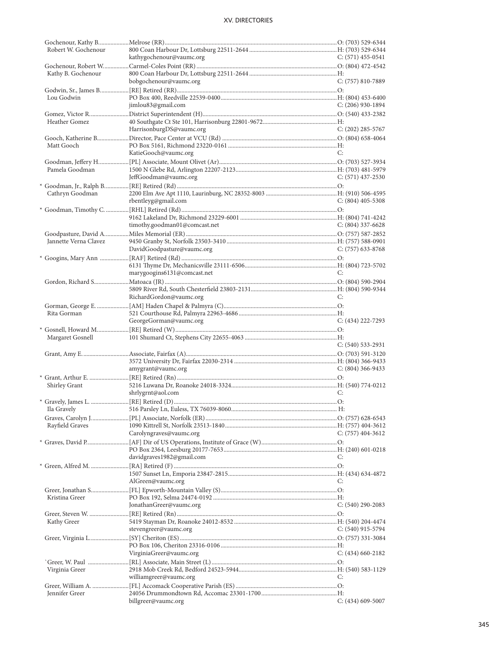| Robert W. Gochenour   |                                                                                    |                       |
|-----------------------|------------------------------------------------------------------------------------|-----------------------|
|                       | kathygochenour@vaumc.org                                                           | $C: (571)$ 455-0541   |
|                       |                                                                                    |                       |
| Kathy B. Gochenour    |                                                                                    |                       |
|                       | bobgochenour@vaumc.org                                                             | C: (757) 810-7889     |
|                       |                                                                                    |                       |
| Lou Godwin            |                                                                                    |                       |
|                       | jimlou83@gmail.com                                                                 | $C: (206)$ 930-1894   |
|                       |                                                                                    |                       |
| Heather Gomez         |                                                                                    |                       |
|                       | HarrisonburgDS@vaumc.org                                                           | C: (202) 285-5767     |
|                       |                                                                                    |                       |
| Matt Gooch            |                                                                                    |                       |
|                       | KatieGooch@vaumc.org                                                               | C:                    |
|                       |                                                                                    |                       |
| Pamela Goodman        |                                                                                    |                       |
|                       | JeffGoodman@vaumc.org                                                              | $C: (571)$ 437-2530   |
|                       |                                                                                    |                       |
|                       |                                                                                    |                       |
| Cathryn Goodman       |                                                                                    | $C: (804)$ 405-5308   |
|                       | rbentleyg@gmail.com                                                                |                       |
|                       |                                                                                    |                       |
|                       |                                                                                    |                       |
|                       | timothy.goodman01@comcast.net                                                      | $C: (804)$ 337-6628   |
|                       |                                                                                    |                       |
| Jannette Verna Clavez |                                                                                    |                       |
|                       | DavidGoodpasture@vaumc.org                                                         | C: (757) 633-8768     |
|                       |                                                                                    |                       |
|                       |                                                                                    |                       |
|                       | marygoogins6131@comcast.net                                                        | C:                    |
|                       |                                                                                    |                       |
|                       |                                                                                    |                       |
|                       | RichardGordon@vaumc.org                                                            | C:                    |
|                       |                                                                                    |                       |
|                       |                                                                                    |                       |
|                       |                                                                                    |                       |
| Rita Gorman           |                                                                                    |                       |
|                       | GeorgeGorman@vaumc.org                                                             | $C: (434) 222 - 7293$ |
|                       |                                                                                    |                       |
| Margaret Gosnell      |                                                                                    |                       |
|                       |                                                                                    | $C: (540) 533-2931$   |
|                       |                                                                                    |                       |
|                       |                                                                                    |                       |
|                       | amygrant@vaumc.org                                                                 | $C: (804)$ 366-9433   |
|                       |                                                                                    |                       |
| Shirley Grant         |                                                                                    |                       |
|                       | shrlygrnt@aol.com                                                                  | C:                    |
|                       | * Gravely, James L. ………………………[RE] Retired (D)……………………………………………………………………………………………O: |                       |
|                       |                                                                                    |                       |
|                       |                                                                                    |                       |
| Rayfield Graves       |                                                                                    |                       |
|                       | Carolyngraves@vaumc.org                                                            | $C: (757)$ 404-3612   |
|                       |                                                                                    |                       |
|                       |                                                                                    |                       |
|                       | davidgraves1982@gmail.com                                                          | C:                    |
|                       |                                                                                    |                       |
|                       |                                                                                    |                       |
|                       |                                                                                    | C:                    |
|                       | AlGreen@vaumc.org                                                                  |                       |
|                       |                                                                                    |                       |
| Kristina Greer        |                                                                                    |                       |
|                       | JonathanGreer@vaumc.org                                                            | $C: (540)$ 290-2083   |
|                       |                                                                                    |                       |
| Kathy Greer           |                                                                                    |                       |
|                       | stevengreer@vaumc.org                                                              | $C: (540)$ 915-5794   |
|                       |                                                                                    |                       |
|                       |                                                                                    |                       |
|                       | VirginiaGreer@vaumc.org                                                            | $C: (434)$ 660-2182   |
|                       |                                                                                    |                       |
| Virginia Greer        |                                                                                    |                       |
|                       | williamgreer@vaumc.org                                                             | C:                    |
|                       |                                                                                    |                       |
| Jennifer Greer        | billgreer@vaumc.org                                                                | $C: (434)$ 609-5007   |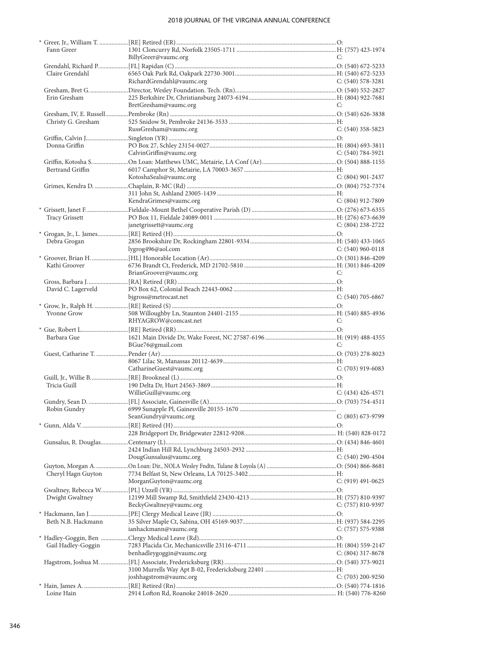| Fann Greer            |                           |                     |
|-----------------------|---------------------------|---------------------|
|                       | BillyGreer@vaumc.org      | C:                  |
|                       |                           |                     |
| Claire Grendahl       |                           |                     |
|                       | RichardGrendahl@vaumc.org | $C: (540) 578-3281$ |
| Erin Gresham          |                           |                     |
|                       | BretGresham@vaumc.org     | C:                  |
|                       |                           |                     |
| Christy G. Gresham    |                           |                     |
|                       | RussGresham@vaumc.org     | $C: (540)$ 358-5823 |
|                       |                           |                     |
| Donna Griffin         |                           |                     |
|                       | CalvinGriffin@vaumc.org   | $C: (540) 784-5921$ |
|                       |                           |                     |
| Bertrand Griffin      |                           |                     |
|                       | KotoshaSeals@vaumc.org    | $C: (804)$ 901-2437 |
|                       |                           |                     |
|                       |                           |                     |
|                       | KendraGrimes@vaumc.org    | $C: (804)$ 912-7809 |
|                       |                           |                     |
| <b>Tracy Grissett</b> |                           |                     |
|                       | janetgrissett@vaumc.org   | $C: (804)$ 238-2722 |
|                       |                           |                     |
| Debra Grogan          |                           |                     |
|                       | lygrog496@aol.com         | C: $(540)$ 960-0118 |
|                       |                           |                     |
| Kathi Groover         |                           |                     |
|                       | BrianGroover@vaumc.org    | C:                  |
|                       |                           |                     |
| David C. Lagerveld    |                           |                     |
|                       | bjgross@metrocast.net     | $C: (540)$ 705-6867 |
|                       |                           |                     |
| <b>Yvonne Grow</b>    |                           |                     |
|                       | RHYAGROW@comcast.net      | C:                  |
|                       |                           |                     |
| Barbara Gue           |                           |                     |
|                       | BGue76@gmail.com          | C:                  |
|                       |                           |                     |
|                       |                           |                     |
|                       | CatharineGuest@vaumc.org  | $C: (703)$ 919-6083 |
|                       |                           |                     |
| Tricia Guill          |                           |                     |
|                       | WillieGuill@vaumc.org     | $C: (434)$ 426-4571 |
|                       |                           |                     |
|                       |                           |                     |
|                       | SeanGundry@vaumc.org      | $C: (803)$ 673-9799 |
|                       |                           |                     |
|                       |                           |                     |
|                       |                           |                     |
|                       |                           |                     |
|                       | DougGunsalus@vaumc.org    | $C: (540)$ 290-4504 |
|                       |                           |                     |
| Cheryl Hagn Guyton    |                           |                     |
|                       | MorganGuyton@vaumc.org    | $C: (919)$ 491-0625 |
|                       |                           |                     |
| Dwight Gwaltney       |                           |                     |
|                       | BeckyGwaltney@vaumc.org   | $C: (757) 810-9397$ |
|                       |                           |                     |
| Beth N.B. Hackmann    |                           |                     |
|                       | ianhackmann@vaumc.org     | C: (757) 575-9388   |
|                       |                           |                     |
| Gail Hadley-Goggin    |                           |                     |
|                       | benhadleygoggin@vaumc.org | $C: (804)$ 317-8678 |
|                       |                           |                     |
|                       |                           |                     |
|                       | joshhagstrom@vaumc.org    | $C: (703)$ 200-9250 |
|                       |                           |                     |
| Loine Hain            |                           |                     |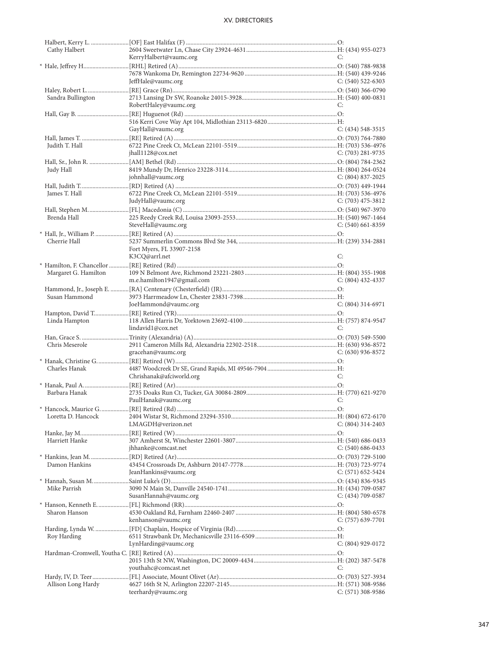| Cathy Halbert        |                            |                       |
|----------------------|----------------------------|-----------------------|
|                      | KerryHalbert@vaumc.org     | C:                    |
|                      |                            |                       |
|                      | JeffHale@vaumc.org         | $C: (540)$ 522-6303   |
| Sandra Bullington    |                            |                       |
|                      | RobertHaley@vaumc.org      | C:                    |
|                      |                            |                       |
|                      |                            |                       |
|                      | GayHall@vaumc.org          | $C: (434) 548-3515$   |
| Judith T. Hall       |                            |                       |
|                      | jhall1128@cox.net          | $C: (703)$ 281-9735   |
|                      |                            |                       |
| Judy Hall            | johnhall@vaumc.org         | $C: (804) 837-2025$   |
|                      |                            |                       |
| James T. Hall        |                            |                       |
|                      | JudyHall@vaumc.org         | $C: (703)$ 475-3812   |
|                      |                            |                       |
| Brenda Hall          | SteveHall@vaumc.org        | $C: (540)$ 661-8359   |
|                      |                            |                       |
| Cherrie Hall         |                            |                       |
|                      | Fort Myers, FL 33907-2158  |                       |
|                      | K3CQ@arrl.net              | C:                    |
| Margaret G. Hamilton |                            |                       |
|                      | m.e.hamilton1947@gmail.com | $C: (804)$ 432-4337   |
|                      |                            |                       |
| Susan Hammond        | JoeHammond@vaumc.org       | $C: (804)$ 314-6971   |
|                      |                            |                       |
| Linda Hampton        |                            |                       |
|                      | lindavid1@cox.net          | C:                    |
|                      |                            |                       |
| Chris Meserole       | gracehan@vaumc.org         | $C: (630)$ 936-8572   |
|                      |                            |                       |
| Charles Hanak        |                            |                       |
|                      | Chrishanak@afciworld.org   | C:                    |
| Barbara Hanak        |                            |                       |
|                      | PaulHanak@vaumc.org        | C:                    |
|                      |                            |                       |
| Loretta D. Hancock   |                            |                       |
|                      | LMAGDH@verizon.net         | $C: (804)$ 314-2403   |
| Harriett Hanke       |                            |                       |
|                      | jhhanke@comcast.net        | $C: (540) 686 - 0433$ |
|                      |                            |                       |
| Damon Hankins        |                            |                       |
|                      | JeanHankins@vaumc.org      | $C: (571) 652 - 5424$ |
| Mike Parrish         |                            |                       |
|                      | SusanHannah@vaumc.org      | $C: (434) 709-0587$   |
|                      |                            |                       |
| Sharon Hanson        | kenhanson@vaumc.org        | $C: (757)$ 639-7701   |
|                      |                            |                       |
| Roy Harding          |                            |                       |
|                      | LynHarding@vaumc.org       | C: (804) 929-0172     |
|                      |                            |                       |
|                      | youthahc@comcast.net       | C:                    |
|                      |                            |                       |
| Allison Long Hardy   |                            |                       |
|                      | teerhardy@vaumc.org        | $C: (571)$ 308-9586   |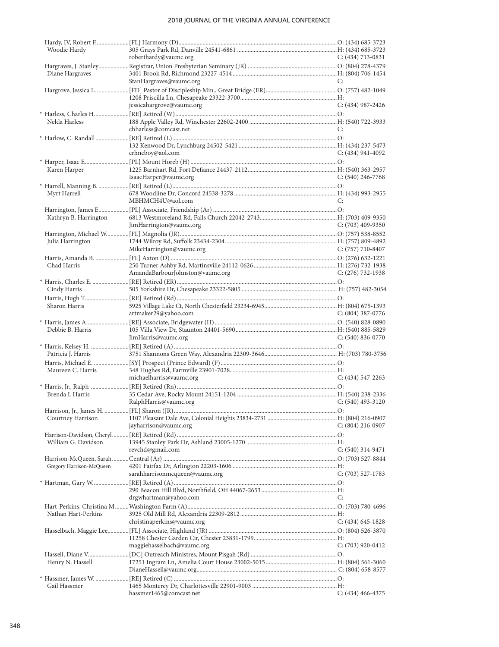| Woodie Hardy             |                                 |                       |
|--------------------------|---------------------------------|-----------------------|
|                          | roberthardy@vaumc.org           | C: $(434)$ 713-0831   |
|                          |                                 |                       |
| Diane Hargraves          | StanHargraves@vaumc.org         | C:                    |
|                          |                                 |                       |
|                          |                                 |                       |
|                          | jessicahargrove@vaumc.org       | $C: (434)$ 987-2426   |
|                          |                                 |                       |
| Nelda Harless            |                                 |                       |
|                          | chharless@comcast.net           | C:                    |
|                          |                                 |                       |
|                          |                                 |                       |
|                          | crhncboy@aol.com                | $C: (434)$ 941-4092   |
|                          |                                 |                       |
| Karen Harper             |                                 |                       |
|                          | IsaacHarper@vaumc.org           | $C: (540)$ 246-7768   |
|                          |                                 |                       |
| Myrt Harrell             |                                 |                       |
|                          | MBHMCH4U@aol.com                | C:                    |
|                          |                                 |                       |
| Kathryn B. Harrington    |                                 |                       |
|                          | JimHarrington@vaumc.org         | $C: (703)$ 409-9350   |
|                          |                                 |                       |
| Julia Harrington         |                                 |                       |
|                          | MikeHarrington@vaumc.org        | $C: (757)$ 710-8407   |
| Chad Harris              |                                 |                       |
|                          | AmandaBarbourJohnston@vaumc.org | $C: (276) 732-1938$   |
|                          |                                 |                       |
| Cindy Harris             |                                 |                       |
|                          |                                 |                       |
| Sharon Harris            |                                 |                       |
|                          | artmaker29@yahoo.com            | $C: (804)$ 387-0776   |
|                          |                                 |                       |
| Debbie B. Harris         |                                 |                       |
|                          | JimHarris@vaumc.org             | $C: (540) 836-0770$   |
|                          |                                 |                       |
| Patricia J. Harris       |                                 |                       |
|                          |                                 |                       |
| Maureen C. Harris        |                                 |                       |
|                          | michaelharris@vaumc.org         | $C: (434) 547 - 2263$ |
|                          |                                 |                       |
| Brenda L Harris          |                                 |                       |
|                          | RalphHarris@vaumc.org           | $C: (540)$ 493-3120   |
|                          |                                 |                       |
| Courtney Harrison        |                                 |                       |
|                          | jayharrison@vaumc.org           | C: (804) 216-0907     |
|                          |                                 |                       |
| William G. Davidson      |                                 |                       |
|                          | revchd@gmail.com                | $C: (540)$ 314-9471   |
|                          |                                 |                       |
| Gregory Harrison-McQueen | sarahharrisonmcqueen@vaumc.org  | $C: (703)$ 527-1783   |
|                          |                                 |                       |
|                          |                                 |                       |
|                          | drgwhartman@yahoo.com           | C:                    |
|                          |                                 |                       |
| Nathan Hart-Perkins      |                                 |                       |
|                          | christinaperkins@vaumc.org      | $C: (434) 645 - 1828$ |
|                          |                                 |                       |
|                          |                                 |                       |
|                          | maggiehasselbach@vaumc.org      | C: (703) 920-0412     |
|                          |                                 |                       |
| Henry N. Hassell         |                                 |                       |
|                          |                                 |                       |
|                          |                                 |                       |
| Gail Hassmer             |                                 |                       |
|                          | hassmer1465@comcast.net         | $C: (434)$ 466-4375   |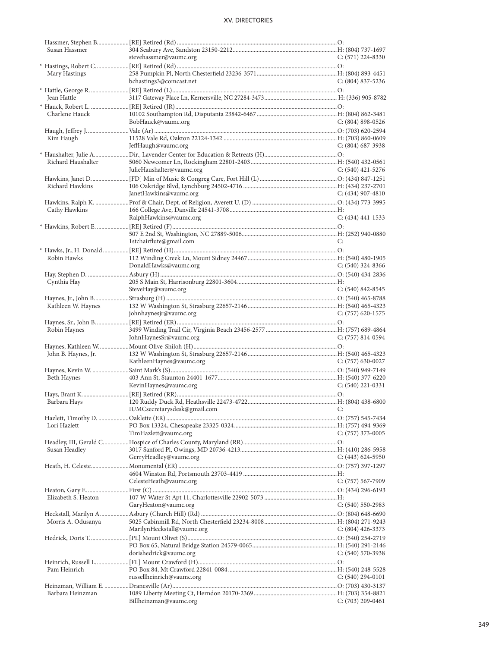| Susan Hassmer       |                              |                       |
|---------------------|------------------------------|-----------------------|
|                     | stevehassmer@vaumc.org       | $C: (571) 224-8330$   |
|                     |                              |                       |
| Mary Hastings       |                              |                       |
|                     | bchastings3@comcast.net      | $C: (804) 837 - 5236$ |
|                     |                              |                       |
|                     |                              |                       |
| Jean Hattle         |                              |                       |
|                     |                              |                       |
| Charlene Hauck      |                              |                       |
|                     |                              |                       |
|                     | BobHauck@vaumc.org           | $C: (804) 898 - 0526$ |
|                     |                              |                       |
| Kim Haugh           |                              |                       |
|                     | JeffHaugh@vaumc.org          | $C: (804)$ 687-3938   |
|                     |                              |                       |
| Richard Haushalter  |                              |                       |
|                     |                              |                       |
|                     | JulieHaushalter@vaumc.org    | $C: (540)$ 421-5276   |
|                     |                              |                       |
| Richard Hawkins     |                              |                       |
|                     | JanetHawkins@vaumc.org       | C: (434) 907-4810     |
|                     |                              |                       |
|                     |                              |                       |
| Cathy Hawkins       |                              |                       |
|                     | RalphHawkins@vaumc.org       | $C: (434) 441 - 1533$ |
|                     |                              |                       |
|                     |                              |                       |
|                     |                              |                       |
|                     | 1stchairflute@gmail.com      | C:                    |
|                     |                              |                       |
| Robin Hawks         |                              |                       |
|                     | DonaldHawks@vaumc.org        | $C: (540)$ 324-8366   |
|                     |                              |                       |
|                     |                              |                       |
| Cynthia Hay         |                              |                       |
|                     | SteveHay@vaumc.org           | $C: (540) 842 - 8545$ |
|                     |                              |                       |
| Kathleen W. Haynes  |                              |                       |
|                     | johnhaynesjr@vaumc.org       | $C: (757)$ 620-1575   |
|                     |                              |                       |
|                     |                              |                       |
| Robin Haynes        |                              |                       |
|                     | JohnHaynesSr@vaumc.org       | $C: (757) 814-0594$   |
|                     |                              |                       |
| John B. Haynes, Jr. |                              |                       |
|                     | KathleenHaynes@vaumc.org     | C: (757) 630-0027     |
|                     |                              |                       |
|                     |                              |                       |
| Beth Haynes         |                              |                       |
|                     | KevinHaynes@vaumc.org        | $C: (540)$ 221-0331   |
|                     |                              |                       |
| Barbara Hays        |                              |                       |
|                     |                              |                       |
|                     | IUMCsecretarysdesk@gmail.com | С:                    |
|                     |                              |                       |
| Lori Hazlett        |                              |                       |
|                     | TimHazlett@vaumc.org         | $C: (757)$ 373-0005   |
|                     |                              |                       |
|                     |                              |                       |
| Susan Headley       |                              |                       |
|                     | GerryHeadley@vaumc.org       | $C: (443) 624-5950$   |
|                     |                              |                       |
|                     |                              |                       |
|                     | CelesteHeath@vaumc.org       | C: (757) 567-7909     |
|                     |                              |                       |
|                     |                              |                       |
| Elizabeth S. Heaton |                              |                       |
|                     | GaryHeaton@vaumc.org         | $C: (540) 550-2983$   |
|                     |                              |                       |
| Morris A. Odusanya  |                              |                       |
|                     |                              |                       |
|                     | MarilynHeckstall@vaumc.org   | $C: (804)$ 426-3373   |
|                     |                              |                       |
|                     |                              |                       |
|                     | dorishedrick@vaumc.org       | $C: (540) 570-3938$   |
|                     |                              |                       |
| Pam Heinrich        |                              |                       |
|                     |                              |                       |
|                     | russellheinrich@vaumc.org    | $C: (540) 294-0101$   |
|                     |                              |                       |
| Barbara Heinzman    |                              |                       |
|                     | Billheinzman@vaumc.org       | $C: (703) 209 - 0461$ |
|                     |                              |                       |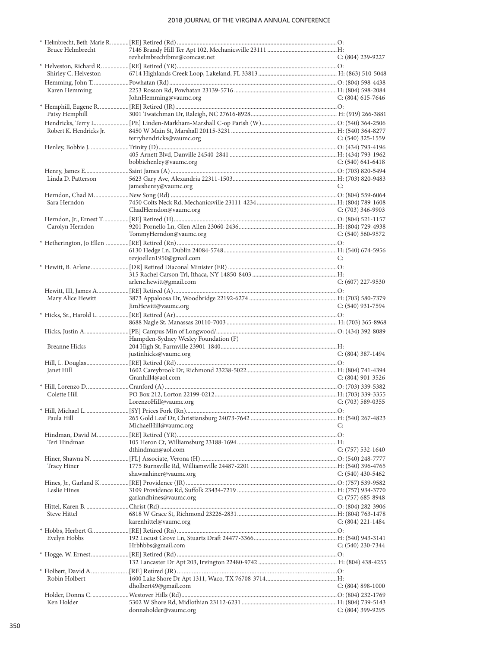| Bruce Helmbrecht        |                                      |                       |
|-------------------------|--------------------------------------|-----------------------|
|                         | revhelmbrechtbmr@comcast.net         | C: (804) 239-9227     |
|                         |                                      |                       |
| Shirley C. Helveston    |                                      |                       |
|                         |                                      |                       |
|                         |                                      |                       |
| Karen Hemming           |                                      |                       |
|                         | JohnHemming@vaumc.org                | $C: (804) 615-7646$   |
|                         |                                      |                       |
| Patsy Hemphill          |                                      |                       |
|                         |                                      |                       |
| Robert K. Hendricks Jr. |                                      |                       |
|                         | terryhendricks@vaumc.org             | C: $(540)$ 325-1559   |
|                         |                                      |                       |
|                         |                                      |                       |
|                         |                                      |                       |
|                         | bobbiehenley@vaumc.org               | $C: (540) 641-6418$   |
|                         |                                      |                       |
| Linda D. Patterson      |                                      |                       |
|                         | jameshenry@vaumc.org                 | C:                    |
|                         |                                      |                       |
| Sara Herndon            |                                      |                       |
|                         |                                      |                       |
|                         | ChadHerndon@vaumc.org                | C: $(703)$ 346-9903   |
|                         |                                      |                       |
| Carolyn Herndon         |                                      |                       |
|                         | TommyHerndon@vaumc.org               | $C: (540) 560 - 9572$ |
|                         |                                      |                       |
|                         |                                      |                       |
|                         | revjoellen1950@gmail.com             | C:                    |
|                         |                                      |                       |
|                         |                                      |                       |
|                         |                                      |                       |
|                         | arlene.hewitt@gmail.com              | $C: (607)$ 227-9530   |
|                         |                                      |                       |
| Mary Alice Hewitt       |                                      |                       |
|                         | JimHewitt@vaumc.org                  | $C: (540)$ 931-7594   |
|                         |                                      |                       |
|                         |                                      |                       |
|                         |                                      |                       |
|                         |                                      |                       |
|                         |                                      |                       |
|                         | Hampden-Sydney Wesley Foundation (F) |                       |
| <b>Breanne Hicks</b>    |                                      |                       |
|                         | justinhicks@vaumc.org                | $C: (804)$ 387-1494   |
|                         |                                      |                       |
| Janet Hill              |                                      |                       |
|                         |                                      |                       |
|                         | Granhill4@aol.com                    | $C: (804)$ 901-3526   |
|                         |                                      |                       |
| Colette Hill            |                                      |                       |
|                         | LorenzoHill@vaumc.org                | $C: (703)$ 589-0355   |
|                         |                                      |                       |
| Paula Hill              |                                      |                       |
|                         | MichaelHill@vaumc.org                | C:                    |
|                         |                                      |                       |
| Teri Hindman            |                                      |                       |
|                         |                                      |                       |
|                         | dthindman@aol.com                    | $C: (757) 532-1640$   |
|                         |                                      |                       |
| <b>Tracy Hiner</b>      |                                      |                       |
|                         | shawnahiner@vaumc.org                | $C: (540)$ 430-5462   |
|                         |                                      |                       |
| Leslie Hines            |                                      |                       |
|                         | garlandhines@vaumc.org               |                       |
|                         |                                      | C: (757) 685-8948     |
|                         |                                      |                       |
| <b>Steve Hittel</b>     |                                      |                       |
|                         | karenhittel@vaumc.org                | $C: (804)$ 221-1484   |
|                         |                                      |                       |
| Evelyn Hobbs            |                                      |                       |
|                         | Hrbhbbs@gmail.com                    | $C: (540)$ 230-7344   |
|                         |                                      |                       |
|                         |                                      |                       |
|                         |                                      |                       |
|                         |                                      |                       |
| Robin Holbert           |                                      |                       |
|                         | dholbert49@gmail.com                 | $C: (804) 898-1000$   |
|                         |                                      |                       |
| Ken Holder              | donnaholder@vaumc.org                | $C: (804)$ 399-9295   |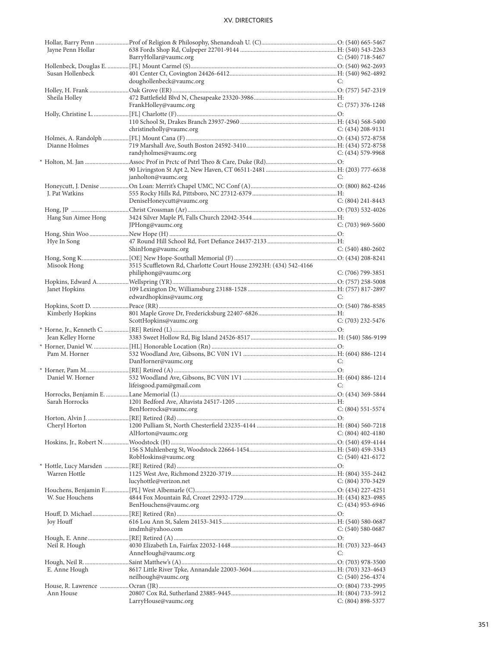| Jayne Penn Hollar   |                                                                   |                       |
|---------------------|-------------------------------------------------------------------|-----------------------|
|                     | BarryHollar@vaumc.org                                             | C: $(540)$ 718-5467   |
|                     |                                                                   |                       |
| Susan Hollenbeck    |                                                                   |                       |
|                     | doughollenbeck@vaumc.org                                          | C:                    |
|                     |                                                                   |                       |
| Sheila Holley       |                                                                   |                       |
|                     | FrankHolley@vaumc.org                                             | $C: (757)$ 376-1248   |
|                     |                                                                   |                       |
|                     | christineholly@vaumc.org                                          | C: $(434)$ 208-9131   |
|                     |                                                                   |                       |
| Dianne Holmes       |                                                                   |                       |
|                     | randyholmes@vaumc.org                                             | $C: (434)$ 579-9968   |
|                     |                                                                   |                       |
|                     |                                                                   |                       |
|                     | janholton@vaumc.org                                               | C:                    |
|                     |                                                                   |                       |
| J. Pat Watkins      |                                                                   |                       |
|                     | DeniseHoneycutt@vaumc.org                                         | $C: (804)$ 241-8443   |
|                     |                                                                   |                       |
| Hang Sun Aimee Hong |                                                                   |                       |
|                     | JPHong@vaumc.org                                                  | $C: (703)$ 969-5600   |
|                     |                                                                   |                       |
| Hye In Song         |                                                                   |                       |
|                     | ShinHong@vaumc.org                                                | $C: (540)$ 480-2602   |
|                     |                                                                   |                       |
| Misook Hong         | 3515 Scuffletown Rd, Charlotte Court House 23923H: (434) 542-4166 |                       |
|                     | philiphong@vaumc.org                                              | $C: (706)$ 799-3851   |
|                     |                                                                   |                       |
| Janet Hopkins       |                                                                   |                       |
|                     | edwardhopkins@vaumc.org                                           | C:                    |
|                     |                                                                   |                       |
| Kimberly Hopkins    |                                                                   |                       |
|                     | ScottHopkins@vaumc.org                                            | $C: (703)$ 232-5476   |
|                     |                                                                   |                       |
| Jean Kelley Horne   |                                                                   |                       |
|                     |                                                                   |                       |
| Pam M. Horner       |                                                                   | C:                    |
|                     | DanHorner@vaumc.org                                               |                       |
| Daniel W. Horner    |                                                                   |                       |
|                     | lifeisgood.pam@gmail.com                                          | C:                    |
|                     |                                                                   |                       |
| Sarah Horrocks      |                                                                   |                       |
|                     | $C: (804) 551 - 5574$<br>BenHorrocks@vaumc.org                    |                       |
|                     |                                                                   |                       |
| Cheryl Horton       |                                                                   |                       |
|                     | AlHorton@vaumc.org                                                | $C: (804)$ 402-4180   |
|                     |                                                                   |                       |
|                     |                                                                   |                       |
|                     |                                                                   |                       |
|                     | RobHoskins@vaumc.org                                              | C: $(540)$ 421-6172   |
|                     |                                                                   |                       |
| Warren Hottle       |                                                                   |                       |
|                     | lucyhottle@verizon.net                                            | $C: (804)$ 370-3429   |
|                     |                                                                   |                       |
| W. Sue Houchens     |                                                                   |                       |
|                     | BenHouchens@vaumc.org                                             | C: (434) 953-6946     |
|                     |                                                                   |                       |
| Joy Houff           |                                                                   |                       |
|                     | imdmh@yahoo.com                                                   | $C: (540) 580-0687$   |
|                     |                                                                   |                       |
| Neil R. Hough       |                                                                   |                       |
|                     | AnneHough@vaumc.org                                               | C:                    |
|                     |                                                                   |                       |
| E. Anne Hough       |                                                                   |                       |
|                     | neilhough@vaumc.org                                               | $C: (540)$ 256-4374   |
|                     |                                                                   |                       |
| Ann House           | LarryHouse@vaumc.org                                              | $C: (804) 898 - 5377$ |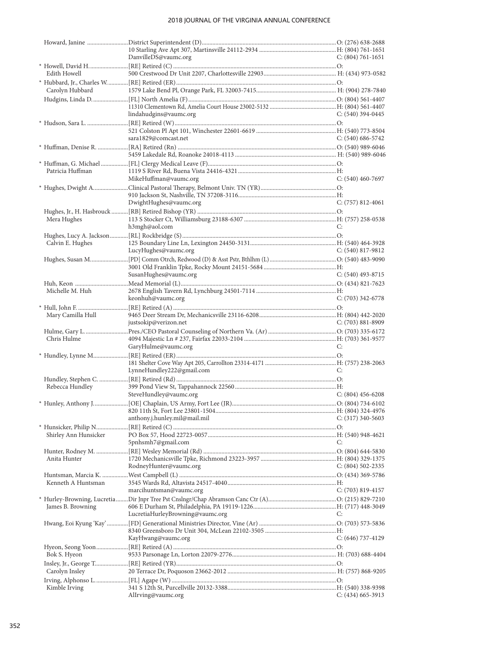|                       | DanvilleDS@vaumc.org             | C: $(804)$ 761-1651   |
|-----------------------|----------------------------------|-----------------------|
|                       |                                  |                       |
| Edith Howell          |                                  |                       |
|                       |                                  |                       |
| Carolyn Hubbard       |                                  |                       |
|                       |                                  |                       |
|                       |                                  |                       |
|                       | lindahudgins@vaumc.org           | $C: (540)$ 394-0445   |
|                       |                                  |                       |
|                       |                                  |                       |
|                       | sara1829@comcast.net             | C: $(540)$ 686-5742   |
|                       |                                  |                       |
|                       |                                  |                       |
|                       |                                  |                       |
| Patricia Huffman      |                                  |                       |
|                       | MikeHuffman@vaumc.org            | $C: (540)$ 460-7697   |
|                       |                                  |                       |
|                       |                                  |                       |
|                       | DwightHughes@vaumc.org           | $C: (757) 812 - 4061$ |
|                       |                                  |                       |
| Mera Hughes           |                                  |                       |
|                       | h3mgh@aol.com                    | C:                    |
|                       |                                  |                       |
| Calvin E. Hughes      |                                  |                       |
|                       | LucyHughes@vaumc.org             | $C: (540) 817 - 9812$ |
|                       |                                  |                       |
|                       |                                  |                       |
|                       | SusanHughes@vaumc.org            | $C: (540)$ 493-8715   |
|                       |                                  |                       |
| Michelle M. Huh       |                                  |                       |
|                       | keonhuh@vaumc.org                | $C: (703)$ 342-6778   |
|                       |                                  |                       |
| Mary Camilla Hull     |                                  |                       |
|                       | justsokip@verizon.net            | $C: (703) 881 - 8909$ |
|                       |                                  |                       |
| Chris Hulme           |                                  |                       |
|                       | GaryHulme@vaumc.org              | C:                    |
|                       |                                  |                       |
|                       |                                  |                       |
|                       | LynneHundley222@gmail.com        | C:                    |
|                       |                                  |                       |
| Rebecca Hundley       |                                  |                       |
|                       | SteveHundley@vaumc.org           | C: $(804)$ 456-6208   |
|                       |                                  |                       |
|                       |                                  |                       |
|                       | anthony.j.hunley.mil@mail.mil    | $C: (317)$ 340-5603   |
|                       |                                  |                       |
| Shirley Ann Hunsicker |                                  |                       |
|                       | 5pnhsmh7@gmail.com               | C:                    |
|                       |                                  |                       |
| Anita Hunter          |                                  |                       |
|                       | RodneyHunter@vaumc.org           | $C: (804) 502 - 2335$ |
|                       |                                  |                       |
| Kenneth A Huntsman    |                                  |                       |
|                       | marcihuntsman@vaumc.org          | $C: (703) 819-4157$   |
|                       |                                  |                       |
| James B. Browning     |                                  |                       |
|                       | LucretiaHurleyBrowning@vaumc.org | C:                    |
|                       |                                  |                       |
|                       |                                  |                       |
|                       | KayHwang@vaumc.org               | C: (646) 737-4129     |
|                       |                                  |                       |
| Bok S. Hyeon          |                                  |                       |
|                       |                                  |                       |
| Carolyn Insley        |                                  |                       |
|                       |                                  |                       |
| Kimble Irving         |                                  |                       |
|                       | AlIrving@vaumc.org               | $C: (434)$ 665-3913   |
|                       |                                  |                       |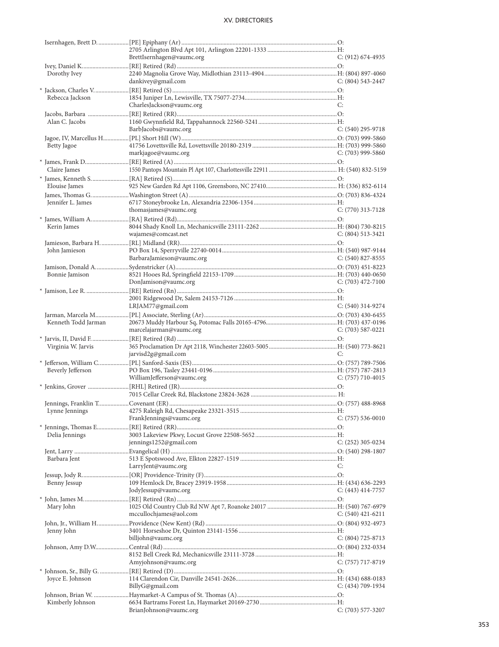|                     | BrettIsernhagen@vaumc.org  | C: (912) 674-4935     |
|---------------------|----------------------------|-----------------------|
|                     |                            |                       |
| Dorothy Ivey        |                            |                       |
|                     | dankivey@gmail.com         | $C: (804) 543 - 2447$ |
|                     |                            |                       |
| Rebecca Jackson     |                            |                       |
|                     | CharlesJackson@vaumc.org   | C:                    |
|                     |                            |                       |
| Alan C. Jacobs      |                            |                       |
|                     | BarbJacobs@vaumc.org       | $C: (540)$ 295-9718   |
|                     |                            |                       |
| Betty Jagoe         |                            |                       |
|                     | markjagoe@vaumc.org        | C: (703) 999-5860     |
|                     |                            |                       |
| Claire James        |                            |                       |
|                     |                            |                       |
| Elouise James       |                            |                       |
|                     |                            |                       |
| Jennifer L. James   |                            |                       |
|                     | thomasjames@vaumc.org      | $C: (770)$ 313-7128   |
|                     |                            |                       |
|                     |                            |                       |
| Kerin James         |                            |                       |
|                     | wajames@comcast.net        | $C: (804) 513-3421$   |
|                     |                            |                       |
| John Jamieson       |                            |                       |
|                     | BarbaraJamieson@vaumc.org  | $C: (540)$ 827-8555   |
|                     |                            |                       |
| Bonnie Jamison      |                            |                       |
|                     | DonJamison@vaumc.org       | C: $(703)$ 472-7100   |
|                     |                            |                       |
|                     |                            |                       |
|                     | LRJAM77@gmail.com          | $C: (540)$ 314-9274   |
|                     |                            |                       |
| Kenneth Todd Jarman |                            |                       |
|                     | marcelajarman@vaumc.org    | C: $(703)$ 587-0221   |
|                     |                            |                       |
| Virginia W. Jarvis  |                            |                       |
|                     | jarvisd2g@gmail.com        | C:                    |
|                     |                            |                       |
| Beverly Jefferson   |                            |                       |
|                     | WilliamJefferson@vaumc.org | C: $(757)$ 710-4015   |
|                     |                            |                       |
|                     |                            |                       |
|                     |                            |                       |
|                     |                            |                       |
|                     |                            |                       |
|                     | FrankJennings@vaumc.org    | $C: (757) 536-0010$   |
|                     |                            |                       |
| Delia Jennings      |                            |                       |
|                     | jennings1252@gmail.com     | $C: (252)$ 305-0234   |
|                     |                            |                       |
| Barbara Jent        |                            |                       |
|                     | LarryJent@vaumc.org        | C:                    |
|                     |                            |                       |
| Benny Jessup        |                            |                       |
|                     | JodyJessup@vaumc.org       | $C: (443)$ 414-7757   |
|                     |                            |                       |
| Mary John           |                            |                       |
|                     | mccullochjames@aol.com     | C: $(540)$ 421-6211   |
|                     |                            |                       |
| Jenny John          |                            |                       |
|                     | billjohn@vaumc.org         | $C: (804) 725-8713$   |
|                     |                            |                       |
|                     |                            |                       |
|                     | Amyjohnson@vaumc.org       | $C: (757)$ 717-8719   |
|                     |                            |                       |
|                     |                            |                       |
| Joyce E. Johnson    | BillyG@gmail.com           |                       |
|                     |                            | $C: (434) 709-1934$   |
|                     |                            |                       |
| Kimberly Johnson    | BrianJohnson@vaumc.org     | $C: (703)$ 577-3207   |
|                     |                            |                       |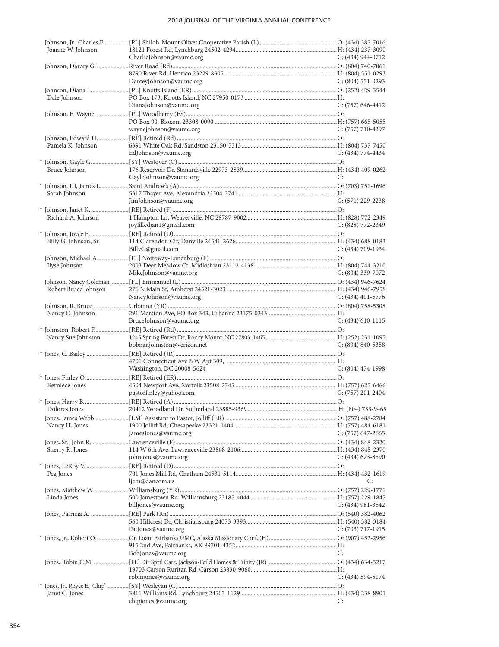| Joanne W. Johnson     |                                                                                     |                       |
|-----------------------|-------------------------------------------------------------------------------------|-----------------------|
|                       | CharlieJohnson@vaumc.org                                                            | $C: (434) 944-0712$   |
|                       |                                                                                     |                       |
|                       |                                                                                     |                       |
|                       | DarceyJohnson@vaumc.org                                                             | $C: (804) 551-0293$   |
|                       |                                                                                     |                       |
| Dale Johnson          |                                                                                     |                       |
|                       | DianaJohnson@vaumc.org                                                              | C: $(757)$ 646-4412   |
|                       |                                                                                     |                       |
|                       |                                                                                     |                       |
|                       | waynejohnson@vaumc.org                                                              | C: $(757)$ 710-4397   |
|                       |                                                                                     |                       |
| Pamela K. Johnson     |                                                                                     |                       |
|                       | EdJohnson@vaumc.org                                                                 | $C: (434) 774-4434$   |
|                       |                                                                                     |                       |
| Bruce Johnson         |                                                                                     |                       |
|                       | GayleJohnson@vaumc.org                                                              | C:                    |
|                       |                                                                                     |                       |
| Sarah Johnson         |                                                                                     |                       |
|                       | JimJohnson@vaumc.org                                                                | $C: (571)$ 229-2238   |
|                       |                                                                                     |                       |
| Richard A. Johnson    |                                                                                     |                       |
|                       | joyfilledjan1@gmail.com                                                             | C: (828) 772-2349     |
|                       |                                                                                     |                       |
| Billy G. Johnson, Sr. |                                                                                     |                       |
|                       | BillyG@gmail.com                                                                    | $C: (434) 709-1934$   |
|                       |                                                                                     |                       |
| Ilyse Johnson         |                                                                                     |                       |
|                       | MikeJohnson@vaumc.org                                                               | $C: (804)$ 339-7072   |
|                       |                                                                                     |                       |
| Robert Bruce Johnson  |                                                                                     |                       |
|                       | NancyJohnson@vaumc.org                                                              | C: (434) 401-5776     |
|                       |                                                                                     |                       |
| Nancy C. Johnson      |                                                                                     |                       |
|                       | BruceJohnson@vaumc.org                                                              | $C: (434) 610-1115$   |
|                       |                                                                                     |                       |
|                       | * Johnston, Robert F……………………[RE] Retired (Rd) ……………………………………………………………………………………………O: |                       |
| Nancy Sue Johnston    | bobnanjohnston@verizon.net                                                          |                       |
|                       |                                                                                     | $C: (804) 840 - 5358$ |
|                       |                                                                                     |                       |
|                       |                                                                                     |                       |
|                       | Washington, DC 20008-5624                                                           | $C: (804)$ 474-1998   |
|                       |                                                                                     |                       |
| Berniece Jones        |                                                                                     |                       |
|                       | pastorfinley@yahoo.com                                                              | $C: (757)$ 201-2404   |
|                       |                                                                                     |                       |
|                       |                                                                                     |                       |
|                       |                                                                                     |                       |
| Nancy H. Jones        |                                                                                     |                       |
|                       | JamesJones@vaumc.org                                                                | C: (757) 647-2665     |
|                       |                                                                                     |                       |
| Sherry R. Jones       |                                                                                     |                       |
|                       | johnjones@vaumc.org                                                                 | C: $(434)$ 623-8590   |
|                       |                                                                                     |                       |
| Peg Jones             |                                                                                     |                       |
|                       | ljem@dancom.us                                                                      | C:                    |
|                       |                                                                                     |                       |
| Linda Jones           |                                                                                     |                       |
|                       |                                                                                     |                       |
|                       | billjones@vaumc.org                                                                 | C: (434) 981-3542     |
|                       |                                                                                     |                       |
|                       |                                                                                     |                       |
|                       |                                                                                     |                       |
|                       | PatJones@vaumc.org                                                                  | C: $(703)$ 717-1915   |
|                       |                                                                                     |                       |
|                       |                                                                                     |                       |
|                       | BobJones@vaumc.org                                                                  | C:                    |
|                       |                                                                                     |                       |
|                       |                                                                                     |                       |
|                       | robinjones@vaumc.org                                                                | $C: (434) 594-5174$   |
|                       |                                                                                     |                       |
| Janet C. Jones        | chipjones@vaumc.org                                                                 | C:                    |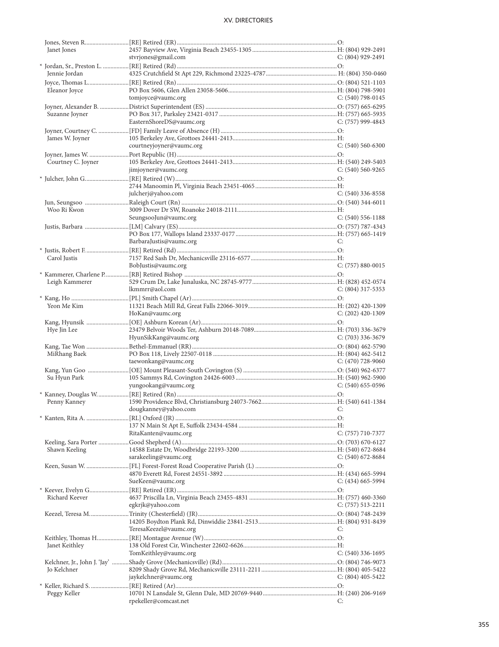| Janet Jones        |                          |                       |
|--------------------|--------------------------|-----------------------|
|                    | stvrjones@gmail.com      | C: (804) 929-2491     |
|                    |                          |                       |
| Jennie Jordan      |                          |                       |
|                    |                          |                       |
| Eleanor Joyce      |                          |                       |
|                    | tomjoyce@vaumc.org       | C: $(540)$ 798-0145   |
|                    |                          |                       |
| Suzanne Joyner     |                          |                       |
|                    | EasternShoreDS@vaumc.org | C: (757) 999-4843     |
|                    |                          |                       |
| James W. Joyner    |                          |                       |
|                    | courtneyjoyner@vaumc.org | $C: (540) 560-6300$   |
|                    |                          |                       |
| Courtney C. Joyner |                          |                       |
|                    |                          | $C: (540) 560 - 9265$ |
|                    | jimjoyner@vaumc.org      |                       |
|                    |                          |                       |
|                    |                          |                       |
|                    | julcherj@yahoo.com       | C: (540) 336-8558     |
|                    |                          |                       |
| Woo Ri Kwon        |                          |                       |
|                    | SeungsooJun@vaumc.org    | $C: (540) 556-1188$   |
|                    |                          |                       |
|                    |                          |                       |
|                    | BarbaraJustis@vaumc.org  | C:                    |
|                    |                          |                       |
| Carol Justis       |                          |                       |
|                    | BobJustis@vaumc.org      | $C: (757) 880 - 0015$ |
|                    |                          |                       |
| Leigh Kammerer     |                          |                       |
|                    | lkmmrr@aol.com           | $C: (804)$ 317-5353   |
|                    |                          |                       |
|                    |                          |                       |
| Yeon Me Kim        |                          |                       |
|                    |                          | $C: (202)$ 420-1309   |
|                    | HoKan@vaumc.org          |                       |
|                    |                          |                       |
| Hye Jin Lee        |                          |                       |
|                    | HyunSikKang@vaumc.org    | $C: (703)$ 336-3679   |
|                    |                          |                       |
| MiRhang Baek       |                          |                       |
|                    | taewonkang@vaumc.org     | C: $(470)$ 728-9060   |
|                    |                          |                       |
|                    |                          |                       |
| Su Hyun Park       |                          |                       |
|                    | yungookang@vaumc.org     | $C: (540)$ 655-0596   |
|                    |                          |                       |
| Penny Kanney       |                          |                       |
|                    | dougkanney@yahoo.com C:  |                       |
|                    |                          |                       |
|                    |                          |                       |
|                    | RitaKanten@vaumc.org     | $C: (757) 710-7377$   |
|                    |                          |                       |
| Shawn Keeling      |                          |                       |
|                    | sarakeeling@vaumc.org    | $C: (540) 672-8684$   |
|                    |                          |                       |
|                    |                          |                       |
|                    | SueKeen@vaumc.org        | $C: (434)$ 665-5994   |
|                    |                          |                       |
| Richard Keever     |                          |                       |
|                    |                          | $C: (757) 513 - 2211$ |
|                    | egkrjk@yahoo.com         |                       |
|                    |                          |                       |
|                    |                          |                       |
|                    | TeresaKeezel@vaumc.org   | C:                    |
|                    |                          |                       |
| Janet Keithley     |                          |                       |
|                    | TomKeithley@vaumc.org    | $C: (540)$ 336-1695   |
|                    |                          |                       |
| Jo Kelchner        |                          |                       |
|                    | jaykelchner@vaumc.org    | $C: (804)$ 405-5422   |
|                    |                          |                       |
| Peggy Keller       | rpekeller@comcast.net    |                       |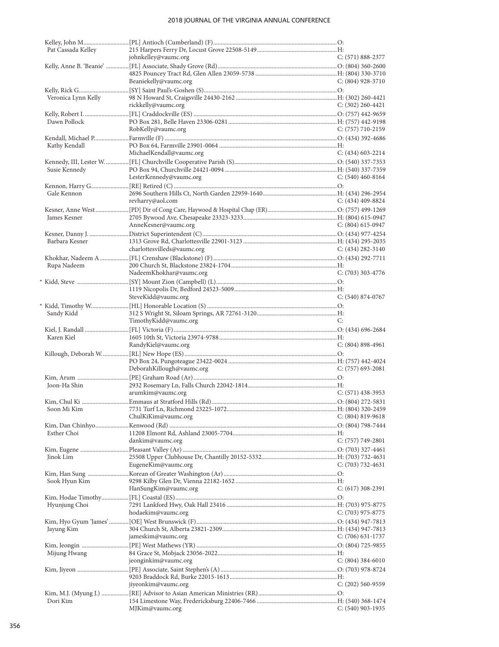| Pat Cassada Kelley  |                             |                       |
|---------------------|-----------------------------|-----------------------|
|                     | johnkelley@vaumc.org        | $C: (571) 888 - 2377$ |
|                     |                             |                       |
|                     |                             |                       |
|                     | Beaniekelly@vaumc.org       | $C: (804)$ 928-3710   |
|                     |                             |                       |
| Veronica Lynn Kelly |                             |                       |
|                     | rickkelly@vaumc.org         | $C: (302)$ 260-4421   |
|                     |                             |                       |
|                     |                             |                       |
| Dawn Pollock        |                             |                       |
|                     | RobKelly@vaumc.org          | $C: (757) 710-2159$   |
|                     |                             |                       |
| Kathy Kendall       |                             |                       |
|                     | MichaelKendall@vaumc.org    | $C: (434)$ 603-2214   |
|                     |                             |                       |
| Susie Kennedy       |                             |                       |
|                     | LesterKennedy@vaumc.org     | C: $(540)$ 460-8164   |
|                     |                             |                       |
| Gale Kennon         |                             |                       |
|                     | revharry@aol.com            | $C: (434)$ 409-8824   |
|                     |                             |                       |
|                     |                             |                       |
| James Kesner        |                             |                       |
|                     | AnneKesner@vaumc.org        | $C: (804) 615-0947$   |
|                     |                             |                       |
| Barbara Kesner      |                             |                       |
|                     | charlottesvilleds@vaumc.org | C: $(434)$ 282-3140   |
|                     |                             |                       |
| Rupa Nadeem         |                             |                       |
|                     | NadeemKhokhar@vaumc.org     | $C: (703)$ 303-4776   |
|                     |                             |                       |
|                     |                             |                       |
|                     |                             |                       |
|                     | SteveKidd@vaumc.org         | $C: (540) 874-0767$   |
|                     |                             |                       |
| Sandy Kidd          |                             |                       |
|                     | TimothyKidd@vaumc.org       | C:                    |
|                     |                             |                       |
| Karen Kiel          |                             |                       |
|                     | RandyKiel@vaumc.org         | $C: (804) 898-4961$   |
|                     |                             |                       |
|                     |                             |                       |
|                     |                             |                       |
|                     |                             |                       |
|                     | DeborahKillough@vaumc.org   | $C: (757)$ 693-2081   |
|                     |                             |                       |
| Joon-Ha Shin        |                             |                       |
|                     | arumkim@vaumc.org           | $C: (571)$ 438-3953   |
|                     |                             |                       |
|                     |                             |                       |
|                     | ChulKiKim@vaumc.org         | $C: (804) 819-9618$   |
|                     |                             |                       |
| Esther Choi         |                             |                       |
|                     |                             |                       |
|                     | dankim@vaumc.org            | $C: (757) 749-2801$   |
|                     |                             |                       |
| Jinok Lim           |                             |                       |
|                     | EugeneKim@vaumc.org         | $C: (703) 732 - 4631$ |
|                     |                             |                       |
| Sook Hyun Kim       |                             |                       |
|                     | HanSungKim@vaumc.org        | $C: (617)$ 308-2391   |
|                     |                             |                       |
| Hyunjung Choi       |                             |                       |
|                     | hodaekim@vaumc.org          | C: (703) 975-8775     |
|                     |                             |                       |
|                     |                             |                       |
| Jayung Kim          |                             |                       |
|                     | jameskim@vaumc.org          | $C: (706)$ 631-1737   |
|                     |                             |                       |
| Mijung Hwang        |                             |                       |
|                     | jeonginkim@vaumc.org        | $C: (804) 384-6010$   |
|                     |                             |                       |
|                     |                             |                       |
|                     | jiyeonkim@vaumc.org         | C: (202) 560-9559     |
|                     |                             |                       |
|                     |                             |                       |
| Dori Kim            | MJKim@vaumc.org             | C: (540) 903-1935     |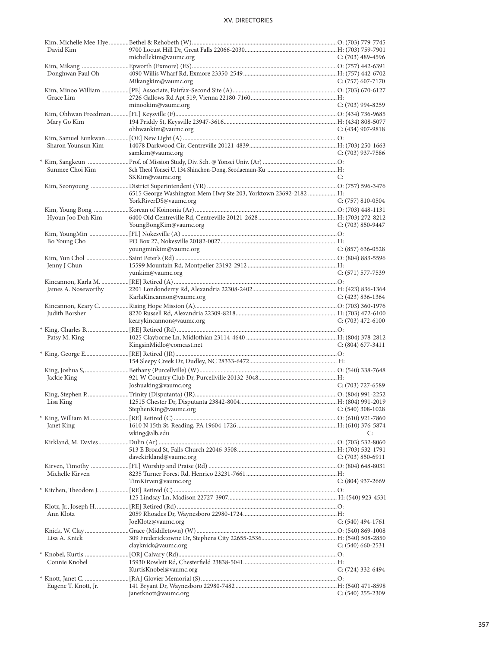| David Kim            |                                                                |                       |
|----------------------|----------------------------------------------------------------|-----------------------|
|                      | michellekim@vaumc.org                                          | $C: (703)$ 489-4596   |
|                      |                                                                |                       |
| Donghwan Paul Oh     |                                                                |                       |
|                      | Mikangkim@vaumc.org                                            | $C: (757)$ 607-7170   |
|                      |                                                                |                       |
| Grace Lim            |                                                                |                       |
|                      | minookim@vaumc.org                                             | $C: (703)$ 994-8259   |
|                      |                                                                |                       |
| Mary Go Kim          |                                                                |                       |
|                      | ohhwankim@vaumc.org                                            | $C: (434)$ 907-9818   |
|                      |                                                                |                       |
|                      |                                                                |                       |
| Sharon Younsun Kim   |                                                                |                       |
|                      | samkim@vaumc.org                                               | $C: (703)$ 937-7586   |
|                      |                                                                |                       |
| Sunmee Choi Kim      |                                                                |                       |
|                      | SKKim@vaumc.org                                                | C:                    |
|                      |                                                                |                       |
|                      | 6515 George Washington Mem Hwy Ste 203, Yorktown 23692-2182 H: |                       |
|                      | YorkRiverDS@vaumc.org                                          | $C: (757) 810-0504$   |
|                      |                                                                |                       |
| Hyoun Joo Doh Kim    |                                                                |                       |
|                      | YoungBongKim@vaumc.org                                         |                       |
|                      |                                                                | $C: (703) 850 - 9447$ |
|                      |                                                                |                       |
| Bo Young Cho         |                                                                |                       |
|                      | youngminkim@vaumc.org                                          | $C: (857) 636-0528$   |
|                      |                                                                |                       |
| Jenny J Chun         |                                                                |                       |
|                      | yunkim@vaumc.org                                               | $C: (571) 577 - 7539$ |
|                      |                                                                |                       |
| James A. Noseworthy  |                                                                |                       |
|                      | KarlaKincannon@vaumc.org                                       | C: $(423)$ 836-1364   |
|                      |                                                                |                       |
| Judith Borsher       |                                                                |                       |
|                      | kearykincannon@vaumc.org                                       | $C: (703)$ 472-6100   |
|                      |                                                                |                       |
|                      |                                                                |                       |
| Patsy M. King        |                                                                |                       |
|                      | KingsinMidlo@comcast.net                                       | $C: (804) 677-3411$   |
|                      |                                                                |                       |
|                      |                                                                |                       |
|                      |                                                                |                       |
| Jackie King          |                                                                |                       |
|                      | Joshuaking@vaumc.org                                           | $C: (703)$ 727-6589   |
|                      |                                                                |                       |
| Lisa King            |                                                                |                       |
|                      | StephenKing@vaumc.org<br>$C: (540)$ 308-1028                   |                       |
|                      |                                                                |                       |
|                      |                                                                |                       |
| Janet King           |                                                                |                       |
|                      | wking@alb.edu                                                  | C:                    |
|                      |                                                                |                       |
|                      |                                                                |                       |
|                      | davekirkland@vaumc.org                                         | $C: (703) 850-6911$   |
|                      |                                                                |                       |
| Michelle Kirven      |                                                                |                       |
|                      | TimKirven@vaumc.org                                            | $C: (804)$ 937-2669   |
|                      |                                                                |                       |
|                      |                                                                |                       |
|                      |                                                                |                       |
| Ann Klotz            |                                                                |                       |
|                      |                                                                |                       |
|                      | JoeKlotz@vaumc.org                                             | $C: (540) 494-1761$   |
|                      |                                                                |                       |
| Lisa A. Knick        |                                                                |                       |
|                      | clayknick@vaumc.org                                            | $C: (540) 660 - 2531$ |
|                      |                                                                |                       |
| Connie Knobel        |                                                                |                       |
|                      | KurtisKnobel@vaumc.org                                         | $C: (724)$ 332-6494   |
|                      |                                                                |                       |
| Eugene T. Knott, Jr. |                                                                |                       |
|                      | janetknott@vaumc.org                                           | $C: (540)$ 255-2309   |
|                      |                                                                |                       |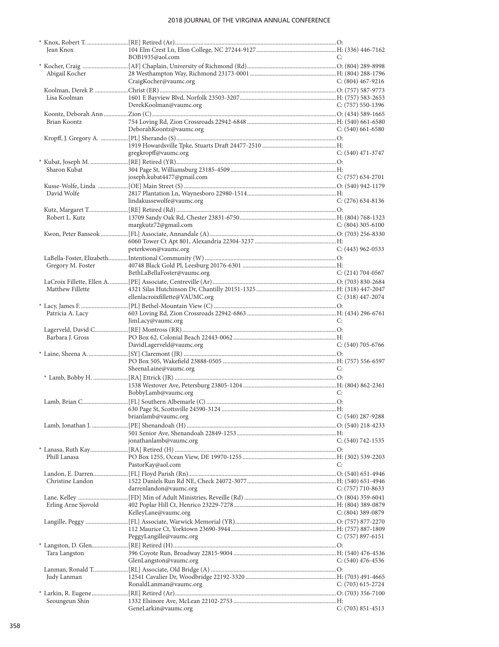| Jean Knox           |                                |                       |
|---------------------|--------------------------------|-----------------------|
|                     | BOB1935@aol.com                | C:                    |
|                     |                                |                       |
| Abigail Kocher      |                                |                       |
|                     | CraigKocher@vaumc.org          | C: $(804)$ 467-9216   |
|                     |                                |                       |
| Lisa Koolman        |                                |                       |
|                     | DerekKoolman@vaumc.org         | $C: (757) 550-1396$   |
|                     |                                |                       |
|                     |                                |                       |
| Brian Koontz        |                                |                       |
|                     | DeborahKoontz@vaumc.org        | $C: (540)$ 661-6580   |
|                     |                                |                       |
|                     |                                |                       |
|                     | gregkropff@vaumc.org           | $C: (540)$ 471-3747   |
|                     |                                |                       |
| Sharon Kubat        |                                |                       |
|                     | joseph.kubat4477@gmail.com     | $C: (757) 634-2701$   |
|                     |                                |                       |
| David Wolfe         |                                |                       |
|                     | lindakussewolfe@vaumc.org      |                       |
|                     |                                | $C: (276)$ 634-8136   |
|                     |                                |                       |
| Robert L. Kutz      |                                |                       |
|                     | margkutz72@gmail.com           | $C: (804)$ 305-6100   |
|                     |                                |                       |
|                     |                                |                       |
|                     | peterkwon@vaumc.org            | $C: (443)$ 962-0533   |
|                     |                                |                       |
| Gregory M. Foster   |                                |                       |
|                     | BethLaBellaFoster@vaumc.org    | $C: (214) 704-0567$   |
|                     |                                |                       |
| Matthew Fillette    |                                |                       |
|                     |                                |                       |
|                     | ellenlacroixfillette@VAUMC.org | $C: (318)$ 447-2074   |
|                     |                                |                       |
| Patricia A. Lacy    |                                |                       |
|                     | JimLacy@vaumc.org              | C:                    |
|                     |                                |                       |
| Barbara J. Gross    |                                |                       |
|                     | DavidLagerveld@vaumc.org       | $C: (540)$ 705-6766   |
|                     |                                |                       |
|                     |                                |                       |
|                     | SheenaLaine@vaumc.org          | C:                    |
|                     |                                |                       |
|                     |                                |                       |
|                     |                                |                       |
|                     | BobbyLamb@vaumc.org            | C:                    |
|                     |                                |                       |
|                     |                                |                       |
|                     | brianlamb@vaumc.org            | $C: (540)$ 287-9288   |
|                     |                                |                       |
|                     |                                |                       |
|                     | jonathanlamb@vaumc.org         | $C: (540) 742 - 1535$ |
|                     |                                |                       |
| Phill Lanasa        |                                |                       |
|                     | PastorKay@aol.com              | C:                    |
|                     |                                |                       |
|                     |                                |                       |
| Christine Landon    |                                |                       |
|                     | darrenlandon@vaumc.org         | C: $(757)$ 710-8633   |
|                     |                                |                       |
| Erling Arne Sjovold |                                |                       |
|                     | KelleyLane@vaumc.org           | $C: (804)$ 389-0879   |
|                     |                                |                       |
|                     |                                |                       |
|                     | PeggyLangille@vaumc.org        | $C: (757) 897-6151$   |
|                     |                                |                       |
|                     |                                |                       |
| Tara Langston       |                                |                       |
|                     | GlenLangston@vaumc.org         | $C: (540)$ 476-4536   |
|                     |                                |                       |
| Judy Lanman         |                                |                       |
|                     | RonaldLanman@vaumc.org         | C: (703) 615-2724     |
|                     |                                |                       |
| Seoungeun Shin      |                                |                       |
|                     | GeneLarkin@vaumc.org           | $C: (703) 851 - 4513$ |
|                     |                                |                       |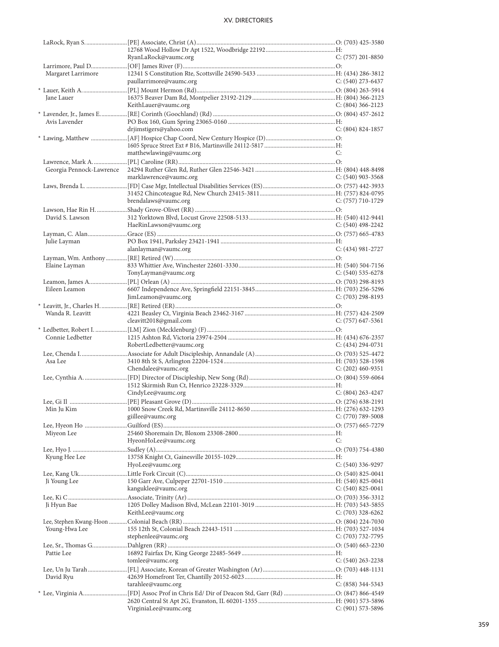|                          | RyanLaRock@vaumc.org      | $C: (757)$ 201-8850   |
|--------------------------|---------------------------|-----------------------|
|                          |                           |                       |
| Margaret Larrimore       |                           |                       |
|                          | paullarrimore@vaumc.org   | $C: (540)$ 273-6437   |
|                          |                           |                       |
| Jane Lauer               |                           |                       |
|                          | KeithLauer@vaumc.org      | $C: (804)$ 366-2123   |
|                          |                           |                       |
| Avis Lavender            |                           |                       |
|                          | drjimstigers@yahoo.com    | $C: (804) 824-1857$   |
|                          |                           |                       |
|                          |                           |                       |
|                          | matthewlawing@vaumc.org   | C:                    |
|                          |                           |                       |
| Georgia Pennock-Lawrence |                           |                       |
|                          | marklawrence@vaumc.org    | $C: (540)$ 903-3568   |
|                          |                           |                       |
|                          |                           |                       |
|                          | brendalaws@vaumc.org      | C: (757) 710-1729     |
|                          |                           |                       |
| David S. Lawson          |                           |                       |
|                          | HaeRinLawson@vaumc.org    | C: $(540)$ 498-2242   |
|                          |                           |                       |
|                          |                           |                       |
| Julie Layman             |                           |                       |
|                          | alanlayman@vaumc.org      | $C: (434)$ 981-2727   |
|                          |                           |                       |
| Elaine Layman            |                           |                       |
|                          | TonyLayman@vaumc.org      | $C: (540)$ 535-6278   |
|                          |                           |                       |
| Eileen Leamon            |                           |                       |
|                          | JimLeamon@vaumc.org       | C: $(703)$ 298-8193   |
|                          |                           |                       |
| Wanda R. Leavitt         |                           |                       |
|                          | cleavitt2018@gmail.com    | C: $(757)$ 647-5361   |
|                          |                           |                       |
| Connie Ledbetter         |                           |                       |
|                          | RobertLedbetter@vaumc.org | C: $(434)$ 294-0731   |
|                          |                           |                       |
| Asa Lee                  |                           |                       |
|                          | Chendalee@vaumc.org       | $C: (202)$ 460-9351   |
|                          |                           |                       |
|                          |                           |                       |
|                          | CindyLee@vaumc.org        | $C: (804)$ 263-4247   |
|                          |                           |                       |
|                          |                           |                       |
|                          |                           |                       |
|                          | giillee@vaumc.org         | $C: (770) 789 - 5008$ |
|                          |                           |                       |
| Miyeon Lee               |                           |                       |
|                          | HyeonHoLee@vaumc.org      | C:                    |
|                          |                           |                       |
| Kyung Hee Lee            |                           |                       |
|                          | HyoLee@vaumc.org          | $C: (540)$ 336-9297   |
|                          |                           |                       |
| Ji Young Lee             |                           |                       |
|                          | kanguklee@vaumc.org       | $C: (540)$ 825-0041   |
|                          |                           |                       |
| Ji Hyun Bae              |                           |                       |
|                          | KeithLee@vaumc.org        | $C: (703)$ 328-6262   |
|                          |                           |                       |
| Young-Hwa Lee            |                           |                       |
|                          | stephenlee@vaumc.org      | $C: (703) 732-7795$   |
|                          |                           |                       |
|                          |                           |                       |
| Pattie Lee               |                           |                       |
|                          | tomlee@vaumc.org          | $C: (540)$ 263-2238   |
|                          |                           |                       |
| David Ryu                |                           |                       |
|                          | tarahlee@vaumc.org        | $C: (858)$ 344-5343   |
|                          |                           |                       |
|                          |                           |                       |
|                          | VirginiaLee@vaumc.org     | $C: (901)$ 573-5896   |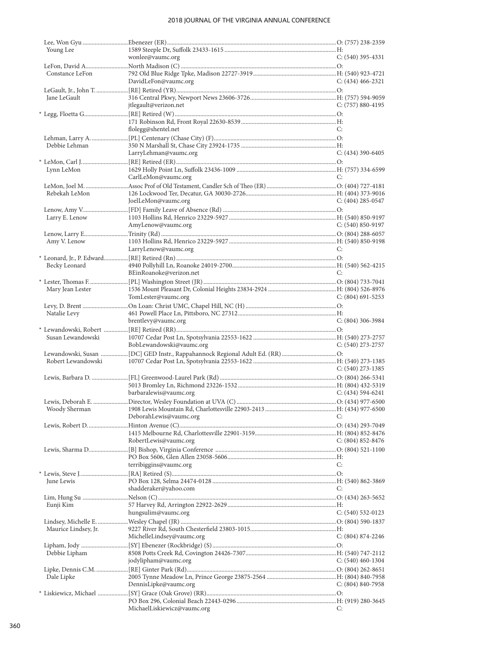| Young Lee            |                             |                       |
|----------------------|-----------------------------|-----------------------|
|                      | wonlee@vaumc.org            | $C: (540)$ 395-4331   |
|                      |                             |                       |
| Constance LeFon      | DavidLeFon@vaumc.org        | C: $(434)$ 466-2321   |
|                      |                             |                       |
| Jane LeGault         |                             |                       |
|                      | jtlegault@verizon.net       | $C: (757) 880-4195$   |
|                      |                             |                       |
|                      |                             |                       |
|                      | flolegg@shentel.net         | C:                    |
|                      |                             |                       |
| Debbie Lehman        |                             |                       |
|                      | LarryLehman@vaumc.org       | $C: (434)$ 390-6405   |
|                      |                             |                       |
| Lynn LeMon           |                             | C:                    |
|                      | CarlLeMon@vaumc.org         |                       |
| Rebekah LeMon        |                             |                       |
|                      | JoelLeMon@vaumc.org         | C: $(404)$ 285-0547   |
|                      |                             |                       |
| Larry E. Lenow       |                             |                       |
|                      | AmyLenow@vaumc.org          | C: $(540) 850 - 9197$ |
|                      |                             |                       |
| Amy V. Lenow         |                             |                       |
|                      | LarryLenow@vaumc.org        | C:                    |
|                      |                             |                       |
| Becky Leonard        |                             |                       |
|                      | BEinRoanoke@verizon.net     | C:                    |
| Mary Jean Lester     |                             |                       |
|                      | TomLester@vaumc.org         | $C: (804)$ 691-5253   |
|                      |                             |                       |
| Natalie Levy         |                             |                       |
|                      | brentlevy@vaumc.org         | $C: (804)$ 306-3984   |
|                      |                             |                       |
| Susan Lewandowski    |                             |                       |
|                      | BobLewandowski@vaumc.org    | $C: (540)$ 273-2757   |
|                      |                             |                       |
| Robert Lewandowski   |                             | C: $(540)$ 273-1385   |
|                      |                             |                       |
|                      |                             |                       |
|                      | barbaralewis@vaumc.org      | C: $(434)$ 594-6241   |
|                      |                             |                       |
|                      |                             |                       |
|                      | DeborahLewis@vaumc.org      | C:                    |
|                      |                             |                       |
|                      |                             |                       |
|                      | RobertLewis@vaumc.org       | C: $(804)$ 852-8476   |
|                      |                             |                       |
|                      |                             |                       |
|                      |                             |                       |
|                      | terribiggins@vaumc.org      | C:                    |
|                      |                             |                       |
| June Lewis           | shadderaker@yahoo.com       | C:                    |
|                      |                             |                       |
| Eunji Kim            |                             |                       |
|                      | hungsulim@vaumc.org         | $C: (540) 532-0123$   |
|                      |                             |                       |
| Maurice Lindsey, Jr. |                             |                       |
|                      | MichelleLindsey@vaumc.org   | C: (804) 874-2246     |
|                      |                             |                       |
| Debbie Lipham        |                             |                       |
|                      | jodylipham@vaumc.org        | C: (540) 460-1304     |
|                      |                             |                       |
| Dale Lipke           | DennisLipke@vaumc.org       | $C: (804) 840 - 7958$ |
|                      |                             |                       |
|                      | MichaelLiskiewicz@vaumc.org |                       |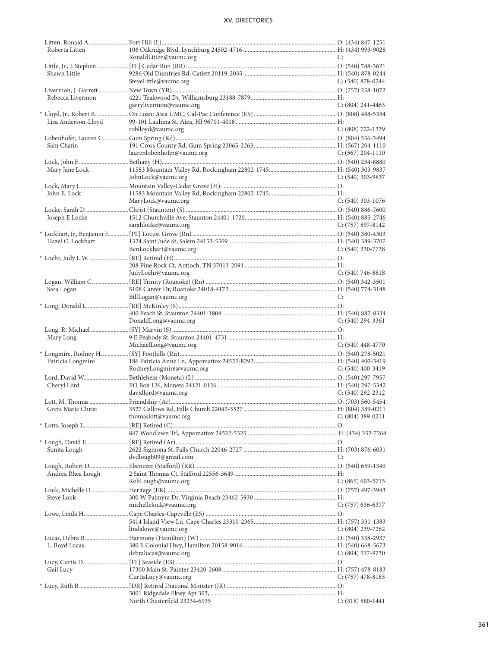| Roberta Litten      |                               |                       |
|---------------------|-------------------------------|-----------------------|
|                     | RonaldLitten@vaumc.org        | C:                    |
|                     |                               |                       |
| Shawn Little        |                               |                       |
|                     | SteveLittle@vaumc.org         | $C: (540) 878-0244$   |
|                     |                               |                       |
|                     |                               |                       |
| Rebecca Livermon    |                               |                       |
|                     | garrylivermon@vaumc.org       | $C: (804)$ 241-4463   |
|                     |                               |                       |
| Lisa Anderson-Lloyd |                               |                       |
|                     | roblloyd@vaumc.org            | $C: (808) 722 - 1339$ |
|                     |                               |                       |
| Sam Chafin          |                               |                       |
|                     | laurenlobenhofer@vaumc.org    | C: $(567)$ 204-1110   |
|                     |                               |                       |
|                     |                               |                       |
| Mary Jane Lock      |                               |                       |
|                     | JohnLock@vaumc.org            | $C: (540)$ 303-9837   |
|                     |                               |                       |
| John E. Lock        |                               |                       |
|                     | MaryLock@vaumc.org            | $C: (540)$ 303-1076   |
|                     |                               |                       |
| Joseph E Locke      |                               |                       |
|                     | sarahlocke@vaumc.org          | C: $(757)$ 897-8142   |
|                     |                               |                       |
|                     |                               |                       |
| Hazel C. Lockhart   |                               |                       |
|                     | BenLockhart@vaumc.org         | C: (540) 330-7738     |
|                     |                               |                       |
|                     |                               |                       |
|                     | JudyLoehr@vaumc.org           | C: $(540)$ 746-8818   |
|                     |                               |                       |
| Sara Logan          |                               |                       |
|                     | BillLogan@vaumc.org           | C:                    |
|                     |                               |                       |
|                     |                               |                       |
|                     |                               |                       |
|                     | DonaldLong@vaumc.org          | $C: (540)$ 294-3361   |
|                     |                               |                       |
| Mary Long           |                               |                       |
|                     | MichaelLong@vaumc.org         | $C: (540)$ 448-4770   |
|                     |                               |                       |
| Patricia Longmire   |                               |                       |
|                     | RodneyLongmire@vaumc.org      | C: $(540)$ 400-3419   |
|                     |                               |                       |
|                     |                               |                       |
| Cheryl Lord         |                               |                       |
|                     | davidlord@vaumc.org           | $C: (540) 292 - 2312$ |
|                     |                               |                       |
|                     |                               |                       |
|                     | thomaslott@vaumc.org          | $C: (804)$ 389-0211   |
|                     |                               |                       |
|                     |                               |                       |
|                     |                               |                       |
|                     |                               |                       |
|                     |                               |                       |
| Sunita Lough        |                               |                       |
|                     | dvdlough09@gmail.com          | C:                    |
|                     |                               |                       |
| Andrea Rhea Lough   |                               |                       |
|                     | RobLough@vaumc.org            | $C: (865) 603 - 5715$ |
|                     |                               |                       |
|                     |                               |                       |
| Steve Louk          |                               |                       |
|                     | michellelouk@vaumc.org        | $C: (757) 636-6377$   |
|                     |                               |                       |
|                     |                               |                       |
|                     | lindalowe@vaumc.org           | C: (804) 239-7262     |
|                     |                               |                       |
| L. Boyd Lucas       |                               |                       |
|                     | debralucas@vaumc.org          | $C: (804) 517-9730$   |
|                     |                               |                       |
|                     |                               |                       |
| Gail Lucy           |                               |                       |
|                     | CurtisLucy@vaumc.org          | C: $(757)$ 478-8183   |
|                     |                               |                       |
|                     | North Chesterfield 23234-6935 | $C: (318) 880 - 1441$ |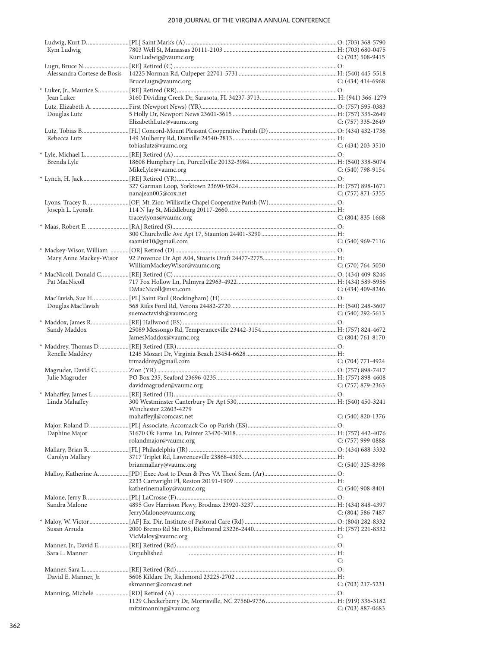| Kym Ludwig             |                              |                       |
|------------------------|------------------------------|-----------------------|
|                        | KurtLudwig@vaumc.org         | $C: (703)$ 508-9415   |
|                        |                              |                       |
|                        | BruceLugn@vaumc.org          | $C: (434)$ 414-6968   |
|                        |                              |                       |
| Jean Luker             |                              |                       |
|                        |                              |                       |
| Douglas Lutz           |                              |                       |
|                        | ElizabethLutz@vaumc.org      | C: (757) 335-2649     |
|                        |                              |                       |
| Rebecca Lutz           |                              |                       |
|                        | tobiaslutz@vaumc.org         | $C: (434)$ 203-3510   |
| Brenda Lyle            |                              |                       |
|                        | MikeLyle@vaumc.org           | $C: (540)$ 798-9154   |
|                        |                              |                       |
|                        |                              |                       |
|                        | nanajean005@cox.net          | $C: (757) 871 - 5355$ |
|                        |                              |                       |
| Joseph L. LyonsJr.     |                              |                       |
|                        | traceylyons@vaumc.org        | $C: (804) 835-1668$   |
|                        |                              |                       |
|                        | saamist10@gmail.com          | $C: (540)$ 969-7116   |
|                        |                              |                       |
| Mary Anne Mackey-Wisor |                              |                       |
|                        | WilliamMackeyWisor@vaumc.org | $C: (570) 764-5050$   |
|                        |                              |                       |
| Pat MacNicoll          |                              |                       |
|                        | DMacNicoll@msn.com           | $C: (434)$ 409-8246   |
|                        |                              |                       |
| Douglas MacTavish      | suemactavish@vaumc.org       | $C: (540)$ 292-5613   |
|                        |                              |                       |
| Sandy Maddox           |                              |                       |
|                        | JamesMaddox@vaumc.org        | $C: (804) 761-8170$   |
|                        |                              |                       |
| Renelle Maddrey        |                              |                       |
|                        | trmaddrey@gmail.com          | $C: (704) 771-4924$   |
|                        |                              |                       |
| Julie Magruder         |                              |                       |
|                        | davidmagruder@vaumc.org      | C: (757) 879-2363     |
| Linda Mahaffey         |                              |                       |
|                        | Winchester 22603-4279        |                       |
|                        | mahaffeyjl@comcast.net       | $C: (540) 820 - 1376$ |
|                        |                              |                       |
| Daphine Major          |                              |                       |
|                        | rolandmajor@vaumc.org        | C: (757) 999-0888     |
|                        |                              |                       |
| Carolyn Mallary        | brianmallary@vaumc.org       | $C: (540)$ 325-8398   |
|                        |                              |                       |
|                        |                              |                       |
|                        | katherinemalloy@vaumc.org    | $C: (540)$ 908-8401   |
|                        |                              |                       |
| Sandra Malone          |                              |                       |
|                        | JerryMalone@vaumc.org        | $C: (804) 586 - 7487$ |
|                        |                              |                       |
| Susan Arruda           | VicMaloy@vaumc.org           | C:                    |
|                        |                              |                       |
| Sara L. Manner         | Unpublished                  |                       |
|                        |                              | C:                    |
|                        |                              |                       |
| David E. Manner, Jr.   |                              |                       |
|                        | skmanner@comcast.net         | $C: (703)$ 217-5231   |
|                        |                              |                       |
|                        | mitzimanning@vaumc.org       | $C: (703) 887-0683$   |
|                        |                              |                       |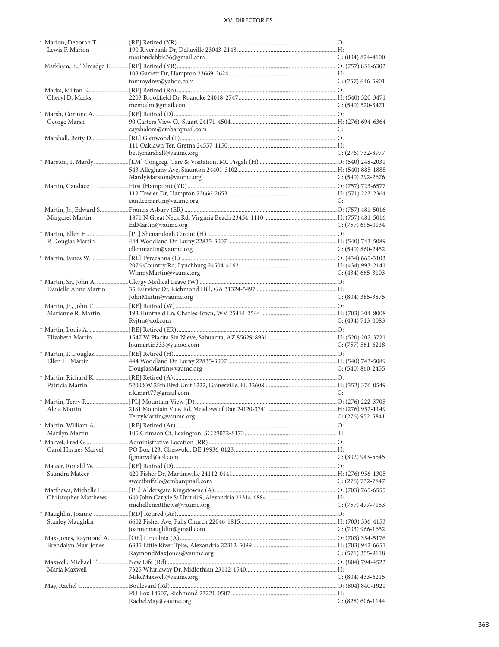| Lewis F. Marion      |                             |                       |
|----------------------|-----------------------------|-----------------------|
|                      | mariondebbie36@gmail.com    | $C: (804) 824-4100$   |
|                      |                             |                       |
|                      |                             |                       |
|                      | tommydrev@yahoo.com         | $C: (757)$ 646-5901   |
|                      |                             |                       |
|                      |                             |                       |
| Cheryl D. Marks      |                             |                       |
|                      | memcdm@gmail.com            | $C: (540) 520-3471$   |
|                      |                             |                       |
| George Marsh         |                             |                       |
|                      | cayshalom@embarqmail.com    | C:                    |
|                      |                             |                       |
|                      |                             |                       |
|                      |                             |                       |
|                      | bettymarshall@vaumc.org     | C: $(276)$ 732-8977   |
|                      |                             |                       |
|                      |                             |                       |
|                      | MardyMarston@vaumc.org      | C: $(540)$ 292-2676   |
|                      |                             |                       |
|                      |                             |                       |
|                      |                             |                       |
|                      | candeemartin@vaumc.org      | C:                    |
|                      |                             |                       |
| Margaret Martin      |                             |                       |
|                      | EdMartin@vaumc.org          | $C: (757)$ 695-0134   |
|                      |                             |                       |
|                      |                             |                       |
| P. Douglas Martin    |                             |                       |
|                      | ellenmartin@vaumc.org       | $C: (540) 860 - 2452$ |
|                      |                             |                       |
|                      |                             |                       |
|                      | WimpyMartin@vaumc.org       | $C: (434)$ 665-3103   |
|                      |                             |                       |
|                      |                             |                       |
| Danielle Anne Martin |                             |                       |
|                      | JohnMartin@vaumc.org        | $C: (804)$ 385-3875   |
|                      |                             |                       |
| Marianne R. Martin   |                             |                       |
|                      | Rvjtm@aol.com               | $C: (434)$ 713-0083   |
|                      |                             |                       |
| Elizabeth Martin     |                             |                       |
|                      |                             |                       |
|                      | loumartin333@yahoo.com      | $C: (757) 561-6218$   |
|                      |                             |                       |
| Ellen H. Martin      |                             |                       |
|                      | DouglasMartin@vaumc.org     | $C: (540) 860 - 2455$ |
|                      |                             |                       |
| Patricia Martin      |                             |                       |
|                      | r.k.mart77@gmail.com        | C:                    |
|                      |                             |                       |
|                      |                             |                       |
|                      |                             |                       |
|                      | TerryMartin@vaumc.org       | $C: (276)$ 952-5841   |
|                      |                             |                       |
| Marilyn Martin       |                             |                       |
|                      |                             |                       |
|                      |                             |                       |
| Carol Haynes Marvel  |                             |                       |
|                      | fgmarvel@aol.com            | C: (302) 943-5545     |
|                      |                             |                       |
| Saundra Mateer       |                             |                       |
|                      | sweetbuffalo@embarqmail.com | C: $(276)$ 732-7847   |
|                      |                             |                       |
|                      |                             |                       |
|                      |                             |                       |
| Christopher Matthews |                             |                       |
|                      | michellematthews@vaumc.org  | $C: (757)$ 477-7153   |
|                      |                             |                       |
| Stanley Maughlin     |                             |                       |
|                      |                             |                       |
|                      | joannemaughlin@gmail.com    | $C: (703)$ 966-1652   |
|                      |                             |                       |
| Brendalyn Max-Jones  |                             |                       |
|                      | RaymondMaxJones@vaumc.org   | $C: (571)$ 355-9118   |
|                      |                             |                       |
| Maria Maxwell        |                             |                       |
|                      | MikeMaxwell@vaumc.org       | $C: (804)$ 433-6215   |
|                      |                             |                       |
|                      |                             |                       |
|                      | RachelMay@vaumc.org         | $C: (828) 606-1144$   |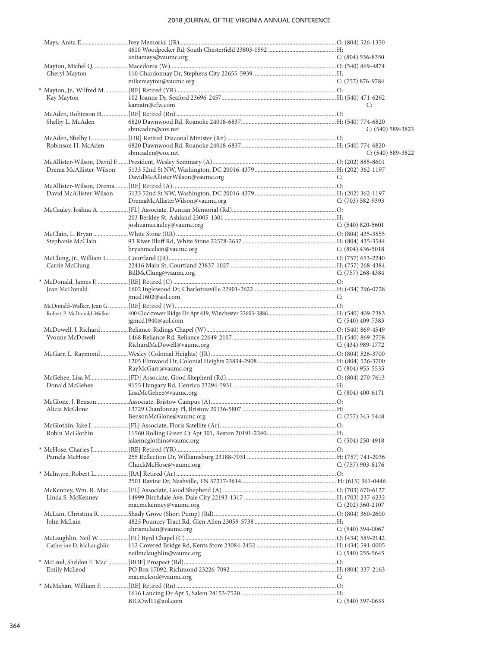|                           | anitamays@vaumc.org                                                                     | $C: (804)$ 536-8350 |
|---------------------------|-----------------------------------------------------------------------------------------|---------------------|
|                           |                                                                                         |                     |
| Cheryl Mayton             |                                                                                         |                     |
|                           | mikemayton@vaumc.org                                                                    | C: (757) 876-9784   |
|                           |                                                                                         |                     |
| Kay Mayton                |                                                                                         |                     |
|                           | kamatn@cfw.com                                                                          | C:                  |
|                           |                                                                                         |                     |
| Shelby L. McAden          | sbmcaden@cox.net                                                                        | $C: (540)$ 589-3823 |
|                           |                                                                                         |                     |
| Robinson H. McAden        |                                                                                         |                     |
|                           | sbmcaden@cox.net                                                                        | $C: (540) 589-3822$ |
|                           |                                                                                         |                     |
| Drema McAllister-Wilson   |                                                                                         | C:                  |
|                           | DavidMcAllisterWilson@vaumc.org                                                         |                     |
| David McAllister-Wilson   |                                                                                         |                     |
|                           | DremaMcAllisterWilson@vaumc.org                                                         | C: (703) 582-9393   |
|                           |                                                                                         |                     |
|                           |                                                                                         |                     |
|                           | joshuamccauley@vaumc.org                                                                | C: $(540)$ 820-5601 |
|                           |                                                                                         |                     |
| Stephanie McClain         | bryanmcclain@vaumc.org                                                                  |                     |
|                           |                                                                                         | C: $(804)$ 436-5018 |
| Carrie McClung            |                                                                                         |                     |
|                           | BillMcClung@vaumc.org                                                                   | C: (757) 268-4384   |
|                           |                                                                                         |                     |
| Jean McDonald             |                                                                                         |                     |
|                           | jmcd1602@aol.com                                                                        | C:                  |
|                           |                                                                                         |                     |
| Robert P. McDonald-Walker | jgmcd1940@aol.com                                                                       | C: $(540)$ 409-7383 |
|                           |                                                                                         |                     |
| Yvonne McDowell           |                                                                                         |                     |
|                           | RichardMcDowell@vaumc.org                                                               | C: (434) 989-1772   |
|                           |                                                                                         |                     |
|                           |                                                                                         |                     |
|                           | RayMcGarr@vaumc.org                                                                     | C: $(804)$ 955-5535 |
| Donald McGehee            |                                                                                         |                     |
|                           | LisaMcGehee@vaumc.org                                                                   | $C: (804)$ 400-6171 |
|                           |                                                                                         |                     |
|                           |                                                                                         |                     |
|                           | BensonMcGlone@vaumc.org                                                                 | $C: (757)$ 343-5448 |
|                           |                                                                                         |                     |
| Robin McGlothin           |                                                                                         |                     |
|                           | jakemcglothin@vaumc.org                                                                 | $C: (504)$ 250-4918 |
| Pamela McHose             |                                                                                         |                     |
|                           | ChuckMcHose@vaumc.org                                                                   | C: (757) 903-8176   |
|                           |                                                                                         |                     |
|                           |                                                                                         |                     |
|                           |                                                                                         |                     |
| Linda S. McKenney         |                                                                                         |                     |
|                           | macmckenney@vaumc.org                                                                   | C: $(202)$ 360-2107 |
| John McLain               |                                                                                         |                     |
|                           | chrismclain@vaumc.org                                                                   | $C: (540)$ 394-0067 |
|                           |                                                                                         |                     |
| Catherine D. McLaughlin   |                                                                                         |                     |
|                           | neilmclaughlin@vaumc.org                                                                | C: $(540)$ 255-5645 |
|                           | * McLeod, Sheldon F. 'Mac' ………… [ROF] Prospect (Rd) ………………………………………………………………………………………O: |                     |
| Emily McLeod              | macmcleod@vaumc.org                                                                     | C:                  |
|                           |                                                                                         |                     |
|                           |                                                                                         |                     |
|                           | BIGOwl11@aol.com                                                                        | $C: (540)$ 397-0633 |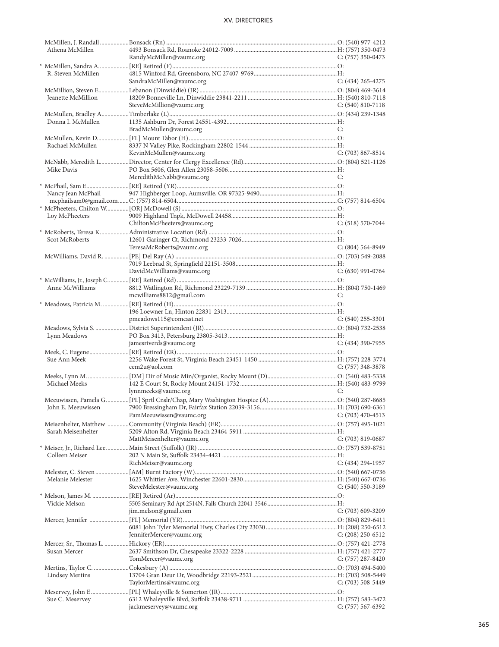| Athena McMillen    |                             |                       |
|--------------------|-----------------------------|-----------------------|
|                    | RandyMcMillen@vaumc.org     | C: (757) 350-0473     |
|                    |                             |                       |
| R. Steven McMillen |                             |                       |
|                    | SandraMcMillen@vaumc.org    |                       |
|                    |                             | $C: (434)$ 265-4275   |
|                    |                             |                       |
| Jeanette McMillion |                             |                       |
|                    | SteveMcMillion@vaumc.org    | C: $(540)$ 810-7118   |
|                    |                             |                       |
| Donna I. McMullen  |                             |                       |
|                    |                             | C:                    |
|                    | BradMcMullen@vaumc.org      |                       |
|                    |                             |                       |
| Rachael McMullen   |                             |                       |
|                    | KevinMcMullen@vaumc.org     | C: $(703)$ 867-8514   |
|                    |                             |                       |
| Mike Davis         |                             |                       |
|                    |                             |                       |
|                    | MeredithMcNabb@vaumc.org    | C:                    |
|                    |                             |                       |
| Nancy Jean McPhail |                             |                       |
|                    |                             |                       |
|                    |                             |                       |
| Loy McPheeters     |                             |                       |
|                    | ChiltonMcPheeters@vaumc.org | $C: (518) 570-7044$   |
|                    |                             |                       |
|                    |                             |                       |
| Scot McRoberts     |                             |                       |
|                    | TeresaMcRoberts@vaumc.org   | C: $(804)$ 564-8949   |
|                    |                             |                       |
|                    |                             |                       |
|                    |                             |                       |
|                    | DavidMcWilliams@vaumc.org   | $C: (630)$ 991-0764   |
|                    |                             |                       |
| Anne McWilliams    |                             |                       |
|                    | mcwilliams8812@gmail.com    | C:                    |
|                    |                             |                       |
|                    |                             |                       |
|                    |                             |                       |
|                    | pmeadows115@comcast.net     | $C: (540)$ 255-3301   |
|                    |                             |                       |
| Lynn Meadows       |                             |                       |
|                    | jamesriverds@vaumc.org      | $C: (434)$ 390-7955   |
|                    |                             |                       |
| Sue Ann Meek       |                             |                       |
|                    |                             |                       |
|                    | cem2u@aol.com               | C: $(757)$ 348-3878   |
|                    |                             |                       |
| Michael Meeks      |                             |                       |
|                    | lynnmeeks@vaumc.org         | C:                    |
|                    |                             |                       |
| John E. Meeuwissen |                             |                       |
|                    |                             |                       |
|                    | PamMeeuwissen@vaumc.org     | $C: (703)$ 470-4513   |
|                    |                             |                       |
| Sarah Meisenhelter |                             |                       |
|                    | MattMeisenhelter@vaumc.org  | $C: (703)$ 819-0687   |
|                    |                             |                       |
|                    |                             |                       |
| Colleen Meiser     |                             |                       |
|                    | RichMeiser@vaumc.org        | $C: (434) 294-1957$   |
|                    |                             |                       |
| Melanie Melester   |                             |                       |
|                    | SteveMelester@vaumc.org     | $C: (540) 550-3189$   |
|                    |                             |                       |
|                    |                             |                       |
| Vickie Melson      |                             |                       |
|                    | jim.melson@gmail.com        | C: (703) 609-3209     |
|                    |                             |                       |
|                    |                             |                       |
|                    | JenniferMercer@vaumc.org    | C: $(208)$ 250-6512   |
|                    |                             |                       |
|                    |                             |                       |
| Susan Mercer       |                             |                       |
|                    | TomMercer@vaumc.org         | $C: (757) 287 - 8420$ |
|                    |                             |                       |
| Lindsey Mertins    |                             |                       |
|                    |                             |                       |
|                    | TaylorMertins@vaumc.org     | $C: (703) 508 - 5449$ |
|                    |                             |                       |
| Sue C. Meservey    |                             |                       |
|                    | jackmeservey@vaumc.org      | $C: (757) 567-6392$   |
|                    |                             |                       |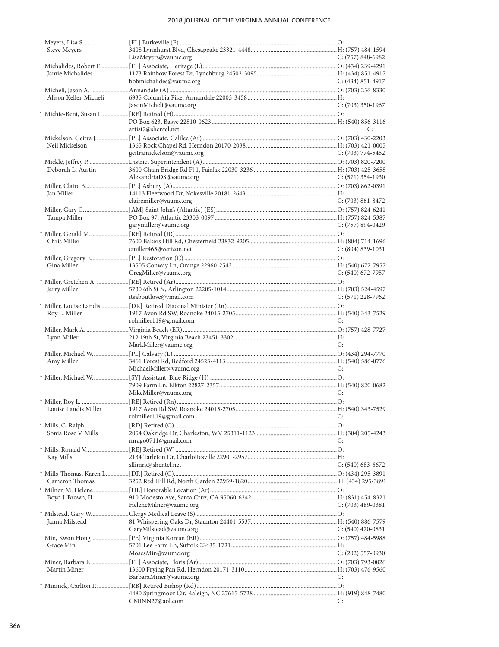| Steve Meyers          |                           |                       |
|-----------------------|---------------------------|-----------------------|
|                       | LisaMeyers@vaumc.org      | C: (757) 848-6982     |
| Jamie Michalides      |                           |                       |
|                       | bobmichalides@vaumc.org   | C: $(434)$ 851-4917   |
|                       |                           |                       |
| Alison Keller-Micheli |                           |                       |
|                       | JasonMicheli@vaumc.org    | $C: (703)$ 350-1967   |
|                       |                           |                       |
|                       |                           |                       |
|                       | artist7@shentel.net       | C:                    |
|                       |                           |                       |
| Neil Mickelson        |                           |                       |
|                       | geitramickelson@vaumc.org | C: (703) 774-5452     |
|                       |                           |                       |
| Deborah L. Austin     | AlexandriaDS@vaumc.org    | C: $(571)$ 354-1930   |
|                       |                           |                       |
| Jan Miller            |                           |                       |
|                       | clairemiller@vaumc.org    | $C: (703) 861 - 8472$ |
|                       |                           |                       |
| Tampa Miller          |                           |                       |
|                       | garymiller@vaumc.org      | $C: (757) 894-0429$   |
|                       |                           |                       |
| Chris Miller          |                           |                       |
|                       | cmiller465@verizon.net    | $C: (804) 839-1031$   |
|                       |                           |                       |
| Gina Miller           |                           |                       |
|                       | GregMiller@vaumc.org      | $C: (540)$ 672-7957   |
|                       |                           |                       |
| Jerry Miller          | itsaboutlove@ymail.com    | $C: (571)$ 228-7962   |
|                       |                           |                       |
| Roy L. Miller         |                           |                       |
|                       | rolmiller119@gmail.com    | C:                    |
|                       |                           |                       |
| Lynn Miller           |                           |                       |
|                       | MarkMiller@vaumc.org      | C:                    |
|                       |                           |                       |
| Amy Miller            |                           |                       |
|                       | MichaelMiller@vaumc.org   | C:                    |
|                       |                           |                       |
|                       | MikeMiller@vaumc.org      | C:                    |
|                       |                           |                       |
|                       |                           |                       |
|                       | rolmiller119@gmail.com    | C:                    |
|                       |                           |                       |
| Sonia Rose V. Mills   |                           |                       |
|                       | mrago0711@gmail.com       | C:                    |
|                       |                           |                       |
| Kay Mills             |                           |                       |
|                       | sllimrk@shentel.net       | $C: (540) 683-6672$   |
|                       |                           |                       |
| Cameron Thomas        |                           |                       |
|                       |                           |                       |
| Boyd J. Brown, II     |                           |                       |
|                       | HeleneMilner@vaumc.org    | C: $(703)$ 489-0381   |
| Janna Milstead        |                           |                       |
|                       | GaryMilstead@vaumc.org    | C: $(540)$ 470-0831   |
|                       |                           |                       |
| Grace Min             |                           |                       |
|                       | MosesMin@vaumc.org        | $C: (202)$ 557-0930   |
|                       |                           |                       |
| Martin Miner          |                           |                       |
|                       | BarbaraMiner@vaumc.org    | C:                    |
|                       |                           |                       |
|                       |                           |                       |
|                       | CMINN27@aol.com           | C:                    |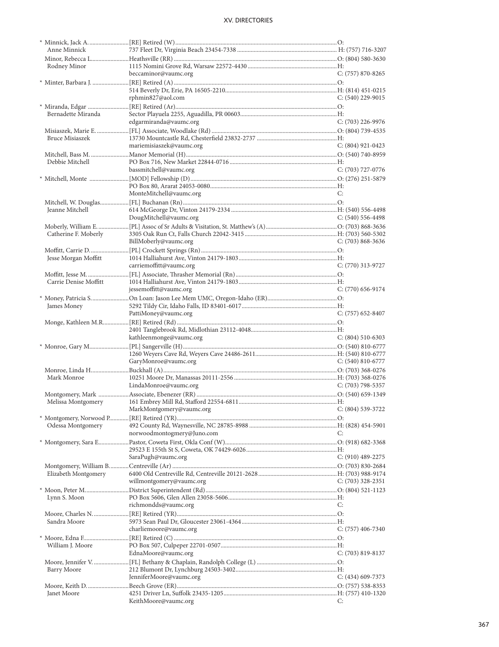| Anne Minnick          |                                            |                       |
|-----------------------|--------------------------------------------|-----------------------|
|                       |                                            |                       |
| Rodney Minor          |                                            |                       |
|                       | beccaminor@vaumc.org                       | $C: (757) 870 - 8265$ |
|                       |                                            |                       |
|                       |                                            |                       |
|                       |                                            |                       |
|                       | rphmin827@aol.com                          | $C: (540)$ 229-9015   |
|                       |                                            |                       |
| Bernadette Miranda    |                                            |                       |
|                       | edgarmiranda@vaumc.org                     | C: (703) 226-9976     |
|                       |                                            |                       |
|                       |                                            |                       |
| Bruce Misiaszek       |                                            |                       |
|                       | mariemisiaszek@vaumc.org                   | $C: (804)$ 921-0423   |
|                       |                                            |                       |
| Debbie Mitchell       |                                            |                       |
|                       | bassmitchell@vaumc.org                     | $C: (703)$ 727-0776   |
|                       |                                            |                       |
|                       |                                            |                       |
|                       | MonteMitchell@vaumc.org                    | C:                    |
|                       |                                            |                       |
|                       |                                            |                       |
| Jeanne Mitchell       |                                            |                       |
|                       | DougMitchell@vaumc.org                     | $C: (540) 556-4498$   |
|                       |                                            |                       |
| Catherine F. Moberly  |                                            |                       |
|                       | BillMoberly@vaumc.org                      | $C: (703) 868 - 3636$ |
|                       |                                            |                       |
|                       |                                            |                       |
| Jesse Morgan Moffitt  |                                            |                       |
|                       | carriemoffitt@vaumc.org                    | C: (770) 313-9727     |
|                       |                                            |                       |
| Carrie Denise Moffitt |                                            |                       |
|                       | jessemoffitt@vaumc.org                     | $C: (770)$ 656-9174   |
|                       |                                            |                       |
| James Money           |                                            |                       |
|                       | PattiMoney@vaumc.org                       | $C: (757)$ 652-8407   |
|                       |                                            |                       |
|                       |                                            |                       |
|                       |                                            |                       |
|                       |                                            |                       |
|                       | kathleenmonge@vaumc.org                    | $C: (804) 510-6303$   |
|                       |                                            |                       |
|                       |                                            |                       |
|                       | GaryMonroe@vaumc.org                       | $C: (540) 810-6777$   |
|                       |                                            |                       |
|                       |                                            |                       |
| Mark Monroe           |                                            |                       |
|                       | LindaMonroe@vaumc.org                      | $C: (703)$ 798-5357   |
|                       |                                            |                       |
| Melissa Montgomery    |                                            |                       |
|                       | MarkMontgomery@vaumc.org C: (804) 539-3722 |                       |
|                       |                                            |                       |
|                       |                                            |                       |
| Odessa Montgomery     |                                            | C:                    |
|                       | norwoodmontogmery@Juno.com                 |                       |
|                       |                                            |                       |
|                       |                                            |                       |
|                       | SaraPugh@vaumc.org                         | $C: (910)$ 489-2275   |
|                       |                                            |                       |
| Elizabeth Montgomery  |                                            |                       |
|                       | willmontgomery@vaumc.org                   | C: $(703)$ 328-2351   |
|                       |                                            |                       |
|                       |                                            |                       |
| Lynn S. Moon          |                                            |                       |
|                       | richmondds@vaumc.org                       | C:                    |
|                       |                                            |                       |
| Sandra Moore          |                                            |                       |
|                       | charliemoore@vaumc.org                     | $C: (757)$ 406-7340   |
|                       |                                            |                       |
| William J. Moore      |                                            |                       |
|                       | EdnaMoore@vaumc.org                        | $C: (703) 819-8137$   |
|                       |                                            |                       |
|                       |                                            |                       |
| Barry Moore           |                                            |                       |
|                       | JenniferMoore@vaumc.org                    | C: (434) 609-7373     |
|                       |                                            |                       |
| Janet Moore           | KeithMoore@vaumc.org                       | C:                    |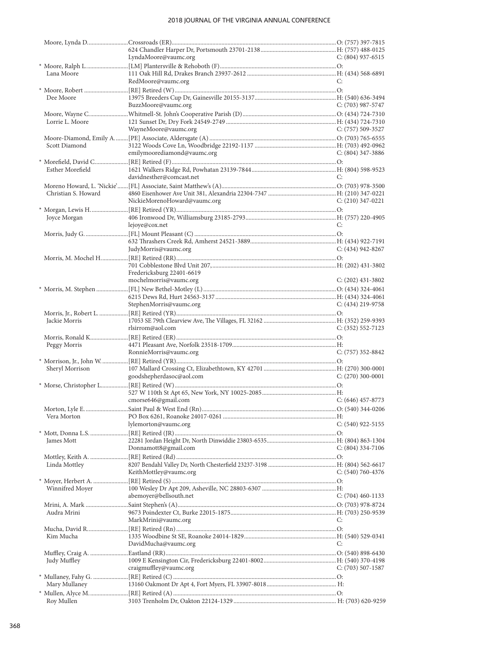|                     | LyndaMoore@vaumc.org                       | $C: (804)$ 937-6515   |
|---------------------|--------------------------------------------|-----------------------|
|                     |                                            |                       |
| Lana Moore          |                                            |                       |
|                     | RedMoore@vaumc.org                         | C:                    |
|                     |                                            |                       |
| Dee Moore           |                                            |                       |
|                     | BuzzMoore@vaumc.org                        | $C: (703)$ 987-5747   |
|                     |                                            |                       |
| Lorrie L. Moore     |                                            |                       |
|                     | WayneMoore@vaumc.org                       | C: (757) 509-3527     |
|                     |                                            |                       |
| Scott Diamond       |                                            |                       |
|                     | emilymoorediamond@vaumc.org                | $C: (804)$ 347-3886   |
|                     |                                            |                       |
|                     |                                            |                       |
| Esther Morefield    |                                            |                       |
|                     | davidnesther@comcast.net                   | C:                    |
|                     |                                            |                       |
| Christian S. Howard |                                            |                       |
|                     | NickieMorenoHoward@vaumc.org               | $C: (210)$ 347-0221   |
|                     |                                            |                       |
| Joyce Morgan        |                                            |                       |
|                     | lejoye@cox.net                             | C:                    |
|                     |                                            |                       |
|                     |                                            |                       |
|                     | JudyMorris@vaumc.org                       | $C: (434) 942 - 8267$ |
|                     |                                            |                       |
|                     |                                            |                       |
|                     | Fredericksburg 22401-6619                  |                       |
|                     |                                            |                       |
|                     | mochelmorris@vaumc.org                     | $C: (202)$ 431-3802   |
|                     |                                            |                       |
|                     |                                            |                       |
|                     | StephenMorris@vaumc.org                    | $C: (434)$ 219-9758   |
|                     |                                            |                       |
| Jackie Morris       |                                            |                       |
|                     | rlsirrom@aol.com                           | $C: (352) 552 - 7123$ |
|                     |                                            |                       |
| Peggy Morris        |                                            |                       |
|                     | RonnieMorris@vaumc.org                     | $C: (757)$ 352-8842   |
|                     |                                            |                       |
| Sheryl Morrison     |                                            |                       |
|                     | goodshepherdasoc@aol.com                   | $C: (270)$ 300-0001   |
|                     |                                            |                       |
|                     |                                            |                       |
|                     |                                            |                       |
|                     | cmorse646@gmail.com                        | $C: (646)$ 457-8773   |
|                     | Morton, Lyle E. Saint Paul & West End (Rn) | O: $(540)$ 344-0206   |
| Vera Morton         |                                            |                       |
|                     | lylemorton@vaumc.org                       | $C: (540)$ 922-5155   |
|                     |                                            |                       |
| James Mott          |                                            |                       |
|                     | Donnamott8@gmail.com                       | $C: (804)$ 334-7106   |
|                     |                                            |                       |
| Linda Mottley       |                                            |                       |
|                     | KeithMottley@vaumc.org                     | C: $(540)$ 760-4376   |
|                     |                                            |                       |
| Winnifred Moyer     |                                            |                       |
|                     | abemoyer@bellsouth.net                     | $C: (704)$ 460-1133   |
|                     |                                            |                       |
|                     |                                            |                       |
| Audra Mrini         |                                            |                       |
|                     | MarkMrini@vaumc.org                        | C:                    |
|                     |                                            |                       |
| Kim Mucha           |                                            |                       |
|                     | DavidMucha@vaumc.org                       | C:                    |
|                     |                                            |                       |
| Judy Muffley        |                                            |                       |
|                     | craigmuffley@vaumc.org                     | C: (703) 507-1587     |
|                     |                                            |                       |
| Mary Mullaney       |                                            |                       |
|                     |                                            |                       |
| Roy Mullen          |                                            |                       |
|                     |                                            |                       |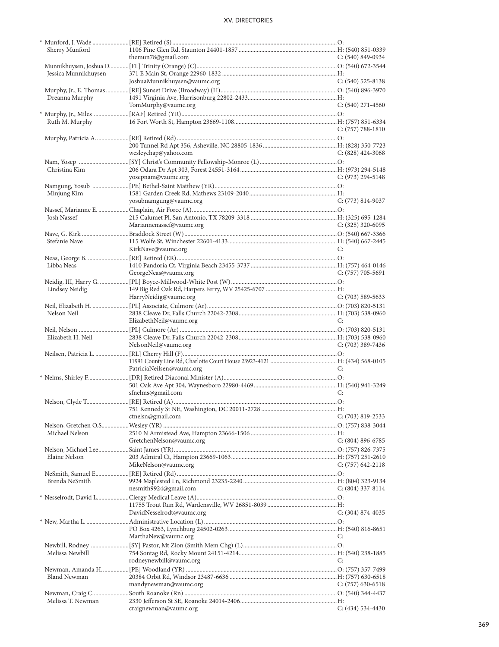|                      | * Munford, J. Wade ……………………[RE] Retired (S) …………………………………………………………………………………………O: |                       |
|----------------------|----------------------------------------------------------------------------------|-----------------------|
| Sherry Munford       |                                                                                  |                       |
|                      | themun78@gmail.com                                                               | $C: (540) 849-0934$   |
|                      |                                                                                  |                       |
| Jessica Munnikhuysen |                                                                                  |                       |
|                      | JoshuaMunnikhuysen@vaumc.org                                                     | $C: (540)$ 525-8138   |
|                      |                                                                                  |                       |
| Dreanna Murphy       |                                                                                  |                       |
|                      | TomMurphy@vaumc.org                                                              | $C: (540)$ 271-4560   |
|                      |                                                                                  |                       |
|                      |                                                                                  |                       |
| Ruth M. Murphy       |                                                                                  |                       |
|                      |                                                                                  | $C: (757) 788-1810$   |
|                      |                                                                                  |                       |
|                      |                                                                                  |                       |
|                      | wesleychap@yahoo.com                                                             | $C: (828)$ 424-3068   |
|                      |                                                                                  |                       |
| Christina Kim        |                                                                                  |                       |
|                      | yosepnam@vaumc.org                                                               | $C: (973)$ 294-5148   |
|                      |                                                                                  |                       |
| Minjung Kim          |                                                                                  |                       |
|                      | yosubnamgung@vaumc.org                                                           | $C: (773) 814-9037$   |
|                      |                                                                                  |                       |
|                      |                                                                                  |                       |
| <b>Josh Nassef</b>   |                                                                                  |                       |
|                      | Mariannenassef@vaumc.org                                                         | C: $(325)$ 320-6095   |
|                      |                                                                                  |                       |
| Stefanie Nave        |                                                                                  |                       |
|                      | KirkNave@vaumc.org                                                               | C:                    |
|                      |                                                                                  |                       |
| Libba Neas           |                                                                                  |                       |
|                      | GeorgeNeas@vaumc.org                                                             | $C: (757) 705-5691$   |
|                      |                                                                                  |                       |
|                      |                                                                                  |                       |
| Lindsey Neidig       |                                                                                  |                       |
|                      | HarryNeidig@vaumc.org                                                            | $C: (703)$ 589-5633   |
|                      |                                                                                  |                       |
| Nelson Neil          |                                                                                  |                       |
|                      | ElizabethNeil@vaumc.org                                                          | C:                    |
|                      |                                                                                  |                       |
| Elizabeth H. Neil    |                                                                                  |                       |
|                      | NelsonNeil@vaumc.org                                                             | $C: (703)$ 389-7436   |
|                      |                                                                                  |                       |
|                      |                                                                                  |                       |
|                      | PatriciaNeilsen@vaumc.org                                                        | C:                    |
|                      |                                                                                  |                       |
|                      |                                                                                  |                       |
|                      |                                                                                  |                       |
|                      | sfnelms@gmail.com                                                                | C:                    |
|                      |                                                                                  |                       |
|                      |                                                                                  |                       |
|                      | ctnelsn@gmail.com                                                                | $C: (703) 819 - 2533$ |
|                      |                                                                                  |                       |
| Michael Nelson       |                                                                                  |                       |
|                      | GretchenNelson@vaumc.org                                                         | $C: (804) 896 - 6785$ |
|                      |                                                                                  |                       |
| Elaine Nelson        |                                                                                  |                       |
|                      | MikeNelson@vaumc.org                                                             | $C: (757) 642 - 2118$ |
|                      |                                                                                  |                       |
|                      |                                                                                  |                       |
| Brenda NeSmith       |                                                                                  |                       |
|                      | nesmith9924@gmail.com                                                            | $C: (804)$ 337-8114   |
|                      |                                                                                  |                       |
|                      |                                                                                  |                       |
|                      | DavidNesselrodt@vaumc.org                                                        | $C: (304) 874-4035$   |
|                      |                                                                                  |                       |
|                      |                                                                                  |                       |
|                      | MarthaNew@vaumc.org                                                              | C:                    |
|                      |                                                                                  |                       |
|                      |                                                                                  |                       |
| Melissa Newbill      |                                                                                  |                       |
|                      | rodneynewbill@vaumc.org                                                          | C:                    |
|                      |                                                                                  |                       |
| Bland Newman         |                                                                                  |                       |
|                      | mandynewman@vaumc.org                                                            | $C: (757)$ 630-6518   |
|                      |                                                                                  |                       |
| Melissa T. Newman    |                                                                                  |                       |
|                      | craignewman@vaumc.org                                                            | $C: (434) 534-4430$   |
|                      |                                                                                  |                       |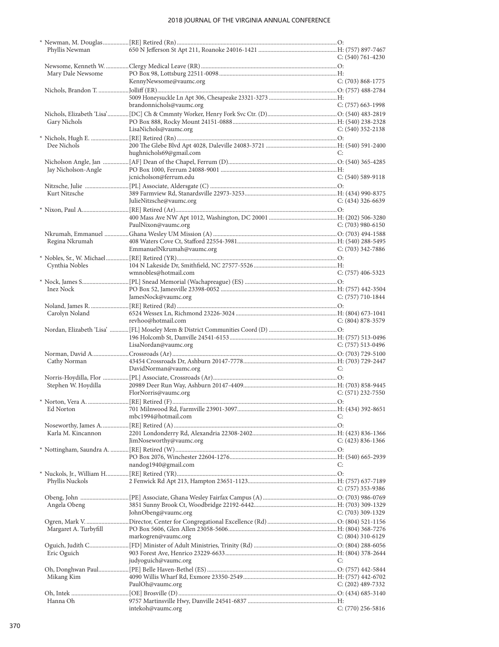| Phyllis Newman        |                                                                                          |                       |
|-----------------------|------------------------------------------------------------------------------------------|-----------------------|
|                       |                                                                                          | $C: (540) 761 - 4230$ |
|                       |                                                                                          |                       |
| Mary Dale Newsome     |                                                                                          |                       |
|                       | KennyNewsome@vaumc.org                                                                   | $C: (703) 868-1775$   |
|                       |                                                                                          |                       |
|                       |                                                                                          |                       |
|                       | brandonnichols@vaumc.org                                                                 | C: (757) 663-1998     |
|                       |                                                                                          |                       |
| Gary Nichols          |                                                                                          |                       |
|                       | LisaNichols@vaumc.org                                                                    | $C: (540)$ 352-2138   |
|                       |                                                                                          |                       |
| Dee Nichols           |                                                                                          |                       |
|                       | hughnichols69@gmail.com                                                                  | C:                    |
|                       |                                                                                          |                       |
| Jay Nicholson-Angle   |                                                                                          |                       |
|                       | jcnicholson@ferrum.edu                                                                   | $C: (540) 589-9118$   |
|                       |                                                                                          |                       |
| Kurt Nitzsche         |                                                                                          |                       |
|                       | JulieNitzsche@vaumc.org                                                                  | $C: (434)$ 326-6639   |
|                       |                                                                                          |                       |
|                       |                                                                                          |                       |
|                       | PaulNixon@vaumc.org                                                                      | $C: (703)$ 980-6150   |
|                       |                                                                                          |                       |
| Regina Nkrumah        |                                                                                          |                       |
|                       | EmmanuelNkrumah@vaumc.org                                                                | $C: (703)$ 342-7886   |
|                       |                                                                                          |                       |
| Cynthia Nobles        |                                                                                          |                       |
|                       | wmnobles@hotmail.com                                                                     | $C: (757)$ 406-5323   |
|                       | * Nock, James S……………………………[PL] Snead Memorial (Wachapreague) (ES) ……………………………………………………O: |                       |
| Inez Nock             |                                                                                          |                       |
|                       | JamesNock@vaumc.org                                                                      | $C: (757)$ 710-1844   |
|                       |                                                                                          |                       |
| Carolyn Noland        |                                                                                          |                       |
|                       | revhoo@hotmail.com                                                                       | $C: (804) 878-3579$   |
|                       |                                                                                          |                       |
|                       |                                                                                          |                       |
|                       |                                                                                          |                       |
|                       |                                                                                          |                       |
|                       | LisaNordan@vaumc.org                                                                     | C: $(757)$ 513-0496   |
|                       |                                                                                          |                       |
| Cathy Norman          |                                                                                          |                       |
|                       | DavidNorman@vaumc.org                                                                    | C:                    |
|                       |                                                                                          |                       |
| Stephen W. Hoydilla   |                                                                                          |                       |
|                       | FlorNorris@vaumc.org                                                                     | $C: (571)$ 232-7550   |
|                       |                                                                                          |                       |
|                       |                                                                                          |                       |
|                       | mbc1994@hotmail.com                                                                      | C:                    |
|                       |                                                                                          |                       |
| Karla M. Kincannon    |                                                                                          |                       |
|                       | JimNoseworthy@vaumc.org                                                                  | $C: (423) 836-1366$   |
|                       |                                                                                          |                       |
|                       |                                                                                          |                       |
|                       | nandog1940@gmail.com                                                                     | C:                    |
|                       | * Nuckols, Jr., William H……………[RE] Retired (YR)……………………………………………………………………………………………O:     |                       |
| Phyllis Nuckols       |                                                                                          |                       |
|                       |                                                                                          | C: $(757)$ 353-9386   |
|                       |                                                                                          |                       |
| Angela Obeng          |                                                                                          |                       |
|                       | JohnObeng@vaumc.org                                                                      | $C: (703)$ 309-1329   |
|                       |                                                                                          |                       |
| Margaret A. Turbyfill |                                                                                          |                       |
|                       | markogren@vaumc.org                                                                      | C: $(804)$ 310-6129   |
|                       |                                                                                          |                       |
| Eric Oguich           |                                                                                          |                       |
|                       | judyoguich@vaumc.org                                                                     | C:                    |
|                       |                                                                                          |                       |
| Mikang Kim            |                                                                                          |                       |
|                       | PaulOh@vaumc.org                                                                         | C: (202) 489-7332     |
|                       |                                                                                          |                       |
| Hanna Oh              | intekoh@vaumc.org                                                                        | C: $(770)$ 256-5816   |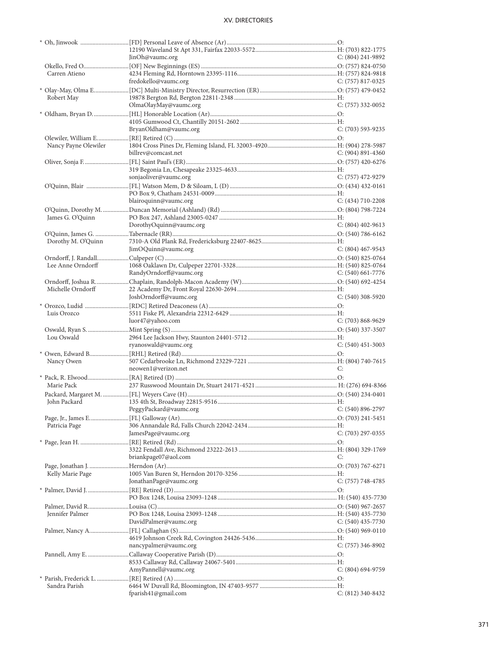|                      | JinOh@vaumc.org                          | $C: (804)$ 241-9892   |
|----------------------|------------------------------------------|-----------------------|
|                      |                                          |                       |
| Carren Atieno        |                                          |                       |
|                      | fredokello@vaumc.org                     | $C: (757) 817-0325$   |
|                      |                                          |                       |
| Robert May           |                                          |                       |
|                      | OlmaOlayMay@vaumc.org                    | $C: (757)$ 332-0052   |
|                      |                                          |                       |
|                      |                                          |                       |
|                      | BryanOldham@vaumc.org                    | C: (703) 593-9235     |
|                      |                                          |                       |
| Nancy Payne Olewiler |                                          |                       |
|                      | billrev@comcast.net                      | $C: (904) 891 - 4360$ |
|                      |                                          |                       |
|                      |                                          |                       |
|                      | sonjaoliver@vaumc.org                    | C: (757) 472-9279     |
|                      |                                          |                       |
|                      |                                          |                       |
|                      | blairoquinn@vaumc.org                    | $C: (434)$ 710-2208   |
|                      |                                          |                       |
| James G. O'Quinn     |                                          |                       |
|                      | DorothyOquinn@vaumc.org                  | $C: (804)$ 402-9613   |
|                      |                                          |                       |
| Dorothy M. O'Quinn   |                                          |                       |
|                      | JimOQuinn@vaumc.org                      | $C: (804)$ 467-9543   |
|                      |                                          |                       |
| Lee Anne Orndorff    |                                          |                       |
|                      | RandyOrndorff@vaumc.org                  | $C: (540)$ 661-7776   |
|                      |                                          |                       |
| Michelle Orndorff    |                                          |                       |
|                      | JoshOrndorff@vaumc.org                   | $C: (540)$ 308-5920   |
|                      |                                          |                       |
| Luis Orozco          |                                          |                       |
|                      | luor47@yahoo.com                         | $C: (703) 868-9629$   |
|                      |                                          |                       |
| Lou Oswald           |                                          |                       |
|                      | ryanoswald@vaumc.org                     | $C: (540)$ 451-3003   |
|                      |                                          |                       |
| Nancy Owen           |                                          |                       |
|                      | neowen1@verizon.net                      | C:                    |
|                      |                                          |                       |
| Marie Pack           |                                          |                       |
|                      |                                          |                       |
| John Packard         |                                          |                       |
|                      | PeggyPackard@vaumc.org C: (540) 896-2797 |                       |
|                      |                                          |                       |
| Patricia Page        |                                          | $C: (703)$ 297-0355   |
|                      | JamesPage@vaumc.org                      |                       |
|                      |                                          |                       |
|                      | briankpage07@aol.com                     | C:                    |
|                      |                                          |                       |
|                      |                                          |                       |
| Kelly Marie Page     | JonathanPage@vaumc.org                   |                       |
|                      |                                          | $C: (757) 748-4785$   |
|                      |                                          |                       |
|                      |                                          |                       |
|                      |                                          |                       |
| Jennifer Palmer      | DavidPalmer@vaumc.org                    |                       |
|                      |                                          | $C: (540)$ 435-7730   |
|                      |                                          |                       |
|                      |                                          |                       |
|                      | nancypalmer@vaumc.org                    | $C: (757)$ 346-8902   |
|                      |                                          |                       |
|                      |                                          |                       |
|                      | AmyPannell@vaumc.org                     | $C: (804) 694-9759$   |
| Sandra Parish        |                                          |                       |
|                      | fparish41@gmail.com                      | $C: (812)$ 340-8432   |
|                      |                                          |                       |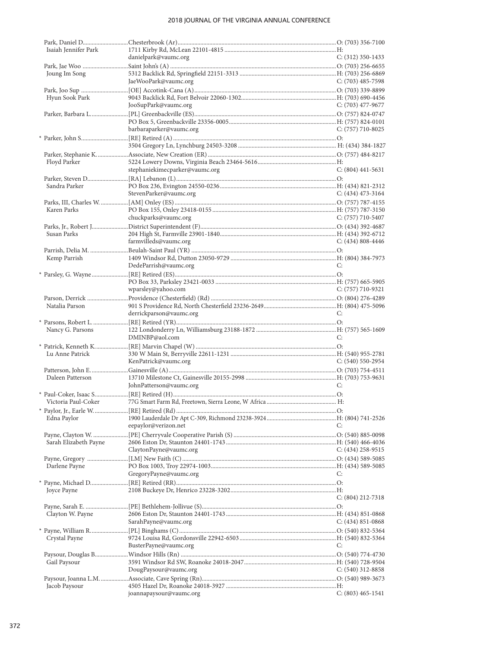| Isaiah Jennifer Park  |                                |                       |
|-----------------------|--------------------------------|-----------------------|
|                       | danielpark@vaumc.org           | C: $(312)$ 350-1433   |
|                       |                                |                       |
| Joung Im Song         |                                |                       |
|                       | JaeWooPark@vaumc.org           | C: $(703)$ 485-7598   |
|                       |                                |                       |
| Hyun Sook Park        |                                |                       |
|                       | JooSupPark@vaumc.org           | C: $(703)$ 477-9677   |
|                       |                                |                       |
|                       |                                |                       |
|                       | barbaraparker@vaumc.org        | $C: (757)$ 710-8025   |
|                       |                                |                       |
|                       |                                |                       |
|                       |                                |                       |
| Floyd Parker          |                                |                       |
|                       | stephaniekimecparker@vaumc.org | $C: (804)$ 441-5631   |
|                       |                                |                       |
| Sandra Parker         |                                |                       |
|                       | StevenParker@vaumc.org         | C: $(434)$ 473-3164   |
|                       |                                |                       |
| Karen Parks           |                                |                       |
|                       | chuckparks@vaumc.org           | C: (757) 710-5407     |
|                       |                                |                       |
| Susan Parks           |                                |                       |
|                       | farmvilleds@vaumc.org          | $C: (434) 808 - 4446$ |
|                       |                                |                       |
| Kemp Parrish          |                                |                       |
|                       | DedeParrish@vaumc.org          | C:                    |
|                       |                                |                       |
|                       |                                |                       |
|                       | wparsley@yahoo.com             | C: (757) 710-9321     |
|                       |                                |                       |
| Natalia Parson        |                                |                       |
|                       | derrickparson@vaumc.org        | C:                    |
|                       |                                |                       |
| Nancy G. Parsons      |                                |                       |
|                       | DMINBP@aol.com                 | C:                    |
|                       |                                |                       |
| Lu Anne Patrick       |                                |                       |
|                       | KenPatrick@vaumc.org           | $C: (540) 550-2954$   |
|                       |                                |                       |
| Daleen Patterson      |                                |                       |
|                       | JohnPatterson@vaumc.org        | C:                    |
|                       |                                |                       |
|                       |                                |                       |
| Victoria Paul-Coker   |                                |                       |
|                       |                                |                       |
| Edna Paylor           |                                |                       |
|                       | eepaylor@verizon.net           | €                     |
|                       |                                |                       |
| Sarah Elizabeth Payne |                                |                       |
|                       | ClaytonPayne@vaumc.org         | $C: (434)$ 258-9515   |
|                       |                                |                       |
| Darlene Payne         |                                |                       |
|                       | GregoryPayne@vaumc.org         | C:                    |
|                       |                                |                       |
| Joyce Payne           |                                |                       |
|                       |                                | $C: (804)$ 212-7318   |
|                       |                                |                       |
| Clayton W. Payne      |                                |                       |
|                       | SarahPayne@vaumc.org           | $C: (434) 851 - 0868$ |
|                       |                                |                       |
| Crystal Payne         |                                |                       |
|                       | BusterPayne@vaumc.org          | C:                    |
|                       |                                |                       |
| Gail Paysour          |                                |                       |
|                       | DougPaysour@vaumc.org          | $C: (540)$ 312-8858   |
|                       |                                |                       |
| Jacob Paysour         | joannapaysour@vaumc.org        | $C: (803)$ 465-1541   |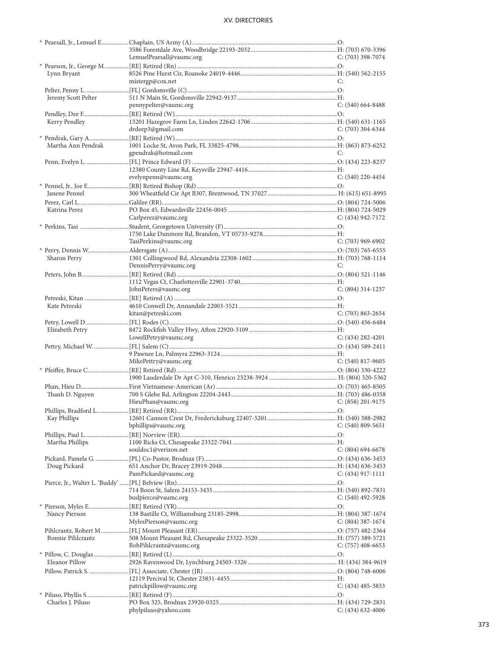|                          | LemuelPearsall@vaumc.org | $C: (703)$ 398-7074   |
|--------------------------|--------------------------|-----------------------|
|                          |                          |                       |
| Lynn Bryant              |                          |                       |
|                          | mistergp@cox.net         | €                     |
| Jeremy Scott Pelter      |                          |                       |
|                          | pennypelter@vaumc.org    | $C: (540) 664-8488$   |
|                          |                          |                       |
| Kerry Pendley            |                          |                       |
|                          | drdeep3@gmail.com        | C: (703) 304-6344     |
|                          |                          |                       |
| Martha Ann Pendrak       |                          |                       |
|                          | gpendrak@hotmail.com     | C:                    |
|                          |                          |                       |
|                          |                          |                       |
|                          | evelynpenn@vaumc.org     | $C: (540)$ 220-4454   |
|                          |                          |                       |
| Janene Pennel            |                          |                       |
|                          |                          |                       |
| Katrina Perez            |                          |                       |
|                          | Carlperez@vaumc.org      | $C: (434) 942 - 7172$ |
|                          |                          |                       |
|                          |                          |                       |
|                          | TasiPerkins@vaumc.org    | $C: (703)$ 969-6902   |
|                          |                          |                       |
| Sharon Perry             |                          | C:                    |
|                          | DennisPerry@vaumc.org    |                       |
|                          |                          |                       |
|                          | JohnPeters@vaumc.org     | $C: (804)$ 314-1237   |
|                          |                          |                       |
| Kate Petreski            |                          |                       |
|                          | kitan@petreski.com       | $C: (703) 863 - 2654$ |
|                          |                          |                       |
| Elizabeth Petry          |                          |                       |
|                          | LowellPetry@vaumc.org    | $C: (434) 282 - 4201$ |
|                          |                          |                       |
|                          |                          |                       |
|                          |                          |                       |
|                          | MikePettry@vaumc.org     | $C: (540) 817-9605$   |
|                          |                          |                       |
|                          |                          |                       |
|                          |                          |                       |
| Thanh D. Nguyen          |                          |                       |
|                          | HieuPhan@vaumc.org       | $C: (858)$ 201-9175   |
|                          |                          |                       |
| Kay Phillips             |                          |                       |
|                          | bphillips@vaumc.org      | $C: (540) 809 - 5651$ |
|                          |                          |                       |
| Martha Phillips          |                          |                       |
|                          | souldoc1@verizon.net     | $C: (804) 694-6678$   |
|                          |                          |                       |
| Doug Pickard             |                          |                       |
|                          | PamPickard@vaumc.org     | $C: (434)$ 917-1111   |
|                          |                          |                       |
|                          |                          |                       |
|                          | budpierce@vaumc.org      | $C: (540)$ 492-5928   |
|                          |                          |                       |
| Nancy Pierson            | MylesPierson@vaumc.org   | $C: (804)$ 387-1674   |
|                          |                          |                       |
| <b>Bonnie Pihlcrantz</b> |                          |                       |
|                          | BobPihlcrantz@vaumc.org  | $C: (757)$ 408-6653   |
|                          |                          |                       |
| Eleanor Pillow           |                          |                       |
|                          |                          |                       |
|                          |                          |                       |
|                          | patrickpillow@vaumc.org  | $C: (434)$ 485-3833   |
|                          |                          |                       |
| Charles J. Piluso        | phylpiluso@yahoo.com     | $C: (434)$ 632-4006   |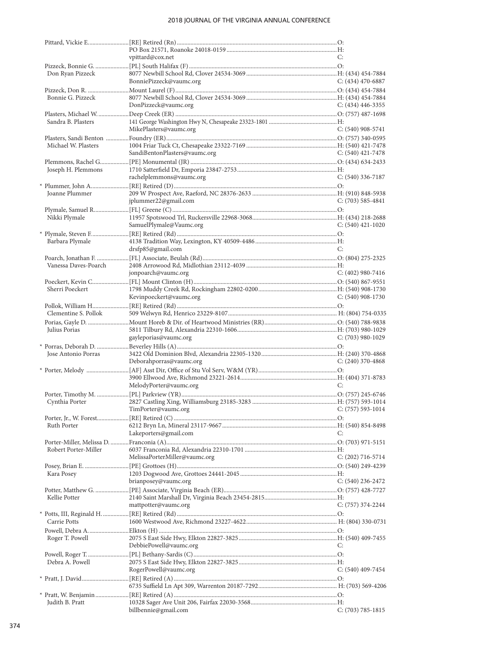|                      | vpittard@cox.net              | C:                    |
|----------------------|-------------------------------|-----------------------|
| Don Ryan Pizzeck     |                               |                       |
|                      | BonniePizzeck@vaumc.org       | C: $(434)$ 470-6887   |
|                      |                               |                       |
| Bonnie G. Pizzeck    |                               |                       |
|                      | DonPizzeck@vaumc.org          | C: $(434)$ 446-3355   |
|                      |                               |                       |
| Sandra B. Plasters   |                               |                       |
|                      | MikePlasters@vaumc.org        | $C: (540)$ 908-5741   |
| Michael W. Plasters  |                               |                       |
|                      | SandiBentonPlasters@vaumc.org | C: $(540)$ 421-7478   |
|                      |                               |                       |
| Joseph H. Plemmons   |                               |                       |
|                      | rachelplemmons@vaumc.org      | C: $(540)$ 336-7187   |
|                      |                               |                       |
| Joanne Plummer       |                               |                       |
|                      | jplummer22@gmail.com          | C: $(703)$ 585-4841   |
|                      |                               |                       |
| Nikki Plymale        | SamuelPlymale@Vaumc.org       | C: $(540)$ 421-1020   |
|                      |                               |                       |
| Barbara Plymale      |                               |                       |
|                      | drsfp85@gmail.com             | C:                    |
|                      |                               |                       |
| Vanessa Daves-Poarch |                               |                       |
|                      | jonpoarch@vaumc.org           | C: $(402)$ 980-7416   |
|                      |                               |                       |
| Sherri Poeckert      | Kevinpoeckert@vaumc.org       | C: (540) 908-1730     |
|                      |                               |                       |
| Clementine S. Pollok |                               |                       |
|                      |                               |                       |
| Julius Porias        |                               |                       |
|                      | gayleporias@vaumc.org         | $C: (703)$ 980-1029   |
|                      |                               |                       |
| Jose Antonio Porras  |                               |                       |
|                      | Deborahporras@vaumc.org       | C: $(240)$ 370-4868   |
|                      |                               |                       |
|                      | MelodyPorter@vaumc.org        | C:                    |
|                      |                               |                       |
| Cynthia Porter       |                               |                       |
|                      | TimPorter@vaumc.org           | $C: (757) 593-1014$   |
|                      |                               |                       |
| Ruth Porter          |                               |                       |
|                      | Lakeporters@gmail.com         | C:                    |
|                      |                               |                       |
| Robert Porter-Miller | MelissaPorterMiller@vaumc.org | $C: (202)$ 716-5714   |
|                      |                               |                       |
| Kara Posey           |                               |                       |
|                      | brianposey@vaumc.org          | C: $(540)$ 236-2472   |
|                      |                               |                       |
| Kellie Potter        |                               |                       |
|                      | mattpotter@vaumc.org          | $C: (757)$ 374-2244   |
|                      |                               |                       |
| Carrie Potts         |                               |                       |
| Roger T. Powell      |                               |                       |
|                      | DebbiePowell@vaumc.org        | C:                    |
|                      |                               |                       |
| Debra A. Powell      |                               |                       |
|                      | RogerPowell@vaumc.org         | $C: (540)$ 409-7454   |
|                      |                               |                       |
|                      |                               |                       |
|                      |                               |                       |
| Judith B. Pratt      |                               |                       |
|                      | billbennie@gmail.com          | $C: (703) 785 - 1815$ |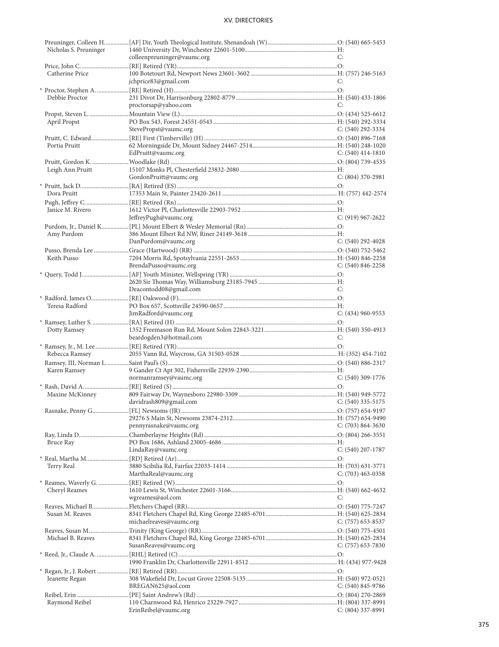| Nicholas S. Preuninger |                             |                       |
|------------------------|-----------------------------|-----------------------|
|                        | colleenpreuninger@vaumc.org | C:                    |
|                        |                             |                       |
|                        |                             |                       |
| Catherine Price        |                             |                       |
|                        | jchprice83@gmail.com        | C:                    |
|                        |                             |                       |
| Debbie Proctor         |                             |                       |
|                        | proctorsap@yahoo.com        | C:                    |
|                        |                             |                       |
|                        |                             |                       |
| April Propst           |                             |                       |
|                        | StevePropst@vaumc.org       | $C: (540)$ 292-3334   |
|                        |                             |                       |
| Portia Pruitt          |                             |                       |
|                        | EdPruitt@vaumc.org          | C: $(540)$ 414-1810   |
|                        |                             |                       |
|                        |                             |                       |
| Leigh Ann Pruitt       |                             |                       |
|                        | GordonPruitt@vaumc.org      | $C: (804)$ 370-2981   |
|                        |                             |                       |
| Dora Pruitt            |                             |                       |
|                        |                             |                       |
|                        |                             |                       |
| Janice M. Rivero       |                             |                       |
|                        | JeffreyPugh@vaumc.org       | $C: (919) 967 - 2622$ |
|                        |                             |                       |
|                        |                             |                       |
| Amy Purdom             |                             |                       |
|                        | DanPurdom@vaumc.org         | $C: (540)$ 292-4028   |
|                        |                             |                       |
| Keith Pusso            |                             |                       |
|                        | BrendaPusso@vaumc.org       | $C: (540) 846 - 2258$ |
|                        |                             |                       |
|                        |                             |                       |
|                        |                             |                       |
|                        | Deacontodd08@gmail.com      | C:                    |
|                        |                             |                       |
|                        |                             |                       |
| Teresa Radford         |                             |                       |
|                        | JimRadford@vaumc.org        | $C: (434)$ 960-9553   |
|                        |                             |                       |
| Dotty Ramsey           |                             |                       |
|                        | beardogden3@hotmail.com     | C:                    |
|                        |                             |                       |
|                        |                             |                       |
|                        |                             |                       |
| Rebecca Ramsey         |                             |                       |
|                        |                             |                       |
|                        |                             |                       |
| Karen Ramsey           |                             |                       |
|                        | normanramsey@vaumc.org      | $C: (540)$ 309-1776   |
|                        |                             |                       |
|                        |                             |                       |
| Maxine McKinney        |                             |                       |
|                        | davidrash809@gmail.com      | $C: (540)$ 335-5175   |
|                        |                             |                       |
|                        |                             |                       |
|                        | pennyrasnake@vaumc.org      | $C: (703) 864-3630$   |
|                        |                             |                       |
|                        |                             |                       |
| Bruce Ray              |                             |                       |
|                        | LindaRay@vaumc.org          | $C: (540)$ 207-1787   |
|                        |                             |                       |
| Terry Real             |                             |                       |
|                        | MarthaReal@vaumc.org        |                       |
|                        |                             | C: (703) 463-0358     |
|                        |                             |                       |
| Cheryl Reames          |                             |                       |
|                        | wgreames@aol.com            | C:                    |
|                        |                             |                       |
| Susan M. Reaves        |                             |                       |
|                        |                             |                       |
|                        | michaelreaves@vaumc.org     | C: $(757)$ 653-8537   |
|                        |                             |                       |
| Michael B. Reaves      |                             |                       |
|                        | SusanReaves@vaumc.org       | $C: (757)$ 653-7830   |
|                        |                             |                       |
|                        |                             |                       |
|                        |                             |                       |
|                        |                             |                       |
| Jeanette Regan         |                             |                       |
|                        | BREGAN625@aol.com           | $C: (540) 845 - 9786$ |
|                        |                             |                       |
|                        |                             |                       |
| Raymond Reibel         | ErinReibel@vaumc.org        | $C: (804)$ 337-8991   |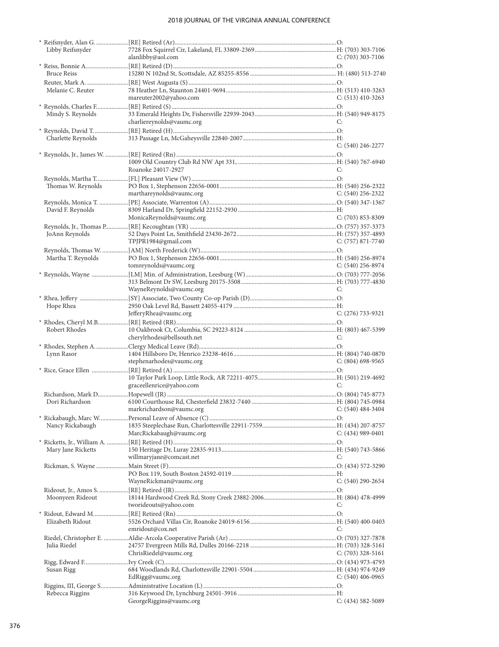| Libby Reifsnyder   |                            |                       |
|--------------------|----------------------------|-----------------------|
|                    | alanlibby@aol.com          | $C: (703)$ 303-7106   |
|                    |                            |                       |
| <b>Bruce Reiss</b> |                            |                       |
|                    |                            |                       |
| Melanie C. Reuter  |                            |                       |
|                    | mareuter2002@yahoo.com     | C: $(513)$ 410-3263   |
|                    |                            |                       |
| Mindy S. Reynolds  |                            |                       |
|                    | charliereynolds@vaumc.org  | C:                    |
|                    |                            |                       |
|                    |                            |                       |
| Charlette Reynolds |                            | $C: (540)$ 246-2277   |
|                    |                            |                       |
|                    |                            |                       |
|                    |                            |                       |
|                    | Roanoke 24017-2927         | C:                    |
|                    |                            |                       |
| Thomas W. Reynolds |                            |                       |
|                    | marthareynolds@vaumc.org   | C: $(540)$ 256-2322   |
|                    |                            |                       |
| David F. Reynolds  |                            |                       |
|                    | MonicaReynolds@vaumc.org   | $C: (703) 853 - 8309$ |
|                    |                            |                       |
| JoAnn Reynolds     |                            |                       |
|                    | TPJPR1984@gmail.com        | $C: (757) 871 - 7740$ |
|                    |                            |                       |
| Martha T. Reynolds |                            |                       |
|                    | tomreynolds@vaumc.org      | $C: (540)$ 256-8974   |
|                    |                            |                       |
|                    |                            |                       |
|                    | WayneReynolds@vaumc.org    | C:                    |
|                    |                            |                       |
|                    |                            |                       |
| Hope Rhea          |                            |                       |
|                    | JefferyRhea@vaumc.org      | $C: (276) 733-9321$   |
|                    |                            |                       |
| Robert Rhodes      |                            |                       |
|                    | cherylrhodes@bellsouth.net | C:                    |
|                    |                            |                       |
| Lynn Rasor         |                            |                       |
|                    | stephenarhodes@vaumc.org   | $C: (804)$ 698-9565   |
|                    |                            |                       |
|                    |                            |                       |
|                    | graceellenrice@yahoo.com   | C:                    |
|                    |                            |                       |
| Dori Richardson    |                            |                       |
|                    | markrichardson@vaumc.org   | $C: (540) 484-3404$   |
|                    |                            |                       |
| Nancy Rickabaugh   |                            |                       |
|                    | MarcRickabaugh@vaumc.org   | $C: (434)$ 989-0401   |
|                    |                            |                       |
| Mary Jane Ricketts |                            |                       |
|                    | willmaryjane@comcast.net   | C:                    |
|                    |                            |                       |
|                    |                            |                       |
|                    |                            |                       |
|                    | WayneRickman@vaumc.org     | $C: (540)$ 290-2654   |
|                    |                            |                       |
| Moonyeen Rideout   |                            |                       |
|                    | tworideouts@yahoo.com      | C:                    |
|                    |                            |                       |
| Elizabeth Ridout   |                            |                       |
|                    | emridout@cox.net           | C:                    |
|                    |                            |                       |
| Julia Riedel       |                            |                       |
|                    |                            |                       |
|                    | ChrisRiedel@vaumc.org      | $C: (703)$ 328-5161   |
|                    |                            |                       |
| Susan Rigg         |                            |                       |
|                    | EdRigg@vaumc.org           | $C: (540)$ 406-0965   |
|                    |                            |                       |
|                    |                            |                       |
| Rebecca Riggins    | GeorgeRiggins@vaumc.org    | $C: (434) 582 - 5089$ |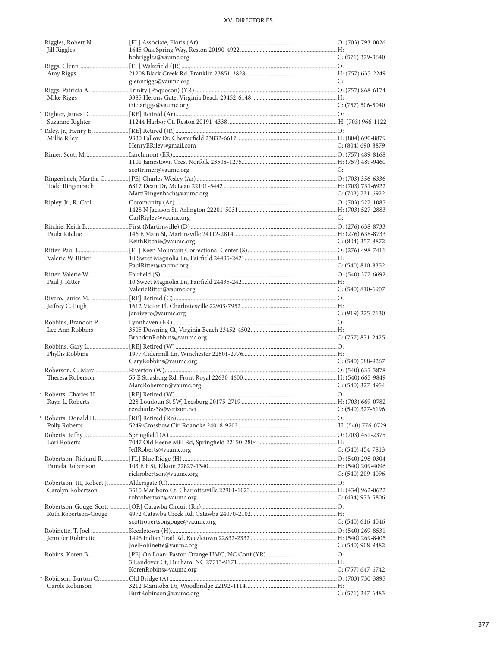| Jill Riggles         |                                            |                       |
|----------------------|--------------------------------------------|-----------------------|
|                      | bobriggles@vaumc.org                       | $C: (571)$ 379-3640   |
|                      |                                            |                       |
| Amy Riggs            |                                            |                       |
|                      | glennriggs@vaumc.org                       | C:                    |
|                      |                                            |                       |
| Mike Riggs           |                                            |                       |
|                      | triciariggs@vaumc.org                      | $C: (757) 506-5040$   |
|                      |                                            |                       |
| Suzanne Righter      |                                            |                       |
|                      |                                            |                       |
|                      |                                            |                       |
| Millie Riley         |                                            |                       |
|                      | HenryERiley@gmail.com                      | $C: (804)$ 690-8879   |
|                      |                                            |                       |
|                      |                                            |                       |
|                      | scottrimer@vaumc.org                       | C:                    |
|                      |                                            |                       |
| Todd Ringenbach      |                                            |                       |
|                      | MartiRingenbach@vaumc.org                  | $C: (703) 731-6922$   |
|                      |                                            |                       |
|                      |                                            |                       |
|                      | CarlRipley@vaumc.org                       | C:                    |
|                      |                                            |                       |
| Paula Ritchie        |                                            |                       |
|                      |                                            |                       |
|                      | KeithRitchie@vaumc.org                     | C: $(804)$ 357-8872   |
|                      |                                            |                       |
| Valerie W. Ritter    |                                            |                       |
|                      | PaulRitter@vaumc.org                       | $C: (540) 810 - 8352$ |
|                      |                                            |                       |
| Paul J. Ritter       |                                            |                       |
|                      | ValerieRitter@vaumc.org                    | $C: (540) 810-6907$   |
|                      |                                            |                       |
| Jeffrey C. Pugh      |                                            |                       |
|                      | janrivero@vaumc.org                        | C: (919) 225-7130     |
|                      |                                            |                       |
| Lee Ann Robbins      |                                            |                       |
|                      | BrandonRobbins@vaumc.org                   | $C: (757) 871 - 2425$ |
|                      |                                            |                       |
|                      |                                            |                       |
| Phyllis Robbins      |                                            |                       |
|                      | GaryRobbins@vaumc.org                      | $C: (540)$ 588-9267   |
|                      |                                            |                       |
| Theresa Roberson     |                                            |                       |
|                      | MarcRoberson@vaumc.org                     | $C: (540)$ 327-4954   |
|                      |                                            |                       |
| Rayn L. Roberts      |                                            |                       |
|                      | revcharles38@verizon.net C: (540) 327-6196 |                       |
|                      |                                            |                       |
| Polly Roberts        |                                            |                       |
|                      |                                            |                       |
|                      |                                            |                       |
| Lori Roberts         |                                            |                       |
|                      | JeffRoberts@vaumc.org                      | $C: (540)$ 454-7813   |
|                      |                                            |                       |
| Pamela Robertson     |                                            |                       |
|                      | rickrobertson@vaumc.org                    | $C: (540)$ 209-4096   |
|                      |                                            |                       |
| Carolyn Robertson    |                                            |                       |
|                      | robrobertson@vaumc.org                     | $C: (434)$ 973-5806   |
|                      |                                            |                       |
| Ruth Robertson-Gouge |                                            |                       |
|                      | scottrobertsongouge@vaumc.org              | $C: (540) 616-4046$   |
|                      |                                            |                       |
|                      |                                            |                       |
| Jennifer Robinette   |                                            |                       |
|                      | JoelRobinette@vaumc.org                    | $C: (540)$ 908-9482   |
|                      |                                            |                       |
|                      |                                            |                       |
|                      | KorenRobins@vaumc.org                      | C: (757) 647-6742     |
|                      |                                            |                       |
| Carole Robinson      |                                            |                       |
|                      | BurtRobinson@vaumc.org                     | $C: (571)$ 247-6483   |
|                      |                                            |                       |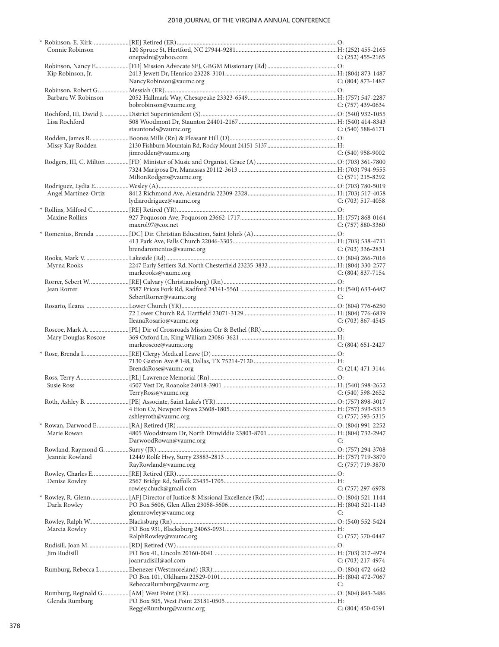|                      | * Robinson, E. Kirk ……………………[RE] Retired (ER)……………………………………………………………………………………………O: |                       |
|----------------------|------------------------------------------------------------------------------------|-----------------------|
| Connie Robinson      |                                                                                    |                       |
|                      | onepadre@yahoo.com                                                                 | $C: (252)$ 455-2165   |
|                      |                                                                                    |                       |
| Kip Robinson, Jr.    |                                                                                    |                       |
|                      | NancyRobinson@vaumc.org                                                            | $C: (804) 873 - 1487$ |
|                      |                                                                                    |                       |
| Barbara W. Robinson  |                                                                                    |                       |
|                      |                                                                                    |                       |
|                      | bobrobinson@vaumc.org                                                              | $C: (757)$ 439-0634   |
|                      |                                                                                    |                       |
| Lisa Rochford        |                                                                                    |                       |
|                      | stauntonds@vaumc.org                                                               | C: $(540)$ 588-6171   |
|                      |                                                                                    |                       |
| Missy Kay Rodden     |                                                                                    |                       |
|                      | jimrodden@vaumc.org                                                                | $C: (540)$ 958-9002   |
|                      |                                                                                    |                       |
|                      |                                                                                    |                       |
|                      |                                                                                    |                       |
|                      | MiltonRodgers@vaumc.org                                                            | C: $(571)$ 215-8292   |
|                      |                                                                                    |                       |
| Angel Martinez-Ortiz |                                                                                    |                       |
|                      | lydiarodriguez@vaumc.org                                                           | $C: (703)$ 517-4058   |
|                      |                                                                                    |                       |
| Maxine Rollins       |                                                                                    |                       |
|                      | maxrol97@cox.net                                                                   |                       |
|                      |                                                                                    | $C: (757) 880 - 3360$ |
|                      |                                                                                    |                       |
|                      |                                                                                    |                       |
|                      | brendaromenius@vaumc.org                                                           | $C: (703)$ 336-2831   |
|                      |                                                                                    |                       |
| Myrna Rooks          |                                                                                    |                       |
|                      | markrooks@vaumc.org                                                                | $C: (804) 837 - 7154$ |
|                      |                                                                                    |                       |
|                      |                                                                                    |                       |
| Jean Rorrer          |                                                                                    |                       |
|                      | SebertRorrer@vaumc.org                                                             | C:                    |
|                      |                                                                                    |                       |
|                      |                                                                                    |                       |
|                      | IleanaRosario@vaumc.org                                                            | C: $(703)$ 867-4545   |
|                      |                                                                                    |                       |
|                      |                                                                                    |                       |
|                      |                                                                                    |                       |
| Mary Douglas Roscoe  |                                                                                    |                       |
|                      | markroscoe@vaumc.org                                                               | $C: (804) 651 - 2427$ |
|                      |                                                                                    |                       |
|                      |                                                                                    |                       |
|                      | BrendaRose@vaumc.org                                                               | $C: (214) 471-3144$   |
|                      |                                                                                    |                       |
| Susie Ross           |                                                                                    |                       |
|                      |                                                                                    |                       |
|                      | TerryRoss@vaumc.org                                                                | C: $(540)$ 598-2652   |
|                      |                                                                                    |                       |
|                      |                                                                                    |                       |
|                      | ashleyroth@vaumc.org                                                               | $C: (757) 593 - 5315$ |
|                      |                                                                                    |                       |
| Marie Rowan          |                                                                                    |                       |
|                      | DarwoodRowan@vaumc.org                                                             | C:                    |
|                      |                                                                                    |                       |
|                      |                                                                                    |                       |
| Jeannie Rowland      |                                                                                    |                       |
|                      | RayRowland@vaumc.org                                                               | C: $(757)$ 719-3870   |
|                      |                                                                                    |                       |
| Denise Rowley        |                                                                                    |                       |
|                      | rowley.chuck@gmail.com                                                             | $C: (757)$ 297-6978   |
|                      |                                                                                    |                       |
| Darla Rowley         |                                                                                    |                       |
|                      | glennrowley@vaumc.org                                                              | C:                    |
|                      |                                                                                    |                       |
|                      |                                                                                    |                       |
| Marcia Rowley        |                                                                                    |                       |
|                      | RalphRowley@vaumc.org                                                              | $C: (757) 570-0447$   |
|                      |                                                                                    |                       |
| Jim Rudisill         |                                                                                    |                       |
|                      | joanrudisill@aol.com                                                               | $C: (703)$ 217-4974   |
|                      |                                                                                    |                       |
|                      |                                                                                    |                       |
|                      |                                                                                    |                       |
|                      | RebeccaRumburg@vaumc.org                                                           | C:                    |
|                      |                                                                                    |                       |
| Glenda Rumburg       | ReggieRumburg@vaumc.org                                                            | C: (804) 450-0591     |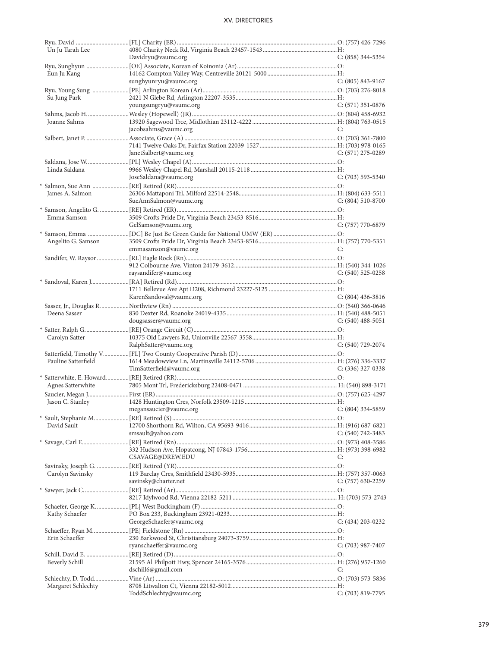| Un Ju Tarah Lee     |                          |                       |
|---------------------|--------------------------|-----------------------|
|                     | Davidryu@vaumc.org       | $C: (858)$ 344-5354   |
|                     |                          |                       |
|                     |                          |                       |
| Eun Ju Kang         |                          |                       |
|                     | sunghyunryu@vaumc.org    | $C: (805) 843-9167$   |
|                     |                          |                       |
| Su Jung Park        |                          |                       |
|                     | youngsungryu@vaumc.org   | $C: (571)$ 351-0876   |
|                     |                          |                       |
|                     |                          |                       |
| Joanne Sahms        |                          |                       |
|                     | jacobsahms@vaumc.org     | C:                    |
|                     |                          |                       |
|                     |                          |                       |
|                     | JanetSalbert@vaumc.org   | $C: (571)$ 275-0289   |
|                     |                          |                       |
|                     |                          |                       |
| Linda Saldana       |                          |                       |
|                     | JoseSaldana@vaumc.org    | $C: (703)$ 593-5340   |
|                     |                          |                       |
| James A. Salmon     |                          |                       |
|                     | SueAnnSalmon@vaumc.org   | $C: (804) 510-8700$   |
|                     |                          |                       |
|                     |                          |                       |
| Emma Samson         |                          |                       |
|                     | GelSamson@vaumc.org      | C: (757) 770-6879     |
|                     |                          |                       |
|                     |                          |                       |
| Angelito G. Samson  |                          |                       |
|                     | emmasamson@vaumc.org     | C:                    |
|                     |                          |                       |
|                     |                          |                       |
|                     | raysandifer@vaumc.org    | $C: (540) 525-0258$   |
|                     |                          |                       |
|                     |                          |                       |
|                     |                          |                       |
|                     | KarenSandoval@vaumc.org  | $C: (804)$ 436-3816   |
|                     |                          |                       |
|                     |                          |                       |
| Deena Sasser        |                          |                       |
|                     | dougsasser@vaumc.org     | $C: (540)$ 488-5051   |
|                     |                          |                       |
| Carolyn Satter      |                          |                       |
|                     | RalphSatter@vaumc.org    | C: (540) 729-2074     |
|                     |                          |                       |
|                     |                          |                       |
| Pauline Satterfield |                          |                       |
|                     | TimSatterfield@vaumc.org | $C: (336)$ 327-0338   |
|                     |                          |                       |
| Agnes Satterwhite   |                          |                       |
|                     |                          |                       |
|                     |                          |                       |
| Jason C. Stanley    |                          |                       |
|                     | megansaucier@vaumc.org   | $C: (804)$ 334-5859   |
|                     |                          |                       |
| David Sault         |                          |                       |
|                     |                          |                       |
|                     | smsault@yahoo.com        | C: $(540)$ 742-3483   |
|                     |                          |                       |
|                     |                          |                       |
|                     | CSAVAGE@DREW.EDU         | C:                    |
|                     |                          |                       |
|                     |                          |                       |
| Carolyn Savinsky    |                          |                       |
|                     | savinsky@charter.net     | $C: (757)$ 630-2259   |
|                     |                          |                       |
|                     |                          |                       |
|                     |                          |                       |
|                     |                          |                       |
| Kathy Schaefer      |                          |                       |
|                     | GeorgeSchaefer@vaumc.org | $C: (434) 203 - 0232$ |
|                     |                          |                       |
| Erin Schaeffer      |                          |                       |
|                     |                          |                       |
|                     | ryanschaeffer@vaumc.org  | $C: (703)$ 987-7407   |
|                     |                          |                       |
| Beverly Schill      |                          |                       |
|                     | dschill6@gmail.com       | C:                    |
|                     |                          |                       |
|                     |                          |                       |
| Margaret Schlechty  |                          |                       |
|                     | ToddSchlechty@vaumc.org  | $C: (703) 819-7795$   |
|                     |                          |                       |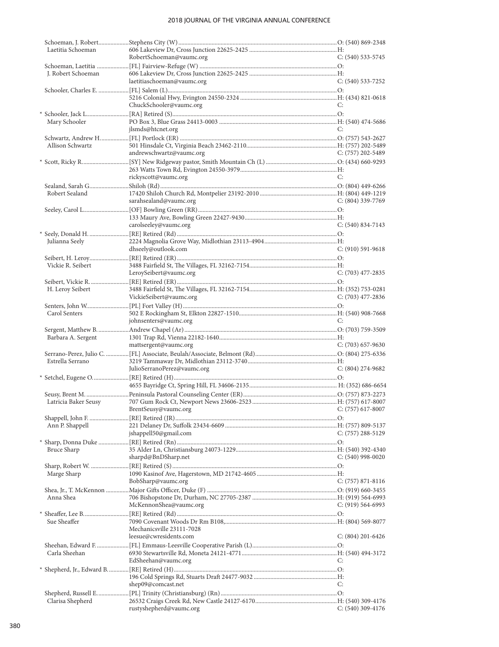| Laetitia Schoeman    |                                                                                      |                       |
|----------------------|--------------------------------------------------------------------------------------|-----------------------|
|                      | RobertSchoeman@vaumc.org                                                             | C: (540) 533-5745     |
| J. Robert Schoeman   |                                                                                      |                       |
|                      | laetitiaschoeman@vaumc.org                                                           | $C: (540)$ 533-7252   |
|                      |                                                                                      |                       |
|                      |                                                                                      |                       |
|                      | ChuckSchooler@vaumc.org                                                              | C:                    |
| Mary Schooler        |                                                                                      |                       |
|                      | jlsmds@htcnet.org                                                                    | C:                    |
|                      |                                                                                      |                       |
| Allison Schwartz     |                                                                                      |                       |
|                      | andrewschwartz@vaumc.org                                                             | C: (757) 202-5489     |
|                      |                                                                                      |                       |
|                      | rickyscott@vaumc.org                                                                 | C:                    |
|                      |                                                                                      |                       |
| Robert Sealand       |                                                                                      |                       |
|                      | sarahsealand@vaumc.org                                                               | $C: (804)$ 339-7769   |
|                      |                                                                                      |                       |
|                      |                                                                                      |                       |
|                      | carolseeley@vaumc.org                                                                | C: (540) 834-7143     |
| Julianna Seely       |                                                                                      |                       |
|                      | dhseely@outlook.com                                                                  | $C: (910) 591-9618$   |
|                      |                                                                                      |                       |
| Vickie R. Seibert    |                                                                                      |                       |
|                      | LeroySeibert@vaumc.org                                                               | C: (703) 477-2835     |
|                      |                                                                                      |                       |
| H. Leroy Seibert     |                                                                                      |                       |
|                      | VickieSeibert@vaumc.org                                                              | C: $(703)$ 477-2836   |
| Carol Senters        |                                                                                      |                       |
|                      | johnsenters@vaumc.org                                                                | C:                    |
|                      |                                                                                      |                       |
|                      |                                                                                      |                       |
| Barbara A. Sergent   |                                                                                      |                       |
|                      | mattsergent@vaumc.org                                                                | $C: (703)$ 657-9630   |
|                      |                                                                                      |                       |
| Estrella Serrano     |                                                                                      |                       |
|                      | JulioSerranoPerez@vaumc.org                                                          | $C: (804)$ 274-9682   |
|                      |                                                                                      |                       |
|                      |                                                                                      |                       |
| Latricia Baker Seusy |                                                                                      |                       |
|                      | $C: (757)$ 617-8007<br>BrentSeusy@vaumc.org                                          |                       |
|                      |                                                                                      |                       |
| Ann P. Shappell      |                                                                                      | $C: (757) 288 - 5129$ |
|                      | jshappell50@gmail.com                                                                |                       |
| Bruce Sharp          |                                                                                      |                       |
|                      | sharpd@BnDSharp.net                                                                  | $C: (540)$ 998-0020   |
|                      |                                                                                      |                       |
| Marge Sharp          |                                                                                      |                       |
|                      | BobSharp@vaumc.org                                                                   | $C: (757) 871-8116$   |
| Anna Shea            |                                                                                      |                       |
|                      | McKennonShea@vaumc.org                                                               | $C: (919) 564-6993$   |
|                      |                                                                                      |                       |
| Sue Sheaffer         |                                                                                      |                       |
|                      | Mechanicsville 23111-7028                                                            |                       |
|                      | leesue@cwresidents.com                                                               | $C: (804)$ 201-6426   |
| Carla Sheehan        |                                                                                      |                       |
|                      | EdSheehan@vaumc.org                                                                  | C:                    |
|                      | * Shepherd, Jr., Edward B…………… [RE] Retired (H)………………………………………………………………………………………… O: |                       |
|                      |                                                                                      |                       |
|                      | shep09@comcast.net                                                                   | C:                    |
| Clarisa Shepherd     |                                                                                      |                       |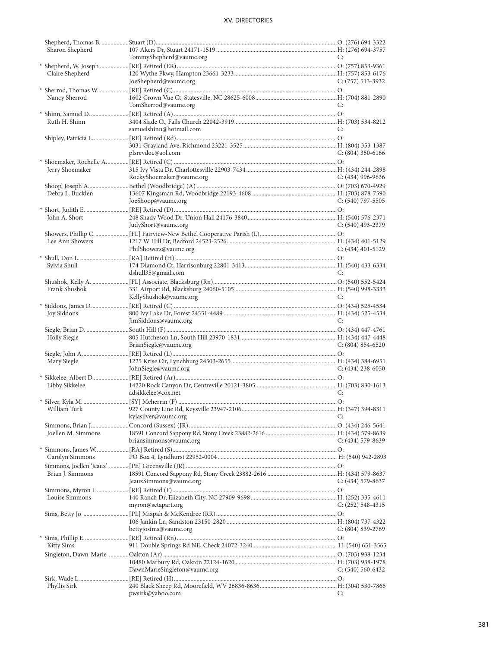| Sharon Shepherd     |                              |                     |
|---------------------|------------------------------|---------------------|
|                     | TommyShepherd@vaumc.org      | C:                  |
|                     |                              |                     |
| Claire Shepherd     |                              |                     |
|                     | JoeShepherd@vaumc.org        | $C: (757)$ 513-3932 |
|                     |                              |                     |
|                     |                              |                     |
| Nancy Sherrod       |                              |                     |
|                     | TomSherrod@vaumc.org         | C:                  |
|                     |                              |                     |
| Ruth H. Shinn       |                              |                     |
|                     | samuelshinn@hotmail.com      | C:                  |
|                     |                              |                     |
|                     |                              |                     |
|                     | plsrevdoc@aol.com            | C: $(804)$ 350-6166 |
|                     |                              |                     |
|                     |                              |                     |
| Jerry Shoemaker     |                              |                     |
|                     | RockyShoemaker@vaumc.org     | C: $(434)$ 996-9636 |
|                     |                              |                     |
| Debra L. Bucklen    |                              |                     |
|                     | JoeShoop@vaumc.org           | $C: (540)$ 797-5505 |
|                     |                              |                     |
| John A. Short       |                              |                     |
|                     | JudyShort@vaumc.org          | C: $(540)$ 493-2379 |
|                     |                              |                     |
|                     |                              |                     |
| Lee Ann Showers     |                              |                     |
|                     | PhilShowers@vaumc.org        | $C: (434)$ 401-5129 |
|                     |                              |                     |
| Sylvia Shull        |                              |                     |
|                     | dshull35@gmail.com           | C:                  |
|                     |                              |                     |
| Frank Shushok       |                              |                     |
|                     | KellyShushok@vaumc.org       | C:                  |
|                     |                              |                     |
|                     |                              |                     |
| Joy Siddons         |                              | C:                  |
|                     |                              |                     |
|                     | JimSiddons@vaumc.org         |                     |
|                     |                              |                     |
| <b>Holly Siegle</b> |                              |                     |
|                     | BrianSiegle@vaumc.org        | $C: (804) 854-6520$ |
|                     |                              |                     |
|                     |                              |                     |
| Mary Siegle         |                              |                     |
|                     | JohnSiegle@vaumc.org         | $C: (434)$ 238-6050 |
|                     |                              |                     |
| Libby Sikkelee      |                              |                     |
|                     | adsikkelee@cox.net           | C:                  |
|                     |                              |                     |
|                     |                              |                     |
|                     | kylasilver@vaumc.org         | C:                  |
|                     |                              |                     |
|                     |                              |                     |
| Joellen M. Simmons  |                              |                     |
|                     | briansimmons@vaumc.org       | $C: (434) 579-8639$ |
|                     |                              |                     |
| Carolyn Simmons     |                              |                     |
|                     |                              |                     |
| Brian J. Simmons    |                              |                     |
|                     | JeauxSimmons@vaumc.org       | $C: (434) 579-8637$ |
|                     |                              |                     |
|                     |                              |                     |
| Louise Simmons      |                              |                     |
|                     | myron@setapart.org           | $C: (252)$ 548-4315 |
|                     |                              |                     |
|                     |                              |                     |
|                     | bettyjosims@vaumc.org        | $C: (804) 839-2769$ |
|                     |                              |                     |
| Kitty Sims          |                              |                     |
|                     |                              |                     |
|                     |                              |                     |
|                     |                              |                     |
|                     | DawnMarieSingleton@vaumc.org | $C: (540) 560-6432$ |
|                     |                              |                     |
| Phyllis Sirk        | pwsirk@yahoo.com             | C:                  |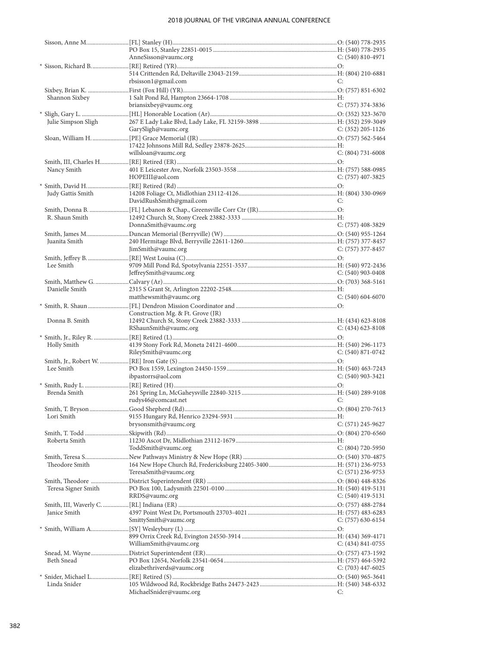|                     | AnneSisson@vaumc.org              | $C: (540) 810-4971$   |
|---------------------|-----------------------------------|-----------------------|
|                     |                                   |                       |
|                     |                                   |                       |
|                     | rbsisson1@gmail.com               | C:                    |
|                     |                                   |                       |
| Shannon Sixbey      |                                   |                       |
|                     | briansixbey@vaumc.org             | $C: (757)$ 374-3836   |
|                     |                                   |                       |
| Julie Simpson Sligh | GarySligh@vaumc.org               | C: $(352)$ 205-1126   |
|                     |                                   |                       |
|                     |                                   |                       |
|                     | willsloan@vaumc.org               | $C: (804) 731-6008$   |
|                     |                                   |                       |
| Nancy Smith         |                                   |                       |
|                     | HOPEIII@aol.com                   | $C: (757)$ 407-3825   |
|                     |                                   |                       |
| Judy Gattis Smith   |                                   |                       |
|                     | DavidRushSmith@gmail.com          | C:                    |
|                     |                                   |                       |
| R. Shaun Smith      |                                   |                       |
|                     | DonnaSmith@vaumc.org              | $C: (757)$ 408-3829   |
|                     |                                   |                       |
| Juanita Smith       |                                   |                       |
|                     | JimSmith@vaumc.org                | $C: (757)$ 377-8457   |
|                     |                                   |                       |
| Lee Smith           |                                   |                       |
|                     | JeffreySmith@vaumc.org            | $C: (540)$ 903-0408   |
|                     |                                   |                       |
| Danielle Smith      |                                   |                       |
|                     | matthewsmith@vaumc.org            | $C: (540) 604-6070$   |
|                     |                                   |                       |
|                     | Construction Mg. & Ft. Grove (JR) |                       |
| Donna B. Smith      |                                   |                       |
|                     | RShaunSmith@vaumc.org             | $C: (434) 623 - 8108$ |
|                     |                                   |                       |
| Holly Smith         |                                   |                       |
|                     | RileySmith@vaumc.org              | $C: (540) 871-0742$   |
|                     |                                   |                       |
| Lee Smith           |                                   |                       |
|                     | ibpastorrs@aol.com                | $C: (540)$ 903-3421   |
|                     |                                   |                       |
| Brenda Smith        |                                   |                       |
|                     | rudys46@comcast.net               | C:                    |
|                     |                                   |                       |
| Lori Smith          |                                   |                       |
|                     | brysonsmith@vaumc.org             | $C: (571)$ 245-9627   |
|                     |                                   |                       |
| Roberta Smith       |                                   |                       |
|                     | ToddSmith@vaumc.org               | $C: (804) 720 - 5950$ |
|                     |                                   |                       |
| Theodore Smith      |                                   |                       |
|                     | TeresaSmith@vaumc.org             | $C: (571)$ 236-9753   |
|                     |                                   |                       |
| Teresa Signer Smith |                                   |                       |
|                     | RRDS@vaumc.org                    | C: $(540)$ 419-5131   |
|                     |                                   |                       |
| Janice Smith        |                                   |                       |
|                     | SmittySmith@vaumc.org             | $C: (757)$ 630-6154   |
|                     |                                   |                       |
|                     |                                   |                       |
|                     | WilliamSmith@vaumc.org            | $C: (434) 841-0755$   |
|                     |                                   |                       |
| Beth Snead          | elizabethriverds@vaumc.org        | $C: (703)$ 447-6025   |
|                     |                                   |                       |
| Linda Snider        |                                   |                       |
|                     | MichaelSnider@vaumc.org           | C:                    |
|                     |                                   |                       |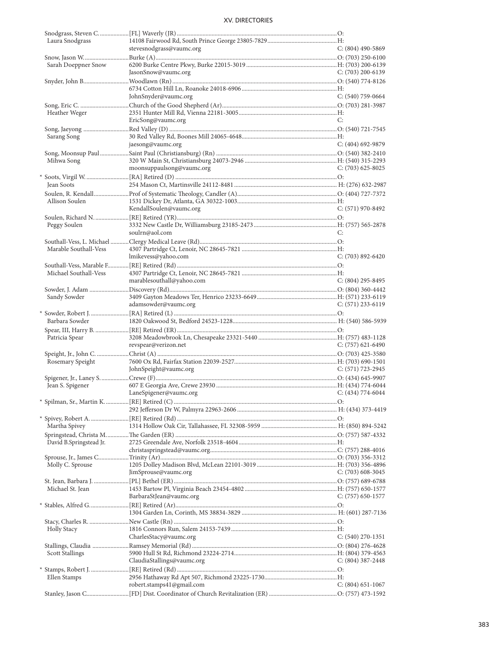| Laura Snodgrass         |                            |                       |
|-------------------------|----------------------------|-----------------------|
|                         | stevesnodgrass@vaumc.org   | $C: (804)$ 490-5869   |
|                         |                            |                       |
| Sarah Doeppner Snow     |                            |                       |
|                         | JasonSnow@vaumc.org        | C: $(703)$ 200-6139   |
|                         |                            |                       |
|                         |                            |                       |
|                         | JohnSnyder@vaumc.org       | $C: (540)$ 759-0664   |
|                         |                            |                       |
| Heather Weger           |                            |                       |
|                         | EricSong@vaumc.org         | C:                    |
|                         |                            |                       |
| Sarang Song             |                            |                       |
|                         | jaesong@vaumc.org          | $C: (404)$ 692-9879   |
|                         |                            |                       |
| Mihwa Song              |                            |                       |
|                         | moonsuppaulsong@vaumc.org  | C: $(703)$ 625-8025   |
|                         |                            |                       |
|                         |                            |                       |
| Jean Soots              |                            |                       |
|                         |                            |                       |
| Allison Soulen          |                            |                       |
|                         | KendallSoulen@vaumc.org    | $C: (571)$ 970-8492   |
|                         |                            |                       |
| Peggy Soulen            |                            |                       |
|                         | soulrn@aol.com             | C:                    |
|                         |                            |                       |
| Marable Southall-Vess   |                            |                       |
|                         | lmikevess@yahoo.com        | C: (703) 892-6420     |
|                         |                            |                       |
| Michael Southall-Vess   |                            |                       |
|                         | marablesouthall@yahoo.com  | $C: (804)$ 295-8495   |
|                         |                            |                       |
| Sandy Sowder            |                            |                       |
|                         | adamsowder@vaumc.org       | $C: (571)$ 233-6119   |
|                         |                            |                       |
|                         |                            |                       |
|                         |                            |                       |
| Barbara Sowder          |                            |                       |
|                         |                            |                       |
| Patricia Spear          |                            |                       |
|                         | revspear@verizon.net       | $C: (757)$ 621-6490   |
|                         |                            |                       |
| Rosemary Speight        |                            |                       |
|                         | JohnSpeight@vaumc.org      | $C: (571) 723 - 2945$ |
|                         |                            |                       |
| Jean S. Spigener        |                            |                       |
|                         | LaneSpigener@vaumc.org     | $C: (434) 774-6044$   |
|                         |                            |                       |
|                         |                            |                       |
|                         |                            |                       |
| Martha Spivey           |                            |                       |
|                         |                            |                       |
|                         |                            |                       |
| David B.Springstead Jr. |                            |                       |
|                         |                            |                       |
|                         |                            |                       |
| Molly C. Sprouse        |                            |                       |
|                         | JimSprouse@vaumc.org       | C: $(703)$ 608-3045   |
|                         |                            |                       |
| Michael St. Jean        |                            |                       |
|                         | BarbaraStJean@vaumc.org    | $C: (757)$ 650-1577   |
|                         |                            |                       |
|                         |                            |                       |
|                         |                            |                       |
| <b>Holly Stacy</b>      |                            |                       |
|                         | CharlesStacy@vaumc.org     | $C: (540)$ 270-1351   |
|                         |                            |                       |
| <b>Scott Stallings</b>  |                            |                       |
|                         | ClaudiaStallings@vaumc.org | $C: (804)$ 387-2448   |
|                         |                            |                       |
| Ellen Stamps            |                            |                       |
|                         | robert.stamps41@gmail.com  | $C: (804)$ 651-1067   |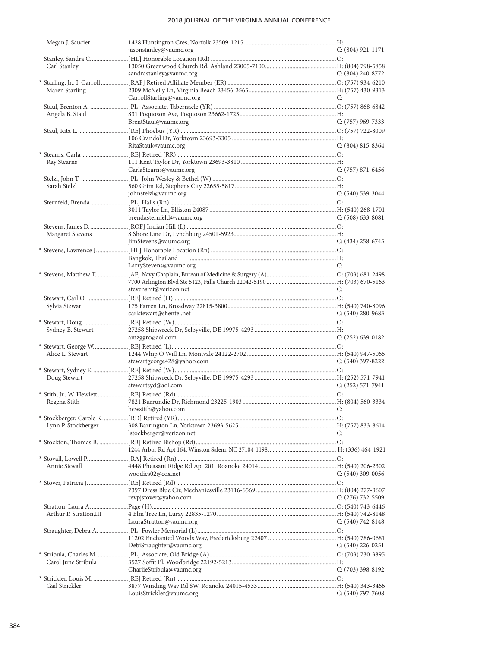| Megan J. Saucier        |                            |                       |
|-------------------------|----------------------------|-----------------------|
|                         | jasonstanley@vaumc.org     | $C: (804) 921 - 1171$ |
|                         |                            |                       |
| Carl Stanley            |                            |                       |
|                         | sandrastanley@vaumc.org    | $C: (804) 240 - 8772$ |
| Maren Starling          |                            |                       |
|                         | CarrollStarling@vaumc.org  | C:                    |
|                         |                            |                       |
| Angela B. Staul         |                            |                       |
|                         | BrentStaul@vaumc.org       | C: (757) 969-7333     |
|                         |                            |                       |
|                         |                            |                       |
|                         | RitaStaul@vaumc.org        | $C: (804) 815 - 8364$ |
|                         |                            |                       |
| Ray Stearns             |                            |                       |
|                         | CarlaStearns@vaumc.org     | $C: (757) 871-6456$   |
|                         |                            |                       |
| Sarah Stelzl            |                            |                       |
|                         | johnstelzl@vaumc.org       | $C: (540)$ 539-3044   |
|                         |                            |                       |
|                         |                            |                       |
|                         | brendasternfeld@vaumc.org  | $C: (508)$ 633-8081   |
|                         |                            |                       |
| Margaret Stevens        | JimStevens@vaumc.org       | C: $(434)$ 258-6745   |
|                         |                            |                       |
|                         | Bangkok, Thailand          |                       |
|                         | LarryStevens@vaumc.org     | C:                    |
|                         |                            |                       |
|                         |                            |                       |
|                         | stevensmt@verizon.net      | C:                    |
|                         |                            |                       |
| Sylvia Stewart          |                            |                       |
|                         | carlstewart@shentel.net    | $C: (540)$ 280-9683   |
|                         |                            |                       |
| Sydney E. Stewart       |                            |                       |
|                         | amzggrc@aol.com            | $C: (252)$ 639-0182   |
|                         |                            |                       |
| Alice L. Stewart        |                            |                       |
|                         | stewartgeorge428@yahoo.com | $C: (540)$ 397-8222   |
| Doug Stewart            |                            |                       |
|                         | stewartsyd@aol.com         | $C: (252)$ 571-7941   |
|                         |                            |                       |
| Regena Stith            |                            |                       |
|                         | hewstith@yahoo.com C:      |                       |
|                         |                            |                       |
| Lynn P. Stockberger     |                            |                       |
|                         | lstockberger@verizon.net   | C:                    |
|                         |                            |                       |
|                         |                            |                       |
|                         |                            |                       |
| Annie Stovall           |                            |                       |
|                         | woodies02@cox.net          | C: $(540)$ 309-0056   |
|                         |                            |                       |
|                         |                            |                       |
|                         | revpjstover@yahoo.com      | $C: (276)$ 732-5509   |
| Arthur P. Stratton, III |                            |                       |
|                         | LauraStratton@vaumc.org    | $C: (540) 742 - 8148$ |
|                         |                            |                       |
|                         |                            |                       |
|                         | DebiStraughter@vaumc.org   | C: $(540)$ 226-0251   |
|                         |                            |                       |
| Carol June Stribula     |                            |                       |
|                         | CharlieStribula@vaumc.org  | $C: (703)$ 398-8192   |
|                         |                            |                       |
| Gail Strickler          |                            |                       |
|                         | LouisStrickler@vaumc.org   | $C: (540)$ 797-7608   |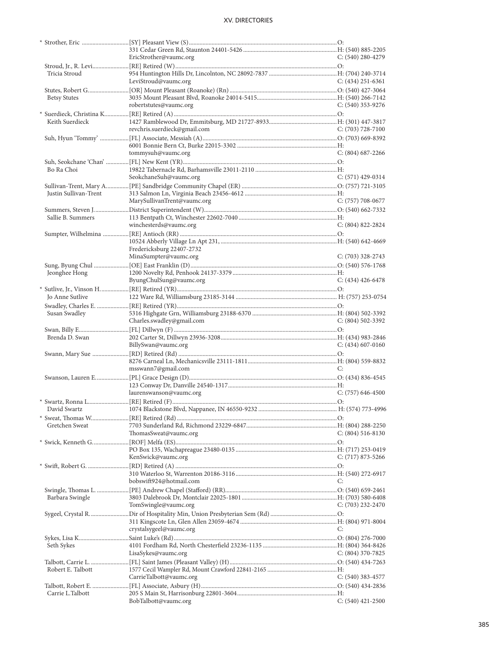|                       | EricStrother@vaumc.org       | C: (540) 280-4279     |
|-----------------------|------------------------------|-----------------------|
|                       |                              |                       |
| Tricia Stroud         |                              |                       |
|                       | LeviStroud@vaumc.org         | C: (434) 251-6361     |
|                       |                              |                       |
| <b>Betsy Stutes</b>   |                              |                       |
|                       | robertstutes@vaumc.org       | $C: (540)$ 353-9276   |
|                       |                              |                       |
| Keith Suerdieck       |                              |                       |
|                       | revchris.suerdieck@gmail.com | $C: (703)$ 728-7100   |
|                       |                              |                       |
|                       |                              |                       |
|                       | tommysuh@vaumc.org           | $C: (804)$ 687-2266   |
|                       |                              |                       |
| Bo Ra Choi            |                              |                       |
|                       | SeokchaneSuh@vaumc.org       | $C: (571)$ 429-0314   |
|                       |                              |                       |
|                       |                              |                       |
| Justin Sullivan-Trent | MarySullivanTrent@vaumc.org  |                       |
|                       |                              | $C: (757) 708-0677$   |
|                       |                              |                       |
| Sallie B. Summers     |                              |                       |
|                       | winchesterds@vaumc.org       | $C: (804) 822 - 2824$ |
|                       |                              |                       |
|                       |                              |                       |
|                       | Fredericksburg 22407-2732    |                       |
|                       | MinaSumpter@vaumc.org        | $C: (703)$ 328-2743   |
|                       |                              |                       |
| Jeonghee Hong         |                              |                       |
|                       | ByungChulSung@vaumc.org      | $C: (434)$ 426-6478   |
|                       |                              |                       |
| Jo Anne Sutlive       |                              |                       |
|                       |                              |                       |
| Susan Swadley         |                              |                       |
|                       | Charles.swadley@gmail.com    | $C: (804) 502 - 3392$ |
|                       |                              |                       |
| Brenda D. Swan        |                              |                       |
|                       |                              |                       |
|                       | BillySwan@vaumc.org          | $C: (434)$ 607-0160   |
|                       |                              |                       |
|                       |                              |                       |
|                       | msswann7@gmail.com           | C:                    |
|                       |                              |                       |
|                       |                              |                       |
|                       | laurenswanson@vaumc.org      | $C: (757)$ 646-4500   |
|                       |                              |                       |
|                       |                              |                       |
|                       |                              |                       |
|                       |                              |                       |
| Gretchen Sweat        |                              |                       |
|                       | ThomasSweat@vaumc.org        | $C: (804) 516-8130$   |
|                       |                              |                       |
|                       |                              |                       |
|                       | KenSwick@vaumc.org           | $C: (717) 873 - 5266$ |
|                       |                              |                       |
|                       |                              |                       |
|                       | bobswift924@hotmail.com      | C:                    |
|                       |                              |                       |
| Barbara Swingle       |                              |                       |
|                       | TomSwingle@vaumc.org         | $C: (703)$ 232-2470   |
|                       |                              |                       |
|                       |                              |                       |
|                       | crystalsygeel@vaumc.org      | C:                    |
|                       |                              |                       |
| Seth Sykes            |                              |                       |
|                       | LisaSykes@vaumc.org          | $C: (804)$ 370-7825   |
|                       |                              |                       |
| Robert E. Talbott     |                              |                       |
|                       | CarrieTalbott@vaumc.org      | $C: (540)$ 383-4577   |
|                       |                              |                       |
| Carrie L.Talbott      | BobTalbott@vaumc.org         | $C: (540)$ 421-2500   |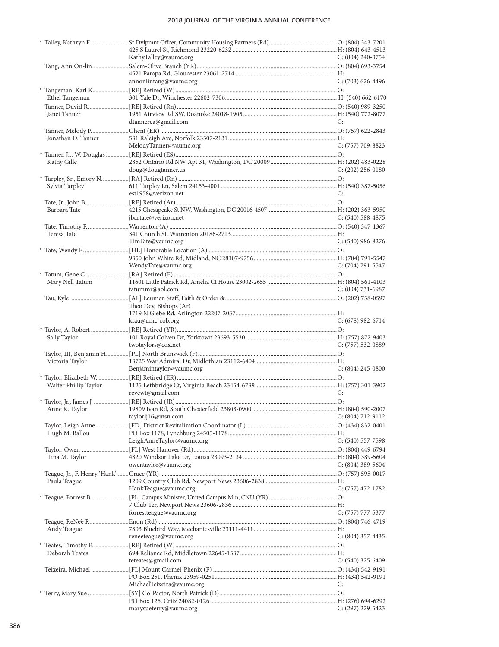|                       | KathyTalley@vaumc.org     | $C: (804)$ 240-3754   |
|-----------------------|---------------------------|-----------------------|
|                       |                           |                       |
|                       |                           |                       |
|                       | annonlintang@vaumc.org    | $C: (703)$ 626-4496   |
|                       |                           |                       |
| Ethel Tangeman        |                           |                       |
|                       |                           |                       |
| Janet Tanner          |                           |                       |
|                       | dtannerea@gmail.com       | C:                    |
|                       |                           |                       |
| Jonathan D. Tanner    |                           |                       |
|                       | MelodyTanner@vaumc.org    | C: (757) 709-8823     |
|                       |                           |                       |
| Kathy Gille           |                           |                       |
|                       | doug@dougtanner.us        | $C: (202)$ 256-0180   |
|                       |                           |                       |
| Sylvia Tarpley        |                           |                       |
|                       | est1958@verizon.net       | C:                    |
|                       |                           |                       |
| Barbara Tate          |                           |                       |
|                       |                           |                       |
|                       | jbartate@verizon.net      | $C: (540)$ 588-4875   |
|                       |                           |                       |
| Teresa Tate           |                           |                       |
|                       | TimTate@vaumc.org         | $C: (540)$ 986-8276   |
|                       |                           |                       |
|                       |                           |                       |
|                       | WendyTate@vaumc.org       | C: (704) 791-5547     |
|                       |                           |                       |
| Mary Nell Tatum       |                           |                       |
|                       | tatummr@aol.com           | $C: (804) 731-6987$   |
|                       |                           |                       |
|                       | Theo Dev, Bishops (Ar)    |                       |
|                       |                           |                       |
|                       | ktau@umc-cob.org          | $C: (678)$ 982-6714   |
|                       |                           |                       |
| Sally Taylor          |                           |                       |
|                       | twotaylors@cox.net        | $C: (757) 532-0889$   |
|                       |                           |                       |
| Victoria Taylor       |                           |                       |
|                       | Benjamintaylor@vaumc.org  | $C: (804)$ 245-0800   |
|                       |                           |                       |
| Walter Phillip Taylor |                           |                       |
|                       | revewt@gmail.com          | C:                    |
|                       |                           |                       |
|                       |                           |                       |
|                       |                           |                       |
|                       |                           |                       |
|                       | taylorjj16@msn.com        | $C: (804) 712 - 9112$ |
|                       |                           |                       |
| Hugh M. Ballou        |                           |                       |
|                       | LeighAnneTaylor@vaumc.org | $C: (540) 557-7598$   |
|                       |                           |                       |
| Tina M. Taylor        |                           |                       |
|                       | owentaylor@vaumc.org      | $C: (804)$ 389-5604   |
|                       |                           |                       |
| Paula Teague          |                           |                       |
|                       | HankTeague@vaumc.org      | $C: (757)$ 472-1782   |
|                       |                           |                       |
|                       |                           |                       |
|                       | forrestteague@vaumc.org   | $C: (757) 777-5377$   |
|                       |                           |                       |
|                       |                           |                       |
| Andy Teague           |                           |                       |
|                       | reneeteague@vaumc.org     | $C: (804)$ 357-4435   |
|                       |                           |                       |
| Deborah Teates        |                           |                       |
|                       | teteates@gmail.com        | $C: (540)$ 325-6409   |
|                       |                           |                       |
|                       |                           |                       |
|                       | MichaelTeixeira@vaumc.org | C:                    |
|                       |                           |                       |
|                       | marysueterry@vaumc.org    | $C: (297)$ 229-5423   |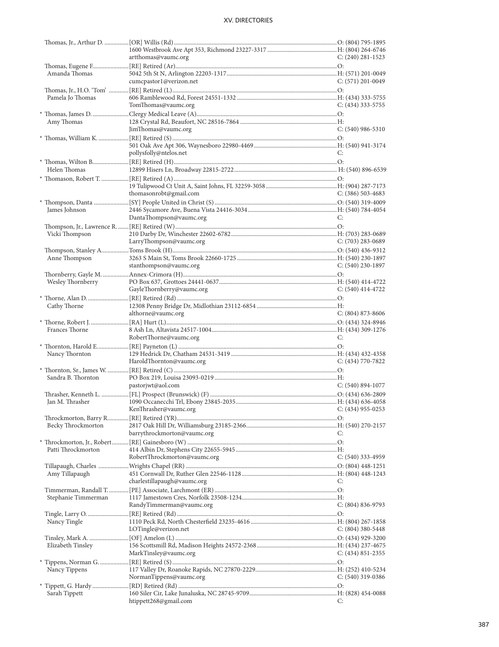|                     | artthomas@vaumc.org                     | $C: (240)$ 281-1523   |
|---------------------|-----------------------------------------|-----------------------|
|                     |                                         |                       |
| Amanda Thomas       |                                         |                       |
|                     | cumcpastor1@verizon.net                 | $C: (571)$ 201-0049   |
|                     |                                         |                       |
|                     |                                         |                       |
| Pamela Jo Thomas    |                                         |                       |
|                     | TomThomas@vaumc.org                     | $C: (434)$ 333-5755   |
|                     |                                         |                       |
| Amy Thomas          |                                         |                       |
|                     | JimThomas@vaumc.org                     | $C: (540)$ 986-5310   |
|                     |                                         |                       |
|                     |                                         |                       |
|                     | pollysfolly@ntelos.net                  | C:                    |
|                     |                                         |                       |
|                     |                                         |                       |
| Helen Thomas        |                                         |                       |
|                     |                                         |                       |
|                     |                                         |                       |
|                     | thomasonrobt@gmail.com                  | $C: (386) 503-4683$   |
|                     |                                         |                       |
|                     |                                         |                       |
| James Johnson       |                                         |                       |
|                     | DantaThompson@vaumc.org                 | C:                    |
|                     |                                         |                       |
| Vicki Thompson      |                                         |                       |
|                     | LarryThompson@vaumc.org                 | $C: (703)$ 283-0689   |
|                     |                                         |                       |
| Anne Thompson       |                                         |                       |
|                     |                                         |                       |
|                     | stanthompson@vaumc.org                  | $C: (540)$ 230-1897   |
|                     |                                         |                       |
| Wesley Thornberry   |                                         |                       |
|                     | GayleThornberry@vaumc.org               | $C: (540)$ 414-4722   |
|                     |                                         |                       |
| Cathy Thorne        |                                         |                       |
|                     | althorne@vaumc.org                      | $C: (804) 873-8606$   |
|                     |                                         |                       |
|                     |                                         |                       |
|                     |                                         |                       |
| Frances Thorne      |                                         |                       |
|                     | RobertThorne@vaumc.org                  | C:                    |
|                     |                                         |                       |
| Nancy Thornton      |                                         |                       |
|                     | HaroldThornton@vaumc.org                | $C: (434) 770-7822$   |
|                     |                                         |                       |
|                     |                                         |                       |
| Sandra B. Thornton  |                                         |                       |
|                     | pastorjwt@aol.com                       | $C: (540) 894-1077$   |
|                     |                                         |                       |
| Jan M. Thrasher     |                                         |                       |
|                     | KenThrasher@vaumc.org C: (434) 955-0253 |                       |
|                     |                                         |                       |
| Becky Throckmorton  |                                         |                       |
|                     |                                         | C:                    |
|                     | barrythrockmorton@vaumc.org             |                       |
|                     |                                         |                       |
| Patti Throckmorton  |                                         |                       |
|                     | RobertThrockmorton@vaumc.org            | $C: (540)$ 333-4959   |
|                     |                                         |                       |
| Amy Tillapaugh      |                                         |                       |
|                     | charlestillapaugh@vaumc.org             | C:                    |
|                     |                                         |                       |
| Stephanie Timmerman |                                         |                       |
|                     |                                         |                       |
|                     | RandyTimmerman@vaumc.org                | $C: (804) 836 - 9793$ |
|                     |                                         |                       |
| Nancy Tingle        |                                         |                       |
|                     | LOTingle@verizon.net                    | $C: (804)$ 380-5448   |
|                     |                                         |                       |
| Elizabeth Tinsley   |                                         |                       |
|                     | MarkTinsley@vaumc.org                   | $C: (434) 851 - 2355$ |
|                     |                                         |                       |
|                     |                                         |                       |
| Nancy Tippens       |                                         |                       |
|                     | NormanTippens@vaumc.org                 | $C: (540)$ 319-0386   |
|                     |                                         |                       |
| Sarah Tippett       | htippett268@gmail.com                   | C:                    |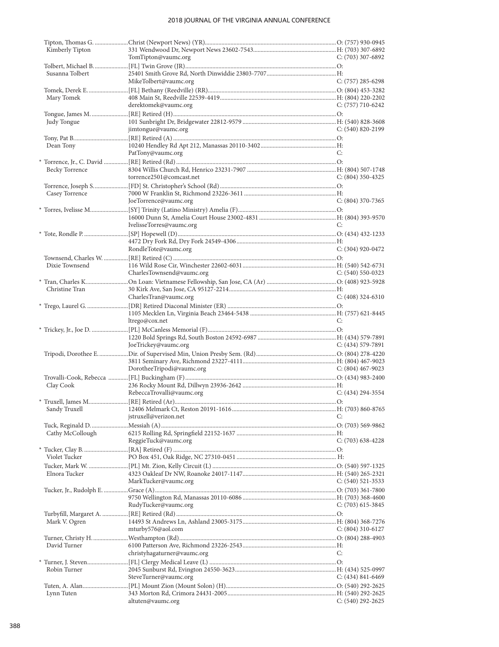| Kimberly Tipton  |                                                                                                  |                       |
|------------------|--------------------------------------------------------------------------------------------------|-----------------------|
|                  | TomTipton@vaumc.org                                                                              | C: (703) 307-6892     |
|                  |                                                                                                  |                       |
| Susanna Tolbert  |                                                                                                  |                       |
|                  | MikeTolbert@vaumc.org                                                                            | $C: (757)$ 285-6298   |
|                  |                                                                                                  |                       |
| Mary Tomek       |                                                                                                  |                       |
|                  | derektomek@vaumc.org                                                                             | C: $(757)$ 710-6242   |
|                  |                                                                                                  |                       |
| Judy Tongue      |                                                                                                  |                       |
|                  | jimtongue@vaumc.org                                                                              | $C: (540) 820 - 2199$ |
|                  |                                                                                                  |                       |
| Dean Tony        |                                                                                                  |                       |
|                  | PatTony@vaumc.org                                                                                | C:                    |
|                  |                                                                                                  |                       |
| Becky Torrence   |                                                                                                  |                       |
|                  | torrence2501@comcast.net                                                                         | $C: (804)$ 350-4325   |
|                  |                                                                                                  |                       |
| Casey Torrence   |                                                                                                  |                       |
|                  | JoeTorrence@vaumc.org                                                                            | C: (804) 370-7365     |
|                  | * Torres, Ivelisse M………………………[SY] Trinity (Latino Ministry) Amelia (F)………………………………………………………………O: |                       |
|                  |                                                                                                  |                       |
|                  | IvelisseTorres@vaumc.org                                                                         | C:                    |
|                  |                                                                                                  |                       |
|                  |                                                                                                  |                       |
|                  | RondleTote@vaumc.org                                                                             | $C: (304)$ 920-0472   |
|                  |                                                                                                  |                       |
|                  |                                                                                                  |                       |
| Dixie Townsend   |                                                                                                  |                       |
|                  | CharlesTownsend@vaumc.org                                                                        | $C: (540) 550-0323$   |
|                  |                                                                                                  |                       |
| Christine Tran   |                                                                                                  |                       |
|                  | CharlesTran@vaumc.org                                                                            | $C: (408)$ 324-6310   |
|                  |                                                                                                  |                       |
|                  |                                                                                                  |                       |
|                  |                                                                                                  |                       |
|                  | ltrego@cox.net                                                                                   | C:                    |
|                  |                                                                                                  |                       |
|                  |                                                                                                  |                       |
|                  | JoeTrickey@vaumc.org                                                                             | C: $(434)$ 579-7891   |
|                  |                                                                                                  |                       |
|                  |                                                                                                  |                       |
|                  | DorotheeTripodi@vaumc.org                                                                        | C: $(804)$ 467-9023   |
|                  |                                                                                                  |                       |
| Clay Cook        |                                                                                                  |                       |
|                  | RebeccaTrovalli@vaumc.org                                                                        | $C: (434) 294 - 3554$ |
|                  |                                                                                                  |                       |
|                  | * Truxell, James M………………………[RE] Retired (Ar)……………………………………………………………………………………………O:                |                       |
|                  | jstruxell@verizon.net                                                                            | C:                    |
|                  |                                                                                                  |                       |
|                  |                                                                                                  |                       |
| Cathy McCollough |                                                                                                  | $C: (703)$ 638-4228   |
|                  | ReggieTuck@vaumc.org                                                                             |                       |
|                  |                                                                                                  |                       |
| Violet Tucker    |                                                                                                  |                       |
|                  |                                                                                                  |                       |
| Elnora Tucker    |                                                                                                  |                       |
|                  | MarkTucker@vaumc.org                                                                             | $C: (540)$ 521-3533   |
|                  |                                                                                                  |                       |
|                  |                                                                                                  |                       |
|                  | RudyTucker@vaumc.org                                                                             | C: $(703)$ 615-3845   |
|                  |                                                                                                  |                       |
| Mark V. Ogren    |                                                                                                  |                       |
|                  | mturby576@aol.com                                                                                | C: $(804)$ 310-6127   |
|                  |                                                                                                  |                       |
| David Turner     |                                                                                                  |                       |
|                  | christyhagaturner@vaumc.org                                                                      | C:                    |
|                  |                                                                                                  |                       |
| Robin Turner     |                                                                                                  |                       |
|                  | SteveTurner@vaumc.org                                                                            | C: $(434) 841 - 6469$ |
|                  |                                                                                                  |                       |
| Lynn Tuten       | altuten@vaumc.org                                                                                |                       |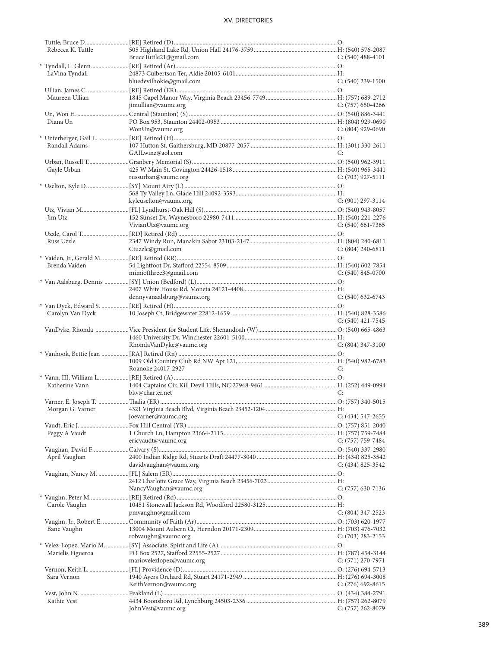| Rebecca K. Tuttle |                            |                       |
|-------------------|----------------------------|-----------------------|
|                   | BruceTuttle21@gmail.com    | $C: (540)$ 488-4101   |
|                   |                            |                       |
| LaVina Tyndall    |                            |                       |
|                   | bluedevilhokie@gmail.com   | $C: (540)$ 239-1500   |
|                   |                            |                       |
| Maureen Ullian    |                            |                       |
|                   |                            |                       |
|                   | jimullian@vaumc.org        | C: (757) 650-4266     |
|                   |                            |                       |
| Diana Un          |                            |                       |
|                   | WonUn@vaumc.org            | $C: (804)$ 929-0690   |
|                   |                            |                       |
| Randall Adams     |                            |                       |
|                   | GAILwinz@aol.com           | C:                    |
|                   |                            |                       |
|                   |                            |                       |
| Gayle Urban       |                            |                       |
|                   | russurban@vaumc.org        | $C: (703)$ 927-5111   |
|                   |                            |                       |
|                   |                            |                       |
|                   | kyleuselton@vaumc.org      | $C: (901)$ 297-3114   |
|                   |                            |                       |
| <b>Iim Utz</b>    |                            |                       |
|                   | VivianUtz@vaumc.org        | $C: (540)$ 661-7365   |
|                   |                            |                       |
|                   |                            |                       |
| Russ Uzzle        |                            |                       |
|                   | Ctuzzle@gmail.com          | $C: (804)$ 240-6811   |
|                   |                            |                       |
| Brenda Vaiden     |                            |                       |
|                   | mimiofthree3@gmail.com     | $C: (540) 845-0700$   |
|                   |                            |                       |
|                   |                            |                       |
|                   |                            |                       |
|                   | dennyvanaalsburg@vaumc.org | $C: (540)$ 632-6743   |
|                   |                            |                       |
| Carolyn Van Dyck  |                            |                       |
|                   |                            | $C: (540)$ 421-7545   |
|                   |                            |                       |
|                   |                            |                       |
|                   | RhondaVanDyke@vaumc.org    | $C: (804)$ 347-3100   |
|                   |                            |                       |
|                   |                            |                       |
|                   | Roanoke 24017-2927         |                       |
|                   |                            | C:                    |
|                   |                            |                       |
| Katherine Vann    |                            |                       |
|                   | bkv@charter.net            | C:                    |
|                   |                            |                       |
|                   |                            |                       |
|                   | joevarner@vaumc.org        | $C: (434) 547 - 2655$ |
|                   |                            |                       |
|                   |                            |                       |
| Peggy A Vaudt     |                            |                       |
|                   | ericvaudt@vaumc.org        | $C: (757) 759-7484$   |
|                   |                            |                       |
| April Vaughan     |                            |                       |
|                   | davidvaughan@vaumc.org     | $C: (434) 825 - 3542$ |
|                   |                            |                       |
|                   |                            |                       |
|                   | NancyVaughan@vaumc.org     | $C: (757)$ 630-7136   |
|                   |                            |                       |
|                   |                            |                       |
| Carole Vaughn     |                            |                       |
|                   | pmvaughn@gmail.com         | $C: (804)$ 347-2523   |
|                   |                            |                       |
| Bane Vaughn       |                            |                       |
|                   | robvaughn@vaumc.org        | $C: (703)$ 283-2153   |
|                   |                            |                       |
| Marielis Figueroa |                            |                       |
|                   | mariovelezlopez@vaumc.org  | $C: (571) 270-7971$   |
|                   |                            |                       |
|                   |                            |                       |
| Sara Vernon       |                            |                       |
|                   | KeithVernon@vaumc.org      | C: $(276)$ 692-8615   |
|                   |                            |                       |
| Kathie Vest       |                            |                       |
|                   | JohnVest@vaumc.org         | C: (757) 262-8079     |
|                   |                            |                       |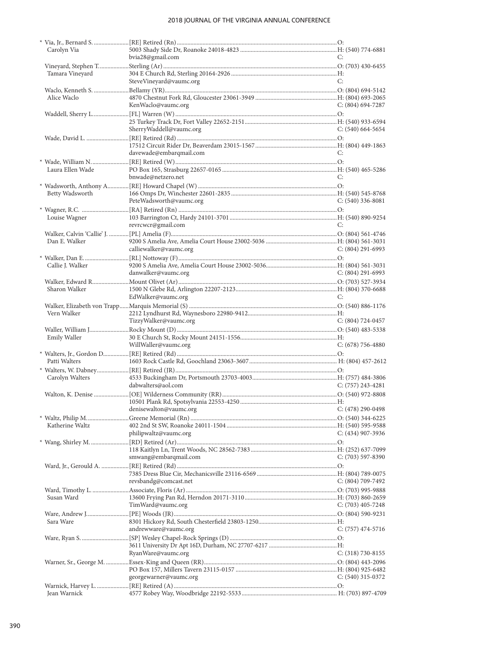| Carolyn Via         |                                               |                     |
|---------------------|-----------------------------------------------|---------------------|
|                     | bvia28@gmail.com                              | C:                  |
|                     |                                               |                     |
| Tamara Vineyard     |                                               |                     |
|                     | SteveVineyard@vaumc.org                       | C:                  |
|                     |                                               |                     |
| Alice Waclo         |                                               |                     |
|                     | KenWaclo@vaumc.org                            | $C: (804) 694-7287$ |
|                     |                                               |                     |
|                     |                                               |                     |
|                     | SherryWaddell@vaumc.org                       | $C: (540)$ 664-5654 |
|                     |                                               |                     |
|                     |                                               |                     |
|                     | davewade@embarqmail.com                       | C:                  |
|                     |                                               |                     |
| Laura Ellen Wade    |                                               |                     |
|                     | bnwade@netzero.net                            | C:                  |
|                     |                                               |                     |
| Betty Wadsworth     |                                               |                     |
|                     | PeteWadsworth@vaumc.org                       | $C: (540)$ 336-8081 |
|                     |                                               |                     |
| Louise Wagner       |                                               |                     |
|                     | revrcwcr@gmail.com                            | C:                  |
|                     |                                               |                     |
| Dan E. Walker       |                                               |                     |
|                     | calliewalker@vaumc.org                        | $C: (804)$ 291-6993 |
|                     |                                               |                     |
| Callie J. Walker    |                                               |                     |
|                     | danwalker@vaumc.org                           | $C: (804)$ 291-6993 |
|                     |                                               |                     |
| Sharon Walker       |                                               |                     |
|                     | EdWalker@vaumc.org                            | C:                  |
|                     |                                               |                     |
| Vern Walker         |                                               |                     |
|                     | TizzyWalker@vaumc.org                         | C: $(804)$ 724-0457 |
|                     |                                               |                     |
| <b>Emily Waller</b> |                                               |                     |
|                     | WillWaller@vaumc.org                          | $C: (678) 756-4880$ |
|                     |                                               |                     |
| Patti Walters       |                                               |                     |
|                     |                                               |                     |
| Carolyn Walters     |                                               |                     |
|                     | dabwalters@aol.com                            | $C: (757)$ 243-4281 |
|                     |                                               |                     |
|                     |                                               |                     |
|                     | $C: (478) 290-0498$<br>denisewalton@vaumc.org |                     |
|                     |                                               |                     |
| Katherine Waltz     |                                               |                     |
|                     | philipwaltz@vaumc.org                         | $C: (434)$ 907-3936 |
|                     |                                               |                     |
|                     | smwang@embarqmail.com                         | $C: (703)$ 597-8390 |
|                     |                                               |                     |
|                     |                                               |                     |
|                     | revsbandg@comcast.net                         | C: $(804)$ 709-7492 |
|                     |                                               |                     |
| Susan Ward          |                                               |                     |
|                     | TimWard@vaumc.org                             | C: $(703)$ 405-7248 |
|                     |                                               |                     |
| Sara Ware           |                                               |                     |
|                     | andrewware@vaumc.org                          | $C: (757)$ 474-5716 |
|                     |                                               |                     |
|                     |                                               |                     |
|                     | RyanWare@vaumc.org                            | $C: (318) 730-8155$ |
|                     |                                               |                     |
|                     |                                               |                     |
|                     | georgewarner@vaumc.org                        | $C: (540)$ 315-0372 |
|                     |                                               |                     |
| Jean Warnick        |                                               |                     |
|                     |                                               |                     |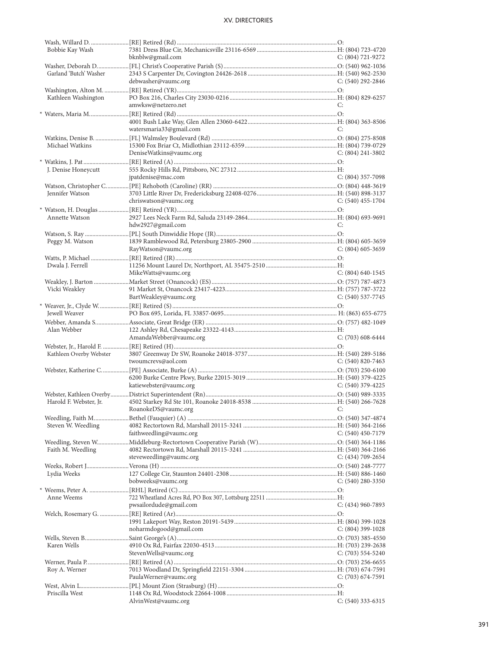| Bobbie Kay Wash         |                           |                       |
|-------------------------|---------------------------|-----------------------|
|                         | bknblw@gmail.com          | C: (804) 721-9272     |
|                         |                           |                       |
| Garland 'Butch' Washer  |                           |                       |
|                         | debwasher@vaumc.org       | C: $(540)$ 292-2846   |
|                         |                           |                       |
|                         |                           |                       |
| Kathleen Washington     |                           |                       |
|                         | amwksw@netzero.net        | C:                    |
|                         |                           |                       |
|                         |                           |                       |
|                         | watersmaria33@gmail.com   | C:                    |
|                         |                           |                       |
| Michael Watkins         |                           |                       |
|                         | DeniseWatkins@vaumc.org   | $C: (804)$ 241-3802   |
|                         |                           |                       |
|                         |                           |                       |
| J. Denise Honeycutt     |                           |                       |
|                         | jpatdenise@mac.com        | $C: (804)$ 357-7098   |
|                         |                           |                       |
| Jennifer Watson         |                           |                       |
|                         | chriswatson@vaumc.org     | $C: (540)$ 455-1704   |
|                         |                           |                       |
|                         |                           |                       |
| Annette Watson          |                           |                       |
|                         | hdw2927@gmail.com         | C:                    |
|                         |                           |                       |
| Peggy M. Watson         |                           |                       |
|                         | RayWatson@vaumc.org       | $C: (804)$ 605-3659   |
|                         |                           |                       |
|                         |                           |                       |
| Dwala J. Ferrell        |                           |                       |
|                         | MikeWatts@vaumc.org       | $C: (804)$ 640-1545   |
|                         |                           |                       |
| Vicki Weakley           |                           |                       |
|                         | BartWeakley@vaumc.org     | $C: (540)$ 537-7745   |
|                         |                           |                       |
|                         |                           |                       |
|                         |                           |                       |
| Jewell Weaver           |                           |                       |
|                         |                           |                       |
| Alan Webber             |                           |                       |
|                         | AmandaWebber@vaumc.org    | $C: (703)$ 608-6444   |
|                         |                           |                       |
| Kathleen Overby Webster |                           |                       |
|                         | twoumcrevs@aol.com        | $C: (540) 820 - 7463$ |
|                         |                           |                       |
|                         |                           |                       |
|                         |                           |                       |
|                         | katiewebster@vaumc.org    | $C: (540)$ 379-4225   |
|                         |                           |                       |
| Harold F. Webster, Jr.  |                           |                       |
|                         | RoanokeDS@vaumc.org<br>C: |                       |
|                         |                           |                       |
|                         |                           |                       |
| Steven W. Weedling      |                           |                       |
|                         | faithweedling@vaumc.org   | $C: (540)$ 450-7179   |
|                         |                           |                       |
| Faith M. Weedling       |                           |                       |
|                         | steveweedling@vaumc.org   | $C: (434) 709-2654$   |
|                         |                           |                       |
| Lydia Weeks             |                           |                       |
|                         | bobweeks@vaumc.org        | $C: (540) 280 - 3350$ |
|                         |                           |                       |
|                         |                           |                       |
| Anne Weems              |                           |                       |
|                         | pwsailordude@gmail.com    | $C: (434)$ 960-7893   |
|                         |                           |                       |
|                         |                           |                       |
|                         | noharmdogood@gmail.com    | $C: (804)$ 399-1028   |
|                         |                           |                       |
| Karen Wells             |                           |                       |
|                         |                           |                       |
|                         | StevenWells@vaumc.org     | $C: (703) 554-5240$   |
|                         |                           |                       |
| Roy A. Werner           |                           |                       |
|                         | PaulaWerner@vaumc.org     | $C: (703) 674-7591$   |
|                         |                           |                       |
| Priscilla West          | AlvinWest@vaumc.org       | $C: (540)$ 333-6315   |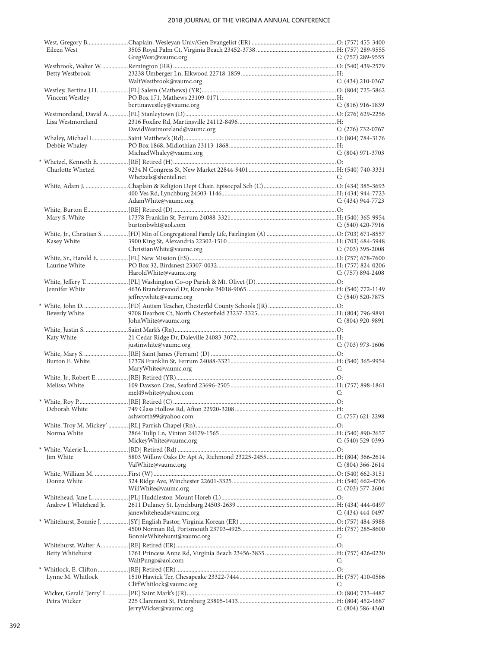### 2018 JOURNAL OF THE VIRGINIA ANNUAL CONFERENCE

| Eileen West             |                             |                       |
|-------------------------|-----------------------------|-----------------------|
|                         | GregWest@vaumc.org          | C: (757) 289-9555     |
|                         |                             |                       |
| Betty Westbrook         | WaltWestbrook@vaumc.org     |                       |
|                         |                             | $C: (434)$ 210-0367   |
| Vincent Westley         |                             |                       |
|                         | bertinawestley@vaumc.org    | $C: (816)$ 916-1839   |
|                         |                             |                       |
| Lisa Westmoreland       |                             |                       |
|                         | DavidWestmoreland@vaumc.org | C: $(276)$ 732-0767   |
|                         |                             |                       |
| Debbie Whaley           |                             |                       |
|                         | MichaelWhaley@vaumc.org     | $C: (804)$ 971-3703   |
|                         |                             |                       |
| Charlotte Whetzel       |                             |                       |
|                         | Whetzels@shentel.net        | C:                    |
|                         |                             |                       |
|                         |                             |                       |
|                         | AdamWhite@vaumc.org         | C: $(434)$ 944-7723   |
|                         |                             |                       |
| Mary S. White           | burtonbwht@aol.com          |                       |
|                         |                             | $C: (540)$ 420-7916   |
|                         |                             |                       |
| Kasey White             | ChristianWhite@vaumc.org    | C: $(703)$ 395-2008   |
|                         |                             |                       |
| Laurine White           |                             |                       |
|                         | HaroldWhite@vaumc.org       | $C: (757) 894 - 2408$ |
|                         |                             |                       |
| Jennifer White          |                             |                       |
|                         | jeffreywhite@vaumc.org      | $C: (540) 520 - 7875$ |
|                         |                             |                       |
| Beverly White           |                             |                       |
|                         | JohnWhite@vaumc.org         | $C: (804)$ 920-9891   |
|                         |                             |                       |
| Katy White              |                             |                       |
|                         | justinwhite@vaumc.org       | $C: (703)$ 973-1606   |
|                         |                             |                       |
| Burton E. White         |                             |                       |
|                         | MaryWhite@vaumc.org         | C:                    |
| Melissa White           |                             |                       |
|                         | mel49white@yahoo.com        | C:                    |
|                         |                             |                       |
|                         |                             |                       |
|                         | ashworth99@yahoo.com        | $C: (757)$ 621-2298   |
|                         |                             |                       |
| Norma White             |                             |                       |
|                         | MickeyWhite@vaumc.org       | $C: (540)$ 529-0393   |
|                         |                             |                       |
| Jim White               |                             |                       |
|                         | ValWhite@vaumc.org          | $C: (804)$ 366-2614   |
|                         |                             |                       |
| Donna White             |                             |                       |
|                         | WillWhite@vaumc.org         | $C: (703)$ 577-2604   |
|                         |                             |                       |
| Andrew J. Whitehead Jr. |                             |                       |
|                         | janewhitehead@vaumc.org     | $C: (434)$ 444-0497   |
|                         |                             |                       |
|                         | BonnieWhitehurst@vaumc.org  | C:                    |
|                         |                             |                       |
|                         |                             |                       |
| Betty Whitehurst        | WaltPungo@aol.com           | C:                    |
|                         |                             |                       |
| Lynne M. Whitlock       |                             |                       |
|                         | CliffWhitlock@vaumc.org     | C:                    |
|                         |                             |                       |
| Petra Wicker            |                             |                       |
|                         | JerryWicker@vaumc.org       | $C: (804) 586 - 4360$ |
|                         |                             |                       |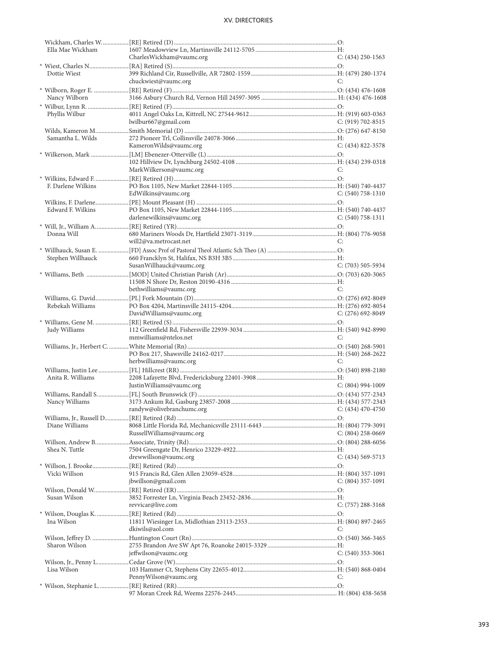| Ella Mae Wickham   |                                             |                       |
|--------------------|---------------------------------------------|-----------------------|
|                    | CharlesWickham@vaumc.org                    | $C: (434)$ 250-1563   |
|                    |                                             |                       |
| Dottie Wiest       |                                             |                       |
|                    | chuckwiest@vaumc.org                        | C:                    |
|                    |                                             |                       |
| Nancy Wilborn      |                                             |                       |
|                    |                                             |                       |
| Phyllis Wilbur     |                                             |                       |
|                    | lwilbur667@gmail.com                        | C: $(919) 702 - 8515$ |
|                    |                                             |                       |
| Samantha L. Wilds  |                                             |                       |
|                    | KameronWilds@vaumc.org                      | $C: (434) 822 - 3578$ |
|                    |                                             |                       |
|                    |                                             |                       |
|                    | MarkWilkerson@vaumc.org                     | C:                    |
|                    |                                             |                       |
|                    |                                             |                       |
| F. Darlene Wilkins |                                             |                       |
|                    | EdWilkins@vaumc.org                         | $C: (540) 758-1310$   |
|                    |                                             |                       |
| Edward F. Wilkins  |                                             |                       |
|                    | darlenewilkins@vaumc.org                    | $C: (540) 758-1311$   |
|                    |                                             |                       |
| Donna Will         |                                             |                       |
|                    | will2@va.metrocast.net                      | C:                    |
|                    |                                             |                       |
| Stephen Willhauck  |                                             |                       |
|                    | SusanWillhauck@vaumc.org                    | $C: (703) 505 - 5934$ |
|                    |                                             |                       |
|                    |                                             |                       |
|                    | bethwilliams@vaumc.org                      | C:                    |
|                    |                                             |                       |
|                    |                                             |                       |
| Rebekah Williams   |                                             |                       |
|                    | DavidWilliams@vaumc.org                     | $C: (276)$ 692-8049   |
|                    |                                             |                       |
|                    |                                             |                       |
| Judy Williams      |                                             |                       |
|                    | mmwilliams@ntelos.net                       | C:                    |
|                    |                                             |                       |
|                    |                                             |                       |
|                    | herbwilliams@vaumc.org                      | C:                    |
|                    |                                             |                       |
| Anita R. Williams  |                                             |                       |
|                    |                                             | $C: (804)$ 994-1009   |
|                    | JustinWilliams@vaumc.org                    |                       |
|                    |                                             |                       |
| Nancy Williams     |                                             |                       |
|                    | randyw@olivebranchumc.org C: (434) 470-4750 |                       |
|                    |                                             |                       |
| Diane Williams     |                                             |                       |
|                    | RussellWilliams@vaumc.org                   | $C: (804)$ 258-0669   |
|                    |                                             |                       |
| Shea N. Tuttle     |                                             |                       |
|                    | drewwillson@vaumc.org                       | $C: (434) 569 - 5713$ |
|                    |                                             |                       |
| Vicki Willson      |                                             |                       |
|                    | jbwillson@gmail.com                         | $C: (804)$ 357-1091   |
|                    |                                             |                       |
| Susan Wilson       |                                             |                       |
|                    | revvicar@live.com                           | $C: (757) 288-3168$   |
|                    |                                             |                       |
| Ina Wilson         |                                             |                       |
|                    | dkiwils@aol.com                             | C:                    |
|                    |                                             |                       |
|                    |                                             |                       |
| Sharon Wilson      |                                             |                       |
|                    | jeffwilson@vaumc.org                        | $C: (540)$ 353-3061   |
|                    |                                             |                       |
| Lisa Wilson        |                                             |                       |
|                    | PennyWilson@vaumc.org                       | C:                    |
|                    |                                             |                       |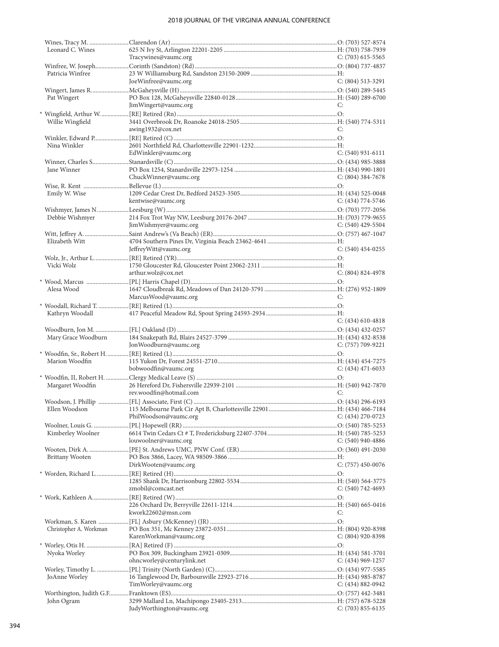### 2018 JOURNAL OF THE VIRGINIA ANNUAL CONFERENCE

| Leonard C. Wines       |                            |                       |
|------------------------|----------------------------|-----------------------|
|                        | Tracywines@vaumc.org       | $C: (703)$ 615-5565   |
|                        |                            |                       |
| Patricia Winfree       |                            |                       |
|                        | JoeWinfree@vaumc.org       | $C: (804)$ 513-3291   |
|                        |                            |                       |
| Pat Wingert            |                            |                       |
|                        | JimWingert@vaumc.org       | C:                    |
|                        |                            |                       |
| Willie Wingfield       |                            |                       |
|                        | awing1932@cox.net          | C:                    |
|                        |                            |                       |
| Nina Winkler           |                            |                       |
|                        |                            |                       |
|                        | EdWinkler@vaumc.org        | $C: (540)$ 931-6111   |
|                        |                            |                       |
| Jane Winner            |                            |                       |
|                        | ChuckWinner@vaumc.org      | $C: (804)$ 384-7678   |
|                        |                            |                       |
| Emily W. Wise          |                            |                       |
|                        | kentwise@vaumc.org         | C: $(434)$ 774-5746   |
|                        |                            |                       |
| Debbie Wishmyer        |                            |                       |
|                        | JimWishmyer@vaumc.org      | C: $(540)$ 429-5504   |
|                        |                            |                       |
| Elizabeth Witt         |                            |                       |
|                        | JeffreyWitt@vaumc.org      | $C: (540)$ 454-0255   |
|                        |                            |                       |
| Vicki Wolz             |                            |                       |
|                        | arthur.wolz@cox.net        | $C: (804) 824-4978$   |
|                        |                            |                       |
|                        |                            |                       |
| Alesa Wood             |                            |                       |
|                        | MarcusWood@vaumc.org       | C:                    |
|                        |                            |                       |
| Kathryn Woodall        |                            |                       |
|                        |                            | $C: (434)$ 610-4818   |
|                        |                            |                       |
| Mary Grace Woodburn    |                            |                       |
|                        | JonWoodburn@vaumc.org      | $C: (757) 709-9221$   |
|                        |                            |                       |
| Marion Woodfin         |                            |                       |
|                        |                            |                       |
|                        |                            | $C: (434)$ 471-6033   |
|                        | bobwoodfin@vaumc.org       |                       |
|                        |                            |                       |
| Margaret Woodfin       |                            |                       |
|                        | rev.woodfin@hotmail.com    | C:                    |
|                        |                            |                       |
|                        |                            |                       |
|                        | PhilWoodson@vaumc.org      | $C: (434)$ 270-0723   |
|                        |                            |                       |
| Kimberley Woolner      |                            |                       |
|                        | louwoolner@vaumc.org       | C: $(540)$ 940-4886   |
|                        |                            |                       |
| Brittany Wooten        |                            |                       |
|                        | DirkWooten@vaumc.org       | $C: (757)$ 450-0076   |
|                        |                            |                       |
|                        |                            |                       |
|                        | zmobil@comcast.net         | $C: (540) 742 - 4693$ |
|                        |                            |                       |
|                        |                            |                       |
|                        | kwork22602@msn.com         | C:                    |
|                        |                            |                       |
|                        |                            |                       |
| Christopher A. Workman |                            |                       |
|                        | KarenWorkman@vaumc.org     | $C: (804)$ 920-8398   |
|                        |                            |                       |
| Nyoka Worley           |                            |                       |
|                        | ohncworley@centurylink.net | $C: (434)$ 969-1257   |
|                        |                            |                       |
| JoAnne Worley          |                            |                       |
|                        | TimWorley@vaumc.org        | C: (434) 882-0942     |
|                        |                            |                       |
| John Ogram             | JudyWorthington@vaumc.org  | $C: (703) 855 - 6135$ |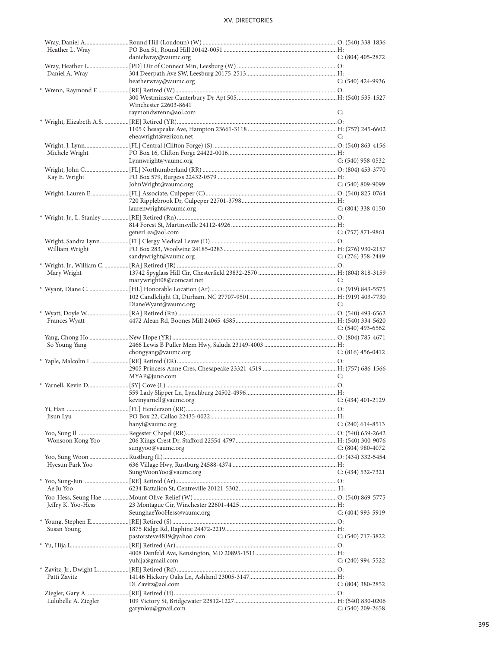| Heather L. Wray      |                           |                       |
|----------------------|---------------------------|-----------------------|
|                      | danielwray@vaumc.org      | $C: (804)$ 405-2872   |
|                      |                           |                       |
| Daniel A. Wray       |                           |                       |
|                      | heatherwray@vaumc.org     | $C: (540)$ 424-9936   |
|                      |                           |                       |
|                      |                           |                       |
|                      |                           |                       |
|                      | Winchester 22603-8641     |                       |
|                      | raymondwrenn@aol.com      | C:                    |
|                      |                           |                       |
|                      |                           |                       |
|                      | eheawright@verizon.net    | C:                    |
|                      |                           |                       |
| Michele Wright       |                           |                       |
|                      | Lynnwright@vaumc.org      | $C: (540)$ 958-0532   |
|                      |                           |                       |
|                      |                           |                       |
| Kay E. Wright        |                           |                       |
|                      | JohnWright@vaumc.org      | $C: (540)$ 809-9099   |
|                      |                           |                       |
|                      |                           |                       |
|                      | laurenwright@vaumc.org    | $C: (804)$ 338-0150   |
|                      |                           |                       |
|                      |                           |                       |
|                      |                           |                       |
|                      | generLea@aol.com          | $C: (757) 871-9861$   |
|                      |                           |                       |
| William Wright       |                           |                       |
|                      | sandywright@vaumc.org     | $C: (276)$ 358-2449   |
|                      |                           |                       |
|                      |                           |                       |
| Mary Wright          |                           |                       |
|                      | marywright08@comcast.net  | C:                    |
|                      |                           |                       |
|                      |                           |                       |
|                      | DianeWyant@vaumc.org      | C:                    |
|                      |                           |                       |
|                      |                           |                       |
| Frances Wyatt        |                           |                       |
|                      |                           |                       |
|                      |                           | C: $(540)$ 493-6562   |
|                      |                           |                       |
|                      |                           |                       |
| So Young Yang        |                           |                       |
|                      | chongyang@vaumc.org       | $C: (816) 456-0412$   |
|                      |                           |                       |
|                      |                           |                       |
|                      | MYAP@juno.com             | C:                    |
|                      |                           |                       |
|                      |                           |                       |
|                      | kevinyarnell@vaumc.org    | $C: (434)$ 401-2129   |
|                      |                           |                       |
| Yi, Han              | [FL] Henderson (RR)       | $\Omega$ :            |
| Jisun Lyu            |                           |                       |
|                      | hanyi@vaumc.org           | $C: (240)$ 614-8513   |
|                      |                           |                       |
| Wonsoon Kong Yoo     |                           |                       |
|                      | sungyoo@vaumc.org         | $C: (804)$ 980-4072   |
|                      |                           |                       |
|                      |                           |                       |
| Hyesun Park Yoo      |                           |                       |
|                      | SungWoonYoo@vaumc.org     | $C: (434) 532 - 7321$ |
|                      |                           |                       |
| Ae Ju Yoo            |                           |                       |
|                      |                           |                       |
|                      |                           |                       |
| Jeffry K. Yoo-Hess   |                           |                       |
|                      | SeunghaeYooHess@vaumc.org | $C: (404)$ 993-5919   |
|                      |                           |                       |
| Susan Young          |                           |                       |
|                      | pastorsteve4819@yahoo.com | $C: (540)$ 717-3822   |
|                      |                           |                       |
|                      |                           |                       |
|                      |                           |                       |
|                      | yuhija@gmail.com          | $C: (240)$ 994-5522   |
|                      |                           |                       |
| Patti Zavitz         |                           |                       |
|                      | DLZavitz@aol.com          | $C: (804)$ 380-2852   |
|                      |                           |                       |
| Lulubelle A. Ziegler |                           |                       |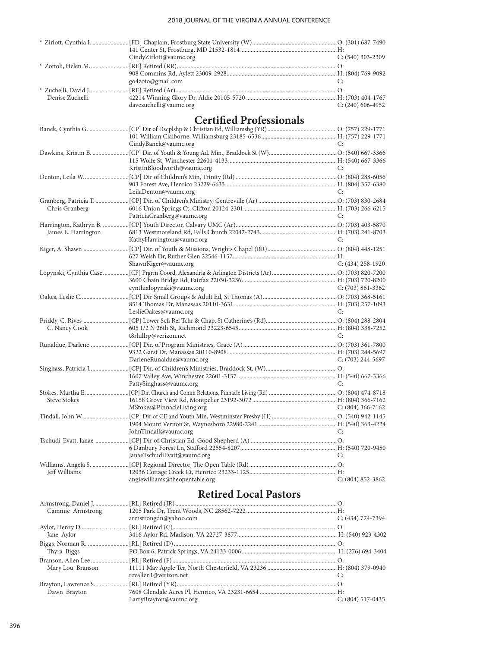|                     | CindyZirlott@vaumc.org                            | $C: (540)$ 303-2309   |
|---------------------|---------------------------------------------------|-----------------------|
|                     |                                                   |                       |
|                     |                                                   |                       |
|                     | go4zoto@gmail.com                                 | C:                    |
|                     |                                                   |                       |
| Denise Zuchelli     |                                                   |                       |
|                     | davezuchelli@vaumc.org                            | $C: (240)$ 606-4952   |
|                     | <b>Certified Professionals</b>                    |                       |
|                     |                                                   |                       |
|                     |                                                   |                       |
|                     | CindyBanek@vaumc.org                              | C:                    |
|                     |                                                   |                       |
|                     |                                                   |                       |
|                     | KristinBloodworth@vaumc.org                       | C:                    |
|                     |                                                   |                       |
|                     |                                                   |                       |
|                     | LeilaDenton@vaumc.org                             | C:                    |
|                     |                                                   |                       |
| Chris Granberg      |                                                   |                       |
|                     | PatriciaGranberg@vaumc.org                        | C:                    |
|                     |                                                   |                       |
| James E. Harrington |                                                   |                       |
|                     | KathyHarrington@vaumc.org                         | C:                    |
|                     |                                                   |                       |
|                     |                                                   |                       |
|                     | ShawnKiger@vaumc.org                              | $C: (434)$ 258-1920   |
|                     |                                                   |                       |
|                     |                                                   |                       |
|                     | cynthialopynski@vaumc.org                         | $C: (703) 861 - 3362$ |
|                     |                                                   |                       |
|                     |                                                   |                       |
|                     | LeslieOakes@vaumc.org                             | C:                    |
|                     |                                                   |                       |
| C. Nancy Cook       |                                                   |                       |
|                     | t8rhillrp@verizon.net                             | C:                    |
|                     |                                                   |                       |
|                     |                                                   |                       |
|                     | DarleneRunaldue@vaumc.org                         | $C: (703)$ 244-5697   |
|                     |                                                   |                       |
|                     |                                                   |                       |
|                     | PattySinghass@vaumc.org                           | C:                    |
|                     |                                                   |                       |
| <b>Steve Stokes</b> |                                                   |                       |
|                     | MStokes@PinnacleLiving.org<br>$C: (804) 366-7162$ |                       |
|                     |                                                   |                       |
|                     |                                                   |                       |
|                     | JohnTindall@vaumc.org                             | C:                    |
|                     |                                                   |                       |
|                     |                                                   |                       |
|                     | JanaeTschudiEvatt@vaumc.org                       | C:                    |
|                     |                                                   |                       |
| Jeff Williams       |                                                   |                       |
|                     | angiewilliams@theopentable.org                    | $C: (804) 852 - 3862$ |
|                     |                                                   |                       |
|                     | <b>Retired Local Pastors</b>                      |                       |

| Cammie Armstrong |                        |                     |
|------------------|------------------------|---------------------|
|                  | armstrongdn@yahoo.com  | $C: (434) 774-7394$ |
|                  |                        |                     |
| Jane Aylor       |                        |                     |
|                  |                        |                     |
| Thyra Biggs      |                        |                     |
|                  |                        |                     |
| Mary Lou Branson |                        |                     |
|                  | revallen1@verizon.net  |                     |
|                  |                        |                     |
| Dawn Brayton     |                        |                     |
|                  | LarryBrayton@vaumc.org | $C: (804)$ 517-0435 |
|                  |                        |                     |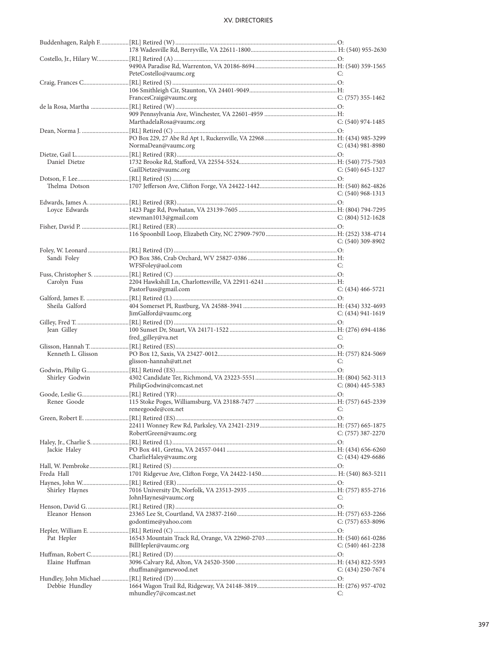|                    | PeteCostello@vaumc.org   | C:                    |
|--------------------|--------------------------|-----------------------|
|                    |                          |                       |
|                    |                          |                       |
|                    | FrancesCraig@vaumc.org   | $C: (757)$ 355-1462   |
|                    |                          |                       |
|                    |                          |                       |
|                    | MarthadelaRosa@vaumc.org | $C: (540)$ 974-1485   |
|                    |                          |                       |
|                    |                          |                       |
|                    |                          |                       |
|                    | NormaDean@vaumc.org      | $C: (434)$ 981-8980   |
|                    |                          |                       |
| Daniel Dietze      |                          |                       |
|                    | GailDietze@vaumc.org     | $C: (540)$ 645-1327   |
|                    |                          |                       |
|                    |                          |                       |
| Thelma Dotson      |                          |                       |
|                    |                          | $C: (540)$ 968-1313   |
|                    |                          |                       |
| Loyce Edwards      |                          |                       |
|                    | stewman1013@gmail.com    | $C: (804) 512 - 1628$ |
|                    |                          |                       |
|                    |                          |                       |
|                    |                          | $C: (540)$ 309-8902   |
|                    |                          |                       |
|                    |                          |                       |
| Sandi Foley        |                          |                       |
|                    | WFSFoley@aol.com         | C:                    |
|                    |                          |                       |
| Carolyn Fuss       |                          |                       |
|                    | PastorFuss@gmail.com     | $C: (434)$ 466-5721   |
|                    |                          |                       |
|                    |                          |                       |
| Sheila Galford     |                          |                       |
|                    | JimGalford@vaumc.org     | $C: (434) 941-1619$   |
|                    |                          |                       |
| Jean Gilley        |                          |                       |
|                    | fred_gilley@va.net       | C:                    |
|                    |                          |                       |
| Kenneth L. Glisson |                          |                       |
|                    | glisson-hannah@att.net   | C:                    |
|                    |                          |                       |
|                    |                          |                       |
| Shirley Godwin     |                          |                       |
|                    | PhilipGodwin@comcast.net | C: (804) 445-5383     |
|                    |                          |                       |
| Renee Goode        |                          |                       |
|                    | reneegoode@cox.net C:    |                       |
|                    |                          |                       |
|                    |                          |                       |
|                    |                          |                       |
|                    | RobertGreen@vaumc.org    | $C: (757)$ 387-2270   |
|                    |                          |                       |
| Jackie Haley       |                          |                       |
|                    | CharlieHaley@vaumc.org   | $C: (434)$ 429-6686   |
|                    |                          |                       |
| Freda Hall         |                          |                       |
|                    |                          |                       |
|                    |                          |                       |
| Shirley Haynes     |                          |                       |
|                    | JohnHaynes@vaumc.org     | C:                    |
|                    |                          |                       |
| Eleanor Henson     |                          |                       |
|                    | godontime@yahoo.com      | $C: (757)$ 653-8096   |
|                    |                          |                       |
|                    |                          |                       |
| Pat Hepler         |                          |                       |
|                    | BillHepler@vaumc.org     | $C: (540)$ 461-2238   |
|                    |                          |                       |
| Elaine Huffman     |                          |                       |
|                    | rhuffman@gamewood.net    | $C: (434)$ 250-7674   |
|                    |                          |                       |
| Debbie Hundley     |                          |                       |
|                    | mhundley7@comcast.net    | C:                    |
|                    |                          |                       |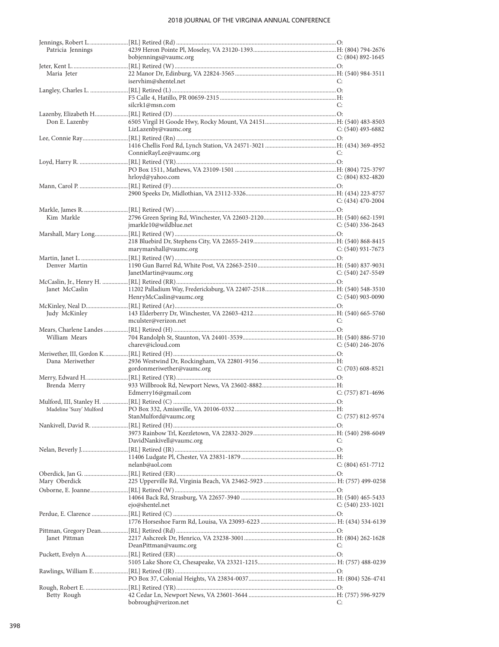### 2018 JOURNAL OF THE VIRGINIA ANNUAL CONFERENCE

| Patricia Jennings |                            |                       |
|-------------------|----------------------------|-----------------------|
|                   | bobjennings@vaumc.org      | $C: (804) 892 - 1645$ |
|                   |                            |                       |
| Maria Jeter       |                            |                       |
|                   |                            |                       |
|                   | iservhim@shentel.net       | C:                    |
|                   |                            |                       |
|                   |                            |                       |
|                   | silcrk1@msn.com            | C:                    |
|                   |                            |                       |
|                   |                            |                       |
| Don E. Lazenby    |                            |                       |
|                   | LizLazenby@vaumc.org       | C: $(540)$ 493-6882   |
|                   |                            |                       |
|                   |                            |                       |
|                   |                            |                       |
|                   | ConnieRayLee@vaumc.org     | C:                    |
|                   |                            |                       |
|                   |                            |                       |
|                   | hrloyd@yahoo.com           | $C: (804) 832 - 4820$ |
|                   |                            |                       |
|                   |                            |                       |
|                   |                            |                       |
|                   |                            | $C: (434)$ 470-2004   |
|                   |                            |                       |
|                   |                            |                       |
| Kim Markle        |                            |                       |
|                   | jmarkle10@wildblue.net     | C: $(540)$ 336-2643   |
|                   |                            |                       |
|                   |                            |                       |
|                   | marymarshall@vaumc.org     | C: $(540)$ 931-7673   |
|                   |                            |                       |
|                   |                            |                       |
| Denver Martin     |                            |                       |
|                   | JanetMartin@vaumc.org      | C: $(540)$ 247-5549   |
|                   |                            |                       |
|                   |                            |                       |
| Janet McCaslin    |                            |                       |
|                   | HenryMcCaslin@vaumc.org    | C: $(540)$ 903-0090   |
|                   |                            |                       |
| Judy McKinley     |                            |                       |
|                   |                            |                       |
|                   | mculster@verizon.net       | C:                    |
|                   |                            |                       |
|                   |                            |                       |
|                   |                            |                       |
| William Mears     |                            |                       |
|                   | charev@icloud.com          | $C: (540)$ 246-2076   |
|                   |                            |                       |
| Dana Meriwether   |                            |                       |
|                   |                            | $C: (703)$ 608-8521   |
|                   | gordonmeriwether@vaumc.org |                       |
|                   |                            |                       |
| Brenda Merry      |                            |                       |
|                   | Edmerry16@gmail.com        | $C: (757) 871 - 4696$ |
|                   |                            |                       |
|                   |                            |                       |
|                   |                            |                       |
|                   | StanMulford@vaumc.org      | $C: (757) 812 - 9574$ |
|                   |                            |                       |
|                   |                            |                       |
|                   |                            | C:                    |
|                   | DavidNankivell@vaumc.org   |                       |
|                   |                            |                       |
|                   |                            |                       |
|                   | nelanb@aol.com             | $C: (804)$ 651-7712   |
|                   |                            |                       |
|                   |                            |                       |
| Mary Oberdick     |                            |                       |
|                   |                            |                       |
|                   |                            |                       |
|                   | ejo@shentel.net            | $C: (540)$ 233-1021   |
|                   |                            |                       |
|                   |                            |                       |
|                   |                            |                       |
|                   |                            |                       |
| Janet Pittman     |                            |                       |
|                   |                            |                       |
|                   | DeanPittman@vaumc.org      | C:                    |
|                   |                            |                       |
|                   |                            |                       |
|                   |                            |                       |
|                   |                            |                       |
|                   |                            |                       |
|                   |                            |                       |
| Betty Rough       |                            |                       |
|                   | bobrough@verizon.net       | C:                    |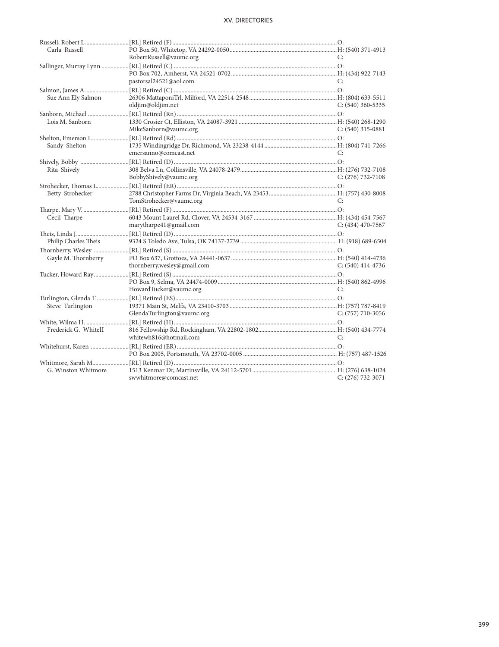| Carla Russell        |                             |                     |
|----------------------|-----------------------------|---------------------|
|                      | RobertRussell@vaumc.org     | C:                  |
|                      |                             |                     |
|                      |                             |                     |
|                      | pastorsal24521@aol.com      | C:                  |
|                      |                             |                     |
| Sue Ann Ely Salmon   |                             |                     |
|                      | oldjim@oldjim.net           | $C: (540)$ 360-5335 |
|                      |                             |                     |
| Lois M. Sanborn      |                             |                     |
|                      | MikeSanborn@vaumc.org       | $C: (540)$ 315-0881 |
|                      |                             |                     |
| Sandy Shelton        |                             |                     |
|                      | emersanno@comcast.net       | C:                  |
|                      |                             |                     |
| Rita Shively         |                             |                     |
|                      | BobbyShively@vaumc.org      | $C: (276)$ 732-7108 |
|                      |                             |                     |
| Betty Strohecker     |                             |                     |
|                      | TomStrohecker@vaumc.org     | C:                  |
|                      |                             |                     |
| Cecil Tharpe         |                             |                     |
|                      | marytharpe41@gmail.com      | $C: (434)$ 470-7567 |
|                      |                             |                     |
| Philip Charles Theis |                             |                     |
|                      |                             |                     |
| Gayle M. Thornberry  |                             |                     |
|                      | thornberry.wesley@gmail.com | $C: (540)$ 414-4736 |
|                      |                             |                     |
|                      |                             |                     |
|                      | HowardTucker@vaumc.org      | C:                  |
|                      |                             |                     |
|                      |                             |                     |
| Steve Turlington     | GlendaTurlington@vaumc.org  | $C: (757)$ 710-3056 |
|                      |                             |                     |
|                      |                             |                     |
| Frederick G. WhiteII | whitewh816@hotmail.com      | C:                  |
|                      |                             |                     |
|                      |                             |                     |
|                      |                             |                     |
|                      |                             |                     |
| G. Winston Whitmore  |                             |                     |
|                      | swwhitmore@comcast.net      | $C: (276) 732-3071$ |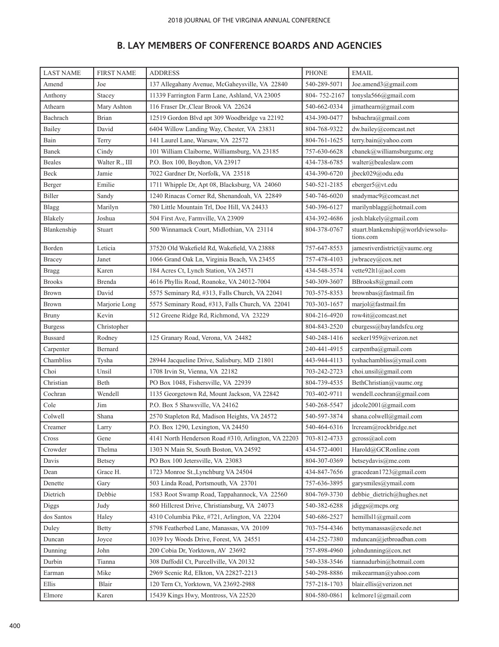# **B. LAY MEMBERS OF CONFERENCE BOARDS AND AGENCIES**

| <b>LAST NAME</b> | <b>FIRST NAME</b> | <b>ADDRESS</b>                                      | <b>PHONE</b> | <b>EMAIL</b>                                   |
|------------------|-------------------|-----------------------------------------------------|--------------|------------------------------------------------|
| Amend            | Joe               | 137 Allegahany Avenue, McGaheysville, VA 22840      | 540-289-5071 | Joe.amend3@gmail.com                           |
| Anthony          | Stacey            | 11339 Farrington Farm Lane, Ashland, VA 23005       | 804-752-2167 | tonysla566@gmail.com                           |
| Athearn          | Mary Ashton       | 116 Fraser Dr., Clear Brook VA 22624                | 540-662-0334 | jimathearn@gmail.com                           |
| Bachrach         | <b>Brian</b>      | 12519 Gordon Blvd apt 309 Woodbridge va 22192       | 434-390-0477 | bsbachra@gmail.com                             |
| Bailey           | David             | 6404 Willow Landing Way, Chester, VA 23831          | 804-768-9322 | dw.bailey@comcast.net                          |
| Bain             | Terry             | 141 Laurel Lane, Warsaw, VA 22572                   | 804-761-1625 | terry.bain@yahoo.com                           |
| Banek            | Cindy             | 101 William Claiborne, Williamsburg, VA 23185       | 757-630-6628 | cbanek@williamsburgumc.org                     |
| <b>Beales</b>    | Walter R., III    | P.O. Box 100, Boydton, VA 23917                     | 434-738-6785 | walter@bealeslaw.com                           |
| Beck             | Jamie             | 7022 Gardner Dr, Norfolk, VA 23518                  | 434-390-6720 | jbeck029@odu.edu                               |
| Berger           | Emilie            | 1711 Whipple Dr, Apt 08, Blacksburg, VA 24060       | 540-521-2185 | eberger5@vt.edu                                |
| Biller           | Sandy             | 1240 Rinacas Corner Rd, Shenandoah, VA 22849        | 540-746-6020 | snadymac9@comcast.net                          |
| Blagg            | Marilyn           | 780 Little Mountain Trl, Doe Hill, VA 24433         | 540-396-6127 | marilynblagg@hotmail.com                       |
| Blakely          | Joshua            | 504 First Ave, Farmville, VA 23909                  | 434-392-4686 | josh.blakely@gmail.com                         |
| Blankenship      | Stuart            | 500 Winnamack Court, Midlothian, VA 23114           | 804-378-0767 | stuart.blankenship@worldviewsolu-<br>tions.com |
| Borden           | Leticia           | 37520 Old Wakefield Rd, Wakefield, VA 23888         | 757-647-8553 | jamesriverdistrict@vaumc.org                   |
| Bracey           | Janet             | 1066 Grand Oak Ln, Virginia Beach, VA 23455         | 757-478-4103 | jwbracey@cox.net                               |
| <b>Bragg</b>     | Karen             | 184 Acres Ct, Lynch Station, VA 24571               | 434-548-3574 | vette92lt1@aol.com                             |
| <b>Brooks</b>    | Brenda            | 4616 Phyllis Road, Roanoke, VA 24012-7004           | 540-309-3607 | BBrooks8@gmail.com                             |
| <b>Brown</b>     | David             | 5575 Seminary Rd, #313, Falls Church, VA 22041      | 703-575-8353 | brownbas@fastmail.fm                           |
| Brown            | Marjorie Long     | 5575 Seminary Road, #313, Falls Church, VA 22041    | 703-303-1657 | marjol@fastmail.fm                             |
| <b>Bruny</b>     | Kevin             | 512 Greene Ridge Rd, Richmond, VA 23229             | 804-216-4920 | row4it@comcast.net                             |
| <b>Burgess</b>   | Christopher       |                                                     | 804-843-2520 | cburgess@baylandsfcu.org                       |
| <b>Bussard</b>   | Rodney            | 125 Granary Road, Verona, VA 24482                  | 540-248-1416 | seeker1959@verizon.net                         |
| Carpenter        | Bernard           |                                                     | 240-441-4915 | carpentba@gmail.com                            |
| Chambliss        | Tysha             | 28944 Jacqueline Drive, Salisbury, MD 21801         | 443-944-4113 | tyshachambliss@ymail.com                       |
| Choi             | Unsil             | 1708 Irvin St, Vienna, VA 22182                     | 703-242-2723 | choi.unsil@gmail.com                           |
| Christian        | Beth              | PO Box 1048, Fishersville, VA 22939                 | 804-739-4535 | BethChristian@vaumc.org                        |
| Cochran          | Wendell           | 1135 Georgetown Rd, Mount Jackson, VA 22842         | 703-402-9711 | wendell.cochran@gmail.com                      |
| Cole             | Jim               | P.O. Box 5 Shawsville, VA 24162                     | 540-268-5547 | jdcole2001@gmail.com                           |
| Colwell          | Shana             | 2570 Stapleton Rd, Madison Heights, VA 24572        | 540-597-3874 | shana.colwell@gmail.com                        |
| Creamer          | Larry             | P.O. Box 1290, Lexington, VA 24450                  | 540-464-6316 | lrcream@rockbridge.net                         |
| Cross            | Gene              | 4141 North Henderson Road #310, Arlington, VA 22203 | 703-812-4733 | gcross@aol.com                                 |
| Crowder          | Thelma            | 1303 N Main St, South Boston, VA 24592              | 434-572-4001 | Harold@GCRonline.com                           |
| Davis            | Betsey            | PO Box 100 Jetersville, VA 23083                    | 804-307-0369 | betseydavis@me.com                             |
| Dean             | Grace H.          | 1723 Monroe St., Lynchburg VA 24504                 | 434-847-7656 | gracedean1723@gmail.com                        |
| Denette          | Gary              | 503 Linda Road, Portsmouth, VA 23701                | 757-636-3895 | garysmiles@ymail.com                           |
| Dietrich         | Debbie            | 1583 Root Swamp Road, Tappahannock, VA 22560        | 804-769-3730 | debbie dietrich@hughes.net                     |
| <b>Diggs</b>     | Judy              | 860 Hillcrest Drive, Christiansburg, VA 24073       | 540-382-6288 | $j$ diggs@mcps.org                             |
| dos Santos       | Haley             | 4310 Columbia Pike, #721, Arlington, VA 22204       | 540-686-2527 | hemillsl1@gmail.com                            |
| Duley            | Betty             | 5798 Featherbed Lane, Manassas, VA 20109            | 703-754-4346 | bettymanassas@exede.net                        |
| Duncan           | Joyce             | 1039 Ivy Woods Drive, Forest, VA 24551              | 434-252-7380 | mduncan@jet broadban.com                       |
| Dunning          | John              | 200 Cobia Dr, Yorktown, AV 23692                    | 757-898-4960 | johndunning@cox.net                            |
| Durbin           | Tianna            | 308 Daffodil Ct, Purcellville, VA 20132             | 540-338-3546 | tiannadurbin@hotmail.com                       |
| Earman           | Mike              | 2969 Scenic Rd, Elkton, VA 22827-2213               | 540-298-8886 | mikeearman@yahoo.com                           |
| Ellis            | Blair             | 120 Tern Ct, Yorktown, VA 23692-2988                | 757-218-1703 | blair.ellis@verizon.net                        |
| Elmore           | Karen             | 15439 Kings Hwy, Montross, VA 22520                 | 804-580-0861 | kelmore1@gmail.com                             |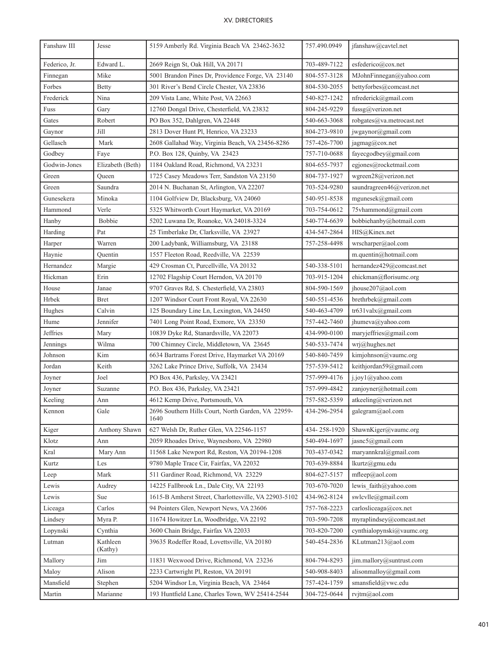| Fanshaw III   | Jesse               | 5159 Amberly Rd. Virginia Beach VA 23462-3632              | 757.490.0949 | jfanshaw@cavtel.net         |
|---------------|---------------------|------------------------------------------------------------|--------------|-----------------------------|
| Federico, Jr. | Edward L.           | 2669 Reign St, Oak Hill, VA 20171                          | 703-489-7122 | esfederico@cox.net          |
| Finnegan      | Mike                | 5001 Brandon Pines Dr, Providence Forge, VA 23140          | 804-557-3128 | MJohnFinnegan@yahoo.com     |
| Forbes        | <b>Betty</b>        | 301 River's Bend Circle Chester, VA 23836                  | 804-530-2055 | bettyforbes@comcast.net     |
| Frederick     | Nina                | 209 Vista Lane, White Post, VA 22663                       | 540-827-1242 | nfrederick@gmail.com        |
| Fuss          | Gary                | 12760 Dongal Drive, Chesterfield, VA 23832                 | 804-245-9229 | fussg@verizon.net           |
| Gates         | Robert              | PO Box 352, Dahlgren, VA 22448                             | 540-663-3068 | robgates@va.metrocast.net   |
| Gaynor        | Jill                | 2813 Dover Hunt Pl, Henrico, VA 23233                      | 804-273-9810 | jwgaynor@gmail.com          |
| Gellasch      | Mark                | 2608 Gallahad Way, Virginia Beach, VA 23456-8286           | 757-426-7700 | jagmag@cox.net              |
| Godbey        | Faye                | P.O. Box 128, Quinby, VA 23423                             | 757-710-0688 | fayecgodbey@gmail.com       |
| Godwin-Jones  | Elizabeth (Beth)    | 1184 Oakland Road, Richmond, VA 23231                      | 804-655-7937 | egjones@rocketmail.com      |
| Green         | Queen               | 1725 Casey Meadows Terr, Sandston VA 23150                 | 804-737-1927 | wgreen28@verizon.net        |
| Green         | Saundra             | 2014 N. Buchanan St, Arlington, VA 22207                   | 703-524-9280 | saundragreen46@verizon.net  |
| Gunesekera    | Minoka              | 1104 Golfview Dr, Blacksburg, VA 24060                     | 540-951-8538 | mgunesek@gmail.com          |
| Hammond       | Verle               | 5325 Whitworth Court Haymarket, VA 20169                   | 703-754-0612 | 75vhammond@gmail.com        |
| Hanby         | <b>Bobbie</b>       | 5202 Luwana Dr, Roanoke, VA 24018-3324                     | 540-774-6639 | bobbiehanby@hotmail.com     |
| Harding       | Pat                 | 25 Timberlake Dr, Clarksville, VA 23927                    | 434-547-2864 | HIS@Kinex.net               |
| Harper        | Warren              | 200 Ladybank, Williamsburg, VA 23188                       | 757-258-4498 | wrscharper@aol.com          |
| Haynie        | Quentin             | 1557 Fleeton Road, Reedville, VA 22539                     |              | m.quentin@hotmail.com       |
| Hernandez     | Margie              | 429 Crosman Ct, Purcellville, VA 20132                     | 540-338-5101 | hernandez429@comcast.net    |
| Hickman       | Erin                | 12702 Flagship Court Herndon, VA 20170                     | 703-915-1204 | ehickman@florisumc.org      |
| House         | Janae               | 9707 Graves Rd, S. Chesterfield, VA 23803                  | 804-590-1569 | jhouse207@aol.com           |
| Hrbek         | Bret                | 1207 Windsor Court Front Royal, VA 22630                   | 540-551-4536 | brethrbek@gmail.com         |
| Hughes        | Calvin              | 125 Boundary Line Ln, Lexington, VA 24450                  | 540-463-4709 | tr631valx@gmail.com         |
| Hume          | Jennifer            | 7401 Long Point Road, Exmore, VA 23350                     | 757-442-7460 | jhumeva@yahoo.com           |
| Jeffries      | Mary                | 10839 Dyke Rd, Stanardsville, VA 22073                     | 434-990-0100 | maryjeffries@gmail.com      |
| Jennings      | Wilma               | 700 Chimney Circle, Middletown, VA 23645                   | 540-533-7474 | wri@hughes.net              |
| Johnson       | Kim                 | 6634 Bartrams Forest Drive, Haymarket VA 20169             | 540-840-7459 | kimjohnson@vaumc.org        |
| Jordan        | Keith               | 3262 Lake Prince Drive, Suffolk, VA 23434                  | 757-539-5412 | keithjordan59@gmail.com     |
| Joyner        | Joel                | PO Box 436, Parksley, VA 23421                             | 757-999-4176 | j.joy1@yahoo.com            |
| Joyner        | Suzanne             | P.O. Box 436, Parksley, VA 23421                           | 757-999-4842 | zanjoyner@hotmail.com       |
| Keeling       | Ann                 | 4612 Kemp Drive, Portsmouth, VA                            | 757-582-5359 | atkeeling@verizon.net       |
| Kennon        | Gale                | 2696 Southern Hills Court, North Garden, VA 22959-<br>1640 | 434-296-2954 | galegram@aol.com            |
| Kiger         | Anthony Shawn       | 627 Welsh Dr, Ruther Glen, VA 22546-1157                   | 434-258-1920 | ShawnKiger@vaumc.org        |
| Klotz         | Ann                 | 2059 Rhoades Drive, Waynesboro, VA 22980                   | 540-494-1697 | jasnc5@gmail.com            |
| Kral          | Mary Ann            | 11568 Lake Newport Rd, Reston, VA 20194-1208               | 703-437-0342 | maryannkral@gmail.com       |
| Kurtz         | Les                 | 9780 Maple Trace Cir, Fairfax, VA 22032                    | 703-639-8884 | lkurtz@gmu.edu              |
| Leep          | Mark                | 511 Gardiner Road, Richmond, VA 23229                      | 804-627-5157 | mfleep@aol.com              |
| Lewis         | Audrey              | 14225 Fallbrook Ln., Dale City, VA 22193                   | 703-670-7020 | lewis faith $(a)$ yahoo.com |
| Lewis         | Sue                 | 1615-B Amherst Street, Charlottesville, VA 22903-5102      | 434-962-8124 | swlcvlle@gmail.com          |
| Liceaga       | Carlos              | 94 Pointers Glen, Newport News, VA 23606                   | 757-768-2223 | carlosliceaga@cox.net       |
| Lindsey       | Myra P.             | 11674 Howitzer Ln, Woodbridge, VA 22192                    | 703-590-7208 | myraplindsey@comcast.net    |
| Lopynski      | Cynthia             | 3600 Chain Bridge, Fairfax VA 22033                        | 703-820-7200 | cynthialopynski@vaumc.org   |
| Lutman        | Kathleen<br>(Kathy) | 39635 Rodeffer Road, Lovettsville, VA 20180                | 540-454-2836 | KLutman213@aol.com          |
| Mallory       | Jim                 | 11831 Wexwood Drive, Richmond, VA 23236                    | 804-794-8293 | jim.mallory@suntrust.com    |
| Maloy         | Alison              | 2233 Cartwright Pl, Reston, VA 20191                       | 540-908-8403 | alisonmalloy@gmail.com      |
| Mansfield     | Stephen             | 5204 Windsor Ln, Virginia Beach, VA 23464                  | 757-424-1759 | smansfield@vwc.edu          |
| Martin        | Marianne            | 193 Huntfield Lane, Charles Town, WV 25414-2544            | 304-725-0644 | rvjtm@aol.com               |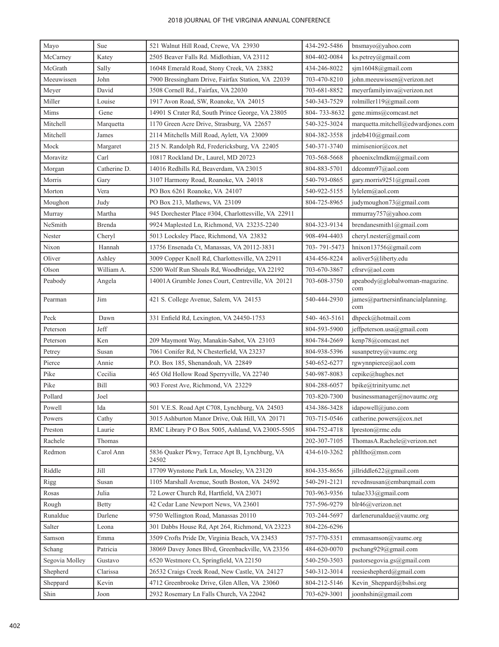| Mayo           | Sue          | 521 Walnut Hill Road, Crewe, VA 23930                   | 434-292-5486 | bnsmayo@yahoo.com                         |
|----------------|--------------|---------------------------------------------------------|--------------|-------------------------------------------|
| McCarney       | Katey        | 2505 Beaver Falls Rd. Midlothian, VA 23112              | 804-402-0084 | ks.petrey@gmail.com                       |
| McGrath        | Sally        | 16048 Emerald Road, Stony Creek, VA 23882               | 434-246-8022 | sjm16048@gmail.com                        |
| Meeuwissen     | John         | 7900 Bressingham Drive, Fairfax Station, VA 22039       | 703-470-8210 | john.meeuwissen@verizon.net               |
| Meyer          | David        | 3508 Cornell Rd., Fairfax, VA 22030                     | 703-681-8852 | meyerfamilyinva@verizon.net               |
| Miller         | Louise       | 1917 Avon Road, SW, Roanoke, VA 24015                   | 540-343-7529 | rolmiller119@gmail.com                    |
| Mims           | Gene         | 14901 S Crater Rd, South Prince George, VA 23805        | 804-733-8632 | gene.mims@comcast.net                     |
| Mitchell       | Marquetta    | 1170 Green Acre Drive, Strasburg, VA 22657              | 540-325-3024 | marquetta.mitchell@edwardjones.com        |
| Mitchell       | James        | 2114 Mitchells Mill Road, Aylett, VA 23009              | 804-382-3558 | jrdeb410@gmail.com                        |
| Mock           | Margaret     | 215 N. Randolph Rd, Fredericksburg, VA 22405            | 540-371-3740 | mimisenior@cox.net                        |
| Moravitz       | Carl         | 10817 Rockland Dr., Laurel, MD 20723                    | 703-568-5668 | phoenixclmdkm@gmail.com                   |
| Morgan         | Catherine D. | 14016 Redhills Rd, Beaverdam, VA 23015                  | 804-883-5701 | ddcomm97@aol.com                          |
| Morris         | Gary         | 3107 Harmony Road, Roanoke, VA 24018                    | 540-793-0865 | gary.morris9251@gmail.com                 |
| Morton         | Vera         | PO Box 6261 Roanoke, VA 24107                           | 540-922-5155 | lylelem@aol.com                           |
| Moughon        | Judy         | PO Box 213, Mathews, VA 23109                           | 804-725-8965 | judymoughon73@gmail.com                   |
| Murray         | Martha       | 945 Dorchester Place #304, Charlottesville, VA 22911    |              | mmurray757@yahoo.com                      |
| NeSmith        | Brenda       | 9924 Maplested Ln, Richmond, VA 23235-2240              | 804-323-9134 | brendanesmith1@gmail.com                  |
| Nester         | Cheryl       | 5013 Locksley Place, Richmond, VA 23832                 | 908-494-4403 | cheryl.nester@gmail.com                   |
| Nixon          | Hannah       | 13756 Ensenada Ct, Manassas, VA 20112-3831              | 703-791-5473 | hnixon13756@gmail.com                     |
| Oliver         | Ashley       | 3009 Copper Knoll Rd, Charlottesville, VA 22911         | 434-456-8224 | aoliver5@liberty.edu                      |
| Olson          | William A.   | 5200 Wolf Run Shoals Rd, Woodbridge, VA 22192           | 703-670-3867 | cfrsrv@aol.com                            |
| Peabody        | Angela       | 14001A Grumble Jones Court, Centreville, VA 20121       | 703-608-3750 | apeabody@globalwoman-magazine.<br>com     |
| Pearman        | Jim          | 421 S. College Avenue, Salem, VA 24153                  | 540-444-2930 | james@partnersinfinancialplanning.<br>com |
| Peck           | Dawn         | 331 Enfield Rd, Lexington, VA 24450-1753                | 540-463-5161 | dhpeck@hotmail.com                        |
| Peterson       | Jeff         |                                                         | 804-593-5900 | jeffpeterson.usa@gmail.com                |
| Peterson       | Ken          | 209 Maymont Way, Manakin-Sabot, VA 23103                | 804-784-2669 | kenp78@comcast.net                        |
| Petrey         | Susan        | 7061 Conifer Rd, N Chesterfield, VA 23237               | 804-938-5396 | susanpetrey@vaumc.org                     |
| Pierce         | Annie        | P.O. Box 185, Shenandoah, VA 22849                      | 540-652-6277 | rgwynnpierce@aol.com                      |
| Pike           | Cecilia      | 465 Old Hollow Road Sperryville, VA 22740               | 540-987-8083 | cepike@hughes.net                         |
| Pike           | Bill         | 903 Forest Ave, Richmond, VA 23229                      | 804-288-6057 | bpike@trinityumc.net                      |
| Pollard        | Joel         |                                                         | 703-820-7300 | businessmanager@novaumc.org               |
| Powell         | Ida          | 501 V.E.S. Road Apt C708, Lynchburg, VA 24503           | 434-386-3428 | idapowell@juno.com                        |
| Powers         | Cathy        | 3015 Ashburton Manor Drive, Oak Hill, VA 20171          | 703-715-0546 | catherine.powers@cox.net                  |
| Preston        | Laurie       | RMC Library P O Box 5005, Ashland, VA 23005-5505        | 804-752-4718 | lpreston@rmc.edu                          |
| Rachele        | Thomas       |                                                         | 202-307-7105 | ThomasA.Rachele@verizon.net               |
| Redmon         | Carol Ann    | 5836 Quaker Pkwy, Terrace Apt B, Lynchburg, VA<br>24502 | 434-610-3262 | phlltho@msn.com                           |
| Riddle         | Jill         | 17709 Wynstone Park Ln, Moseley, VA 23120               | 804-335-8656 | jillriddle622@gmail.com                   |
| Rigg           | Susan        | 1105 Marshall Avenue, South Boston, VA 24592            | 540-291-2121 | revednsusan@embarqmail.com                |
| Rosas          | Julia        | 72 Lower Church Rd, Hartfield, VA 23071                 | 703-963-9356 | tulae333@gmail.com                        |
| Rough          | <b>Betty</b> | 42 Cedar Lane Newport News, VA 23601                    | 757-596-9279 | blr46@verizon.net                         |
| Runaldue       | Darlene      | 9750 Wellington Road, Manassas 20110                    | 703-244-5697 | darlenerunaldue@vaumc.org                 |
| Salter         | Leona        | 301 Dabbs House Rd, Apt 264, Richmond, VA 23223         | 804-226-6296 |                                           |
| Samson         | Emma         | 3509 Crofts Pride Dr, Virginia Beach, VA 23453          | 757-770-5351 | emmasamson@vaumc.org                      |
| Schang         | Patricia     | 38069 Davey Jones Blvd, Greenbackville, VA 23356        | 484-620-0070 | pschang929@gmail.com                      |
| Segovia Molley | Gustavo      | 6520 Westmore Ct, Springfield, VA 22150                 | 540-250-3503 | pastorsegovia.gs@gmail.com                |
| Shepherd       | Clarissa     | 26532 Craigs Creek Road, New Castle, VA 24127           | 540-312-3014 | reesieshepherd@gmail.com                  |
| Sheppard       | Kevin        | 4712 Greenbrooke Drive, Glen Allen, VA 23060            | 804-212-5146 | Kevin_Sheppard@bshsi.org                  |
| Shin           | Joon         | 2932 Rosemary Ln Falls Church, VA 22042                 | 703-629-3001 | joonhshin@gmail.com                       |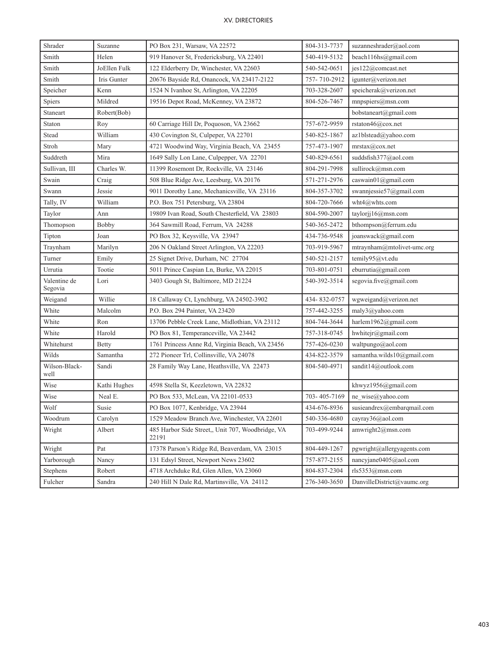| Shrader                 | Suzanne      | 804-313-7737<br>PO Box 231, Warsaw, VA 22572               |                                            | suzanneshrader@aol.com     |  |
|-------------------------|--------------|------------------------------------------------------------|--------------------------------------------|----------------------------|--|
| Smith                   | Helen        | 540-419-5132<br>919 Hanover St, Fredericksburg, VA 22401   |                                            | beach116hs@gmail.com       |  |
| Smith                   | JoEllen Fulk | 122 Elderberry Dr, Winchester, VA 22603<br>540-542-0651    |                                            | jes122@comcast.net         |  |
| Smith                   | Iris Gunter  | 20676 Bayside Rd, Onancock, VA 23417-2122                  | 757-710-2912                               | igunter@verizon.net        |  |
| Speicher                | Kenn         | 1524 N Ivanhoe St, Arlington, VA 22205                     | 703-328-2607<br>speicherak@verizon.net     |                            |  |
| Spiers                  | Mildred      | 19516 Depot Road, McKenney, VA 23872                       | 804-526-7467                               | $m$ npspiers@msn.com       |  |
| Staneart                | Robert(Bob)  |                                                            |                                            | bobstaneart@gmail.com      |  |
| Staton                  | Roy          | 60 Carriage Hill Dr, Poquoson, VA 23662                    | 757-672-9959                               | rstaton46@cox.net          |  |
| Stead                   | William      | 430 Covington St, Culpeper, VA 22701                       | 540-825-1867                               | az1blstead@yahoo.com       |  |
| Stroh                   | Mary         | 4721 Woodwind Way, Virginia Beach, VA 23455                | 757-473-1907                               | mrstax@cox.net             |  |
| Suddreth                | Mira         | 1649 Sally Lon Lane, Culpepper, VA 22701                   | 540-829-6561                               | suddsfish377@aol.com       |  |
| Sullivan, III           | Charles W.   | 11399 Rosemont Dr, Rockville, VA 23146                     | 804-291-7998                               | sullirock@msn.com          |  |
| Swain                   | Craig        | 508 Blue Ridge Ave, Leesburg, VA 20176                     | 571-271-2976                               | caswain01@gmail.com        |  |
| Swann                   | Jessie       | 9011 Dorothy Lane, Mechanicsville, VA 23116                | 804-357-3702                               | swannjessie57@gmail.com    |  |
| Tally, IV               | William      | P.O. Box 751 Petersburg, VA 23804                          | 804-720-7666                               | wht4@whts.com              |  |
| Taylor                  | Ann          | 19809 Ivan Road, South Chesterfield, VA 23803              | 804-590-2007                               | taylorjj $16@$ msn.com     |  |
| Thomopson               | Bobby        | 364 Sawmill Road, Ferrum, VA 24288                         | 540-365-2472                               | bthompson@ferrum.edu       |  |
| Tipton                  | Joan         | PO Box 32, Keysville, VA 23947                             | joanswack@gmail.com<br>434-736-9548        |                            |  |
| Traynham                | Marilyn      | 206 N Oakland Street Arlington, VA 22203                   | 703-919-5967                               | mtraynham@mtolivet-umc.org |  |
| Turner                  | Emily        | 25 Signet Drive, Durham, NC 27704                          | 540-521-2157<br>temily95@vt.edu            |                            |  |
| Urrutia                 | Tootie       | 5011 Prince Caspian Ln, Burke, VA 22015                    | 703-801-0751                               | eburrutia@gmail.com        |  |
| Valentine de<br>Segovia | Lori         | 3403 Gough St, Baltimore, MD 21224                         | segovia.five@gmail.com<br>540-392-3514     |                            |  |
| Weigand                 | Willie       | 18 Callaway Ct, Lynchburg, VA 24502-3902                   | 434-832-0757<br>wgweigand@verizon.net      |                            |  |
| White                   | Malcolm      | P.O. Box 294 Painter, VA 23420                             | 757-442-3255<br>maly3@yahoo.com            |                            |  |
| White                   | Ron          | 13706 Pebble Creek Lane, Midlothian, VA 23112              | 804-744-3644                               | harlem1962@gmail.com       |  |
| White                   | Harold       | PO Box 81, Temperanceville, VA 23442                       | 757-318-0745                               | hwhitejr@gmail.com         |  |
| Whitehurst              | Betty        | 1761 Princess Anne Rd, Virginia Beach, VA 23456            | 757-426-0230                               | waltpungo@aol.com          |  |
| Wilds                   | Samantha     | 272 Pioneer Trl, Collinsville, VA 24078                    | 434-822-3579                               | samantha.wilds10@gmail.com |  |
| Wilson-Black-<br>well   | Sandi        | 28 Family Way Lane, Heathsville, VA 22473                  | 804-540-4971                               | sandit14@outlook.com       |  |
| Wise                    | Kathi Hughes | 4598 Stella St, Keezletown, VA 22832                       |                                            | khwyz1956@gmail.com        |  |
| Wise                    | Neal E.      | PO Box 533, McLean, VA 22101-0533                          | 703-405-7169                               | ne_wise@yahoo.com          |  |
| Wolf                    | Susie        | PO Box 1077, Kenbridge, VA 23944                           | susieandrex@embarqmail.com<br>434-676-8936 |                            |  |
| Woodrum                 | Carolyn      | 1529 Meadow Branch Ave, Winchester, VA 22601               | 540-336-4680                               | cayray36@aol.com           |  |
| Wright                  | Albert       | 485 Harbor Side Street,, Unit 707, Woodbridge, VA<br>22191 | 703-499-9244<br>amwright2@msn.com          |                            |  |
| Wright                  | Pat          | 17378 Parson's Ridge Rd, Beaverdam, VA 23015               | 804-449-1267                               | pgwright@allergyagents.com |  |
| Yarborough              | Nancy        | 131 Edsyl Street, Newport News 23602                       | 757-877-2155<br>nancyjane0405@aol.com      |                            |  |
| Stephens                | Robert       | 4718 Archduke Rd, Glen Allen, VA 23060                     | 804-837-2304                               | rls5353@mmn.com            |  |
| Fulcher                 | Sandra       | 240 Hill N Dale Rd, Martinsville, VA 24112                 | 276-340-3650                               | DanvilleDistrict@vaumc.org |  |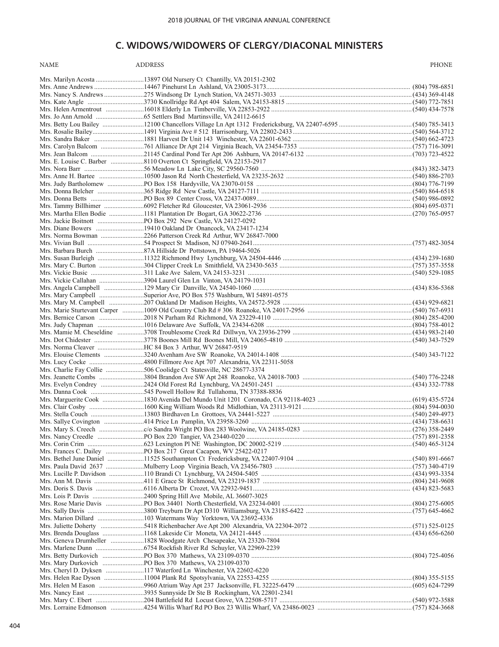## **C. WIDOWS/WIDOWERS OF CLERGY/DIACONAL MINISTERS**

NAME ADDRESS AND ADDRESS AND A RESERVE ASSESS A REPORT OF A STATE OF A REPORT OF A STATE OF A REPORT OF A STATE OF A REPORT OF A STATE OF A REPORT OF A STATE OF A STATE OF A STATE OF A STATE OF A STATE OF A STATE OF A STAT

| Mrs. Helen Armentrout <i>maching 16018</i> Elderly Ln Timberville, VA 22853-2922 maching maching maching maching (540) 434-7578 |  |
|---------------------------------------------------------------------------------------------------------------------------------|--|
|                                                                                                                                 |  |
|                                                                                                                                 |  |
|                                                                                                                                 |  |
|                                                                                                                                 |  |
|                                                                                                                                 |  |
|                                                                                                                                 |  |
|                                                                                                                                 |  |
|                                                                                                                                 |  |
|                                                                                                                                 |  |
|                                                                                                                                 |  |
|                                                                                                                                 |  |
|                                                                                                                                 |  |
|                                                                                                                                 |  |
|                                                                                                                                 |  |
| Mrs. Norma Bowman 2266 Patterson Creek Rd Arthur, WV 26847-7000                                                                 |  |
|                                                                                                                                 |  |
|                                                                                                                                 |  |
|                                                                                                                                 |  |
|                                                                                                                                 |  |
|                                                                                                                                 |  |
| Mrs. Vickie Callahan 3904 Laurel Glen Ln Vinton, VA 24179-1031                                                                  |  |
|                                                                                                                                 |  |
|                                                                                                                                 |  |
|                                                                                                                                 |  |
|                                                                                                                                 |  |
|                                                                                                                                 |  |
|                                                                                                                                 |  |
|                                                                                                                                 |  |
|                                                                                                                                 |  |
|                                                                                                                                 |  |
|                                                                                                                                 |  |
|                                                                                                                                 |  |
|                                                                                                                                 |  |
|                                                                                                                                 |  |
|                                                                                                                                 |  |
|                                                                                                                                 |  |
|                                                                                                                                 |  |
|                                                                                                                                 |  |
|                                                                                                                                 |  |
|                                                                                                                                 |  |
|                                                                                                                                 |  |
|                                                                                                                                 |  |
|                                                                                                                                 |  |
|                                                                                                                                 |  |
|                                                                                                                                 |  |
|                                                                                                                                 |  |
|                                                                                                                                 |  |
|                                                                                                                                 |  |
|                                                                                                                                 |  |
|                                                                                                                                 |  |
|                                                                                                                                 |  |
|                                                                                                                                 |  |
|                                                                                                                                 |  |
|                                                                                                                                 |  |
|                                                                                                                                 |  |
|                                                                                                                                 |  |
|                                                                                                                                 |  |
|                                                                                                                                 |  |
|                                                                                                                                 |  |
|                                                                                                                                 |  |
|                                                                                                                                 |  |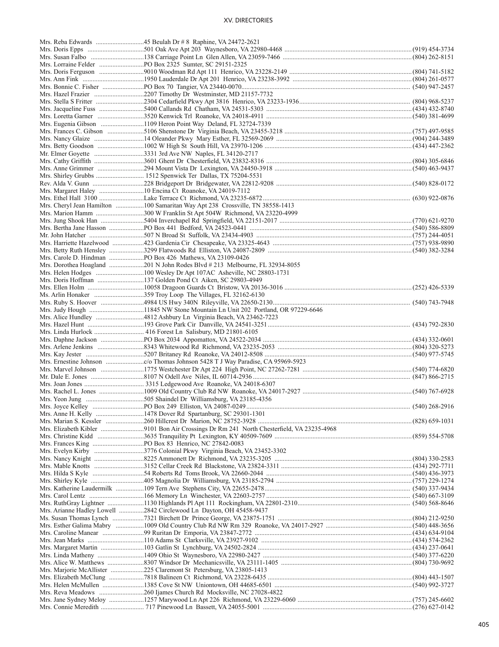|  | Mrs. Dorothea Hoagland 201 N John Rodes Blvd # 213 Melbourne, FL 32934-8055 |  |
|--|-----------------------------------------------------------------------------|--|
|  |                                                                             |  |
|  |                                                                             |  |
|  |                                                                             |  |
|  |                                                                             |  |
|  |                                                                             |  |
|  |                                                                             |  |
|  |                                                                             |  |
|  |                                                                             |  |
|  |                                                                             |  |
|  |                                                                             |  |
|  |                                                                             |  |
|  |                                                                             |  |
|  |                                                                             |  |
|  |                                                                             |  |
|  |                                                                             |  |
|  |                                                                             |  |
|  |                                                                             |  |
|  |                                                                             |  |
|  |                                                                             |  |
|  | Mrs. Anne H. Kelly 1478 Dover Rd Spartanburg, SC 29301-1301                 |  |
|  |                                                                             |  |
|  |                                                                             |  |
|  |                                                                             |  |
|  |                                                                             |  |
|  | Mrs. Evelyn Kirby 3776 Colonial Pkwy Virginia Beach, VA 23452-3302          |  |
|  |                                                                             |  |
|  |                                                                             |  |
|  |                                                                             |  |
|  |                                                                             |  |
|  |                                                                             |  |
|  |                                                                             |  |
|  |                                                                             |  |
|  | Mrs. Arianne Hadley Lowell 2842 Circlewood Ln Dayton, OH 45458-9437         |  |
|  |                                                                             |  |
|  |                                                                             |  |
|  |                                                                             |  |
|  |                                                                             |  |
|  |                                                                             |  |
|  |                                                                             |  |
|  |                                                                             |  |
|  | Mrs. Marjorie McAllister 225 Claremont St Petersburg, VA 23805-1413         |  |
|  |                                                                             |  |
|  |                                                                             |  |
|  |                                                                             |  |
|  |                                                                             |  |
|  |                                                                             |  |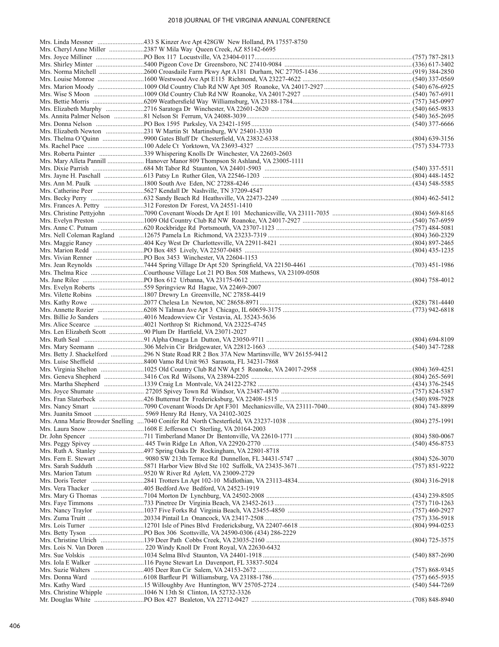| Mrs. Mary Alleta Pannill  Hanover Manor 809 Thompson St Ashland, VA 23005-1111 |  |
|--------------------------------------------------------------------------------|--|
|                                                                                |  |
|                                                                                |  |
|                                                                                |  |
| Mrs. Becky Perry (2004) 462-5412                                               |  |
|                                                                                |  |
|                                                                                |  |
|                                                                                |  |
|                                                                                |  |
|                                                                                |  |
|                                                                                |  |
|                                                                                |  |
|                                                                                |  |
|                                                                                |  |
|                                                                                |  |
|                                                                                |  |
|                                                                                |  |
|                                                                                |  |
|                                                                                |  |
|                                                                                |  |
|                                                                                |  |
|                                                                                |  |
|                                                                                |  |
|                                                                                |  |
|                                                                                |  |
|                                                                                |  |
|                                                                                |  |
|                                                                                |  |
|                                                                                |  |
|                                                                                |  |
|                                                                                |  |
|                                                                                |  |
|                                                                                |  |
|                                                                                |  |
|                                                                                |  |
|                                                                                |  |
|                                                                                |  |
|                                                                                |  |
|                                                                                |  |
|                                                                                |  |
|                                                                                |  |
|                                                                                |  |
|                                                                                |  |
|                                                                                |  |
|                                                                                |  |
|                                                                                |  |
|                                                                                |  |
|                                                                                |  |
|                                                                                |  |
|                                                                                |  |
|                                                                                |  |
|                                                                                |  |
|                                                                                |  |
|                                                                                |  |
|                                                                                |  |
|                                                                                |  |